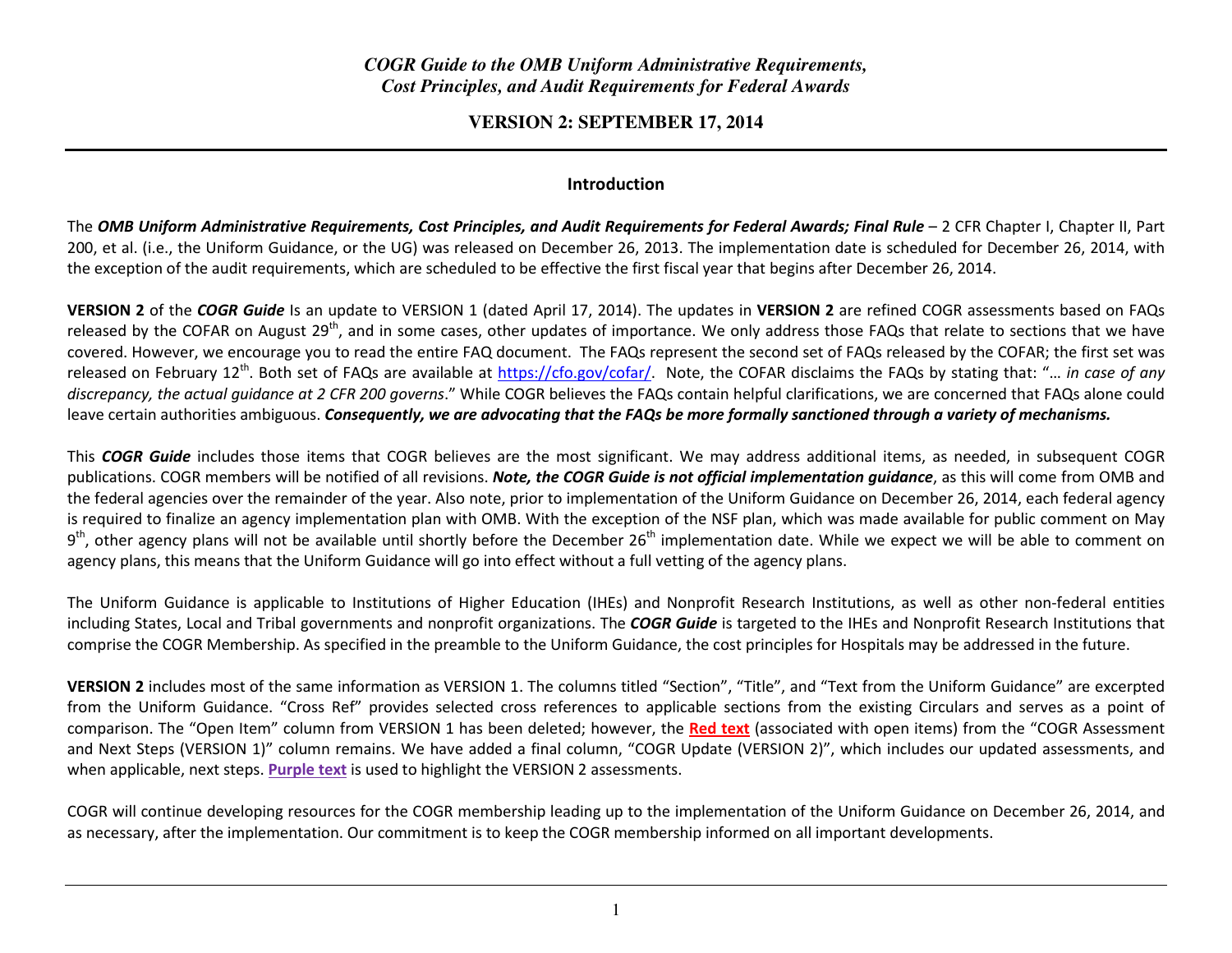# *COGR Guide to the OMB Uniform Administrative Requirements, Cost Principles, and Audit Requirements for Federal Awards*

#### **VERSION 2: SEPTEMBER 17, 2014**

#### Introduction

The OMB Uniform Administrative Requirements, Cost Principles, and Audit Requirements for Federal Awards; Final Rule  $-$  2 CFR Chapter I, Chapter II, Part 200, et al. (i.e., the Uniform Guidance, or the UG) was released on December 26, 2013. The implementation date is scheduled for December 26, 2014, with the exception of the audit requirements, which are scheduled to be effective the first fiscal year that begins after December 26, 2014.

VERSION 2 of the COGR Guide Is an update to VERSION 1 (dated April 17, 2014). The updates in VERSION 2 are refined COGR assessments based on FAQs released by the COFAR on August 29<sup>th</sup>, and in some cases, other updates of importance. We only address those FAQs that relate to sections that we have covered. However, we encourage you to read the entire FAQ document. The FAQs represent the second set of FAQs released by the COFAR; the first set was released on February 12<sup>th</sup>. Both set of FAQs are available at https://cfo.gov/cofar/. Note, the COFAR disclaims the FAQs by stating that: "... in case of any discrepancy, the actual quidance at 2 CFR 200 governs." While COGR believes the FAQs contain helpful clarifications, we are concerned that FAQs alone could leave certain authorities ambiguous. Consequently, we are advocating that the FAQs be more formally sanctioned through a variety of mechanisms.

This COGR Guide includes those items that COGR believes are the most significant. We may address additional items, as needed, in subsequent COGR publications. COGR members will be notified of all revisions. Note, the COGR Guide is not official implementation quidance, as this will come from OMB and the federal agencies over the remainder of the year. Also note, prior to implementation of the Uniform Guidance on December 26, 2014, each federal agency is required to finalize an agency implementation plan with OMB. With the exception of the NSF plan, which was made available for public comment on May  $9<sup>th</sup>$ , other agency plans will not be available until shortly before the December 26<sup>th</sup> implementation date. While we expect we will be able to comment on agency plans, this means that the Uniform Guidance will go into effect without a full vetting of the agency plans.

The Uniform Guidance is applicable to Institutions of Higher Education (IHEs) and Nonprofit Research Institutions, as well as other non-federal entities including States, Local and Tribal governments and nonprofit organizations. The COGR Guide is targeted to the IHEs and Nonprofit Research Institutions that comprise the COGR Membership. As specified in the preamble to the Uniform Guidance, the cost principles for Hospitals may be addressed in the future.

VERSION 2 includes most of the same information as VERSION 1. The columns titled "Section", "Title", and "Text from the Uniform Guidance" are excerpted from the Uniform Guidance. "Cross Ref" provides selected cross references to applicable sections from the existing Circulars and serves as a point of comparison. The "Open Item" column from VERSION 1 has been deleted; however, the <mark>Red text</mark> (associated with open items) from the "COGR Assessment and Next Steps (VERSION 1)" column remains. We have added a final column, "COGR Update (VERSION 2)", which includes our updated assessments, and when applicable, next steps. Purple text is used to highlight the VERSION 2 assessments.

COGR will continue developing resources for the COGR membership leading up to the implementation of the Uniform Guidance on December 26, 2014, and as necessary, after the implementation. Our commitment is to keep the COGR membership informed on all important developments.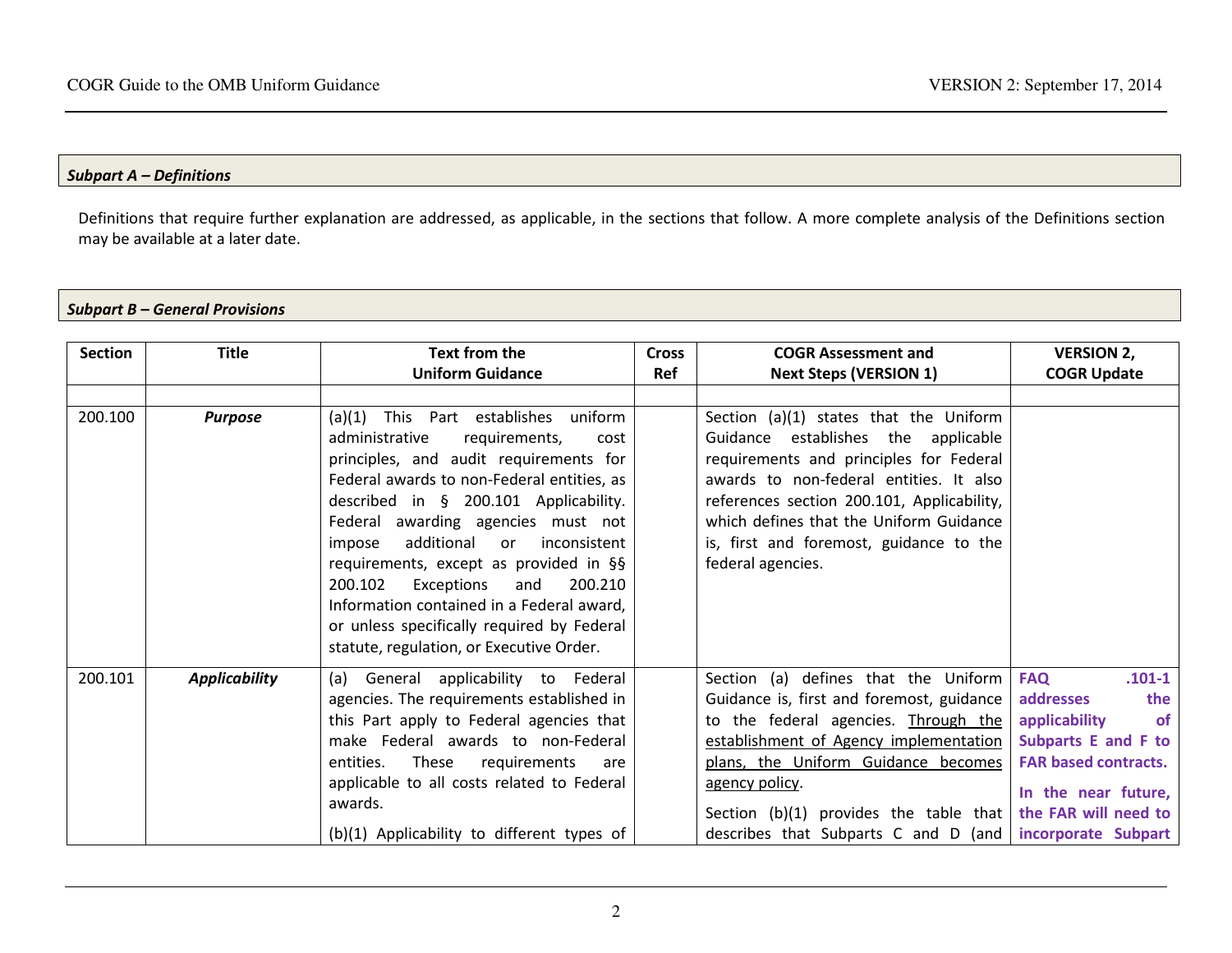#### Subpart A – Definitions

Definitions that require further explanation are addressed, as applicable, in the sections that follow. A more complete analysis of the Definitions section may be available at a later date.

#### Subpart B – General Provisions

| <b>Section</b> | <b>Title</b>         | Text from the                                                                                                                                                                                                                                                                                                                                                                                                                                                                                                                              | <b>Cross</b> | <b>COGR Assessment and</b>                                                                                                                                                                                                                                                                                                             | <b>VERSION 2,</b>                                                                                                                                                               |
|----------------|----------------------|--------------------------------------------------------------------------------------------------------------------------------------------------------------------------------------------------------------------------------------------------------------------------------------------------------------------------------------------------------------------------------------------------------------------------------------------------------------------------------------------------------------------------------------------|--------------|----------------------------------------------------------------------------------------------------------------------------------------------------------------------------------------------------------------------------------------------------------------------------------------------------------------------------------------|---------------------------------------------------------------------------------------------------------------------------------------------------------------------------------|
|                |                      | <b>Uniform Guidance</b>                                                                                                                                                                                                                                                                                                                                                                                                                                                                                                                    | Ref          | <b>Next Steps (VERSION 1)</b>                                                                                                                                                                                                                                                                                                          | <b>COGR Update</b>                                                                                                                                                              |
|                |                      |                                                                                                                                                                                                                                                                                                                                                                                                                                                                                                                                            |              |                                                                                                                                                                                                                                                                                                                                        |                                                                                                                                                                                 |
| 200.100        | <b>Purpose</b>       | (a)(1) This Part establishes<br>uniform<br>administrative<br>requirements,<br>cost<br>principles, and audit requirements for<br>Federal awards to non-Federal entities, as<br>described in § 200.101 Applicability.<br>Federal awarding agencies must not<br>additional<br>inconsistent<br>impose<br><b>or</b><br>requirements, except as provided in §§<br>Exceptions<br>200.102<br>200.210<br>and<br>Information contained in a Federal award,<br>or unless specifically required by Federal<br>statute, regulation, or Executive Order. |              | Section (a)(1) states that the Uniform<br>Guidance establishes the applicable<br>requirements and principles for Federal<br>awards to non-federal entities. It also<br>references section 200.101, Applicability,<br>which defines that the Uniform Guidance<br>is, first and foremost, guidance to the<br>federal agencies.           |                                                                                                                                                                                 |
| 200.101        | <b>Applicability</b> | (a) General applicability to Federal<br>agencies. The requirements established in<br>this Part apply to Federal agencies that<br>make Federal awards to non-Federal<br>These<br>entities.<br>requirements<br>are<br>applicable to all costs related to Federal<br>awards.<br>(b)(1) Applicability to different types of                                                                                                                                                                                                                    |              | Section (a) defines that the Uniform<br>Guidance is, first and foremost, guidance<br>to the federal agencies. Through the<br>establishment of Agency implementation<br>plans, the Uniform Guidance becomes<br>agency policy.<br>Section (b)(1) provides the table that<br>describes that Subparts C and D (and $ $ incorporate Subpart | $.101 - 1$<br><b>FAQ</b><br>addresses<br>the<br>applicability<br><b>of</b><br>Subparts E and F to<br><b>FAR based contracts.</b><br>In the near future,<br>the FAR will need to |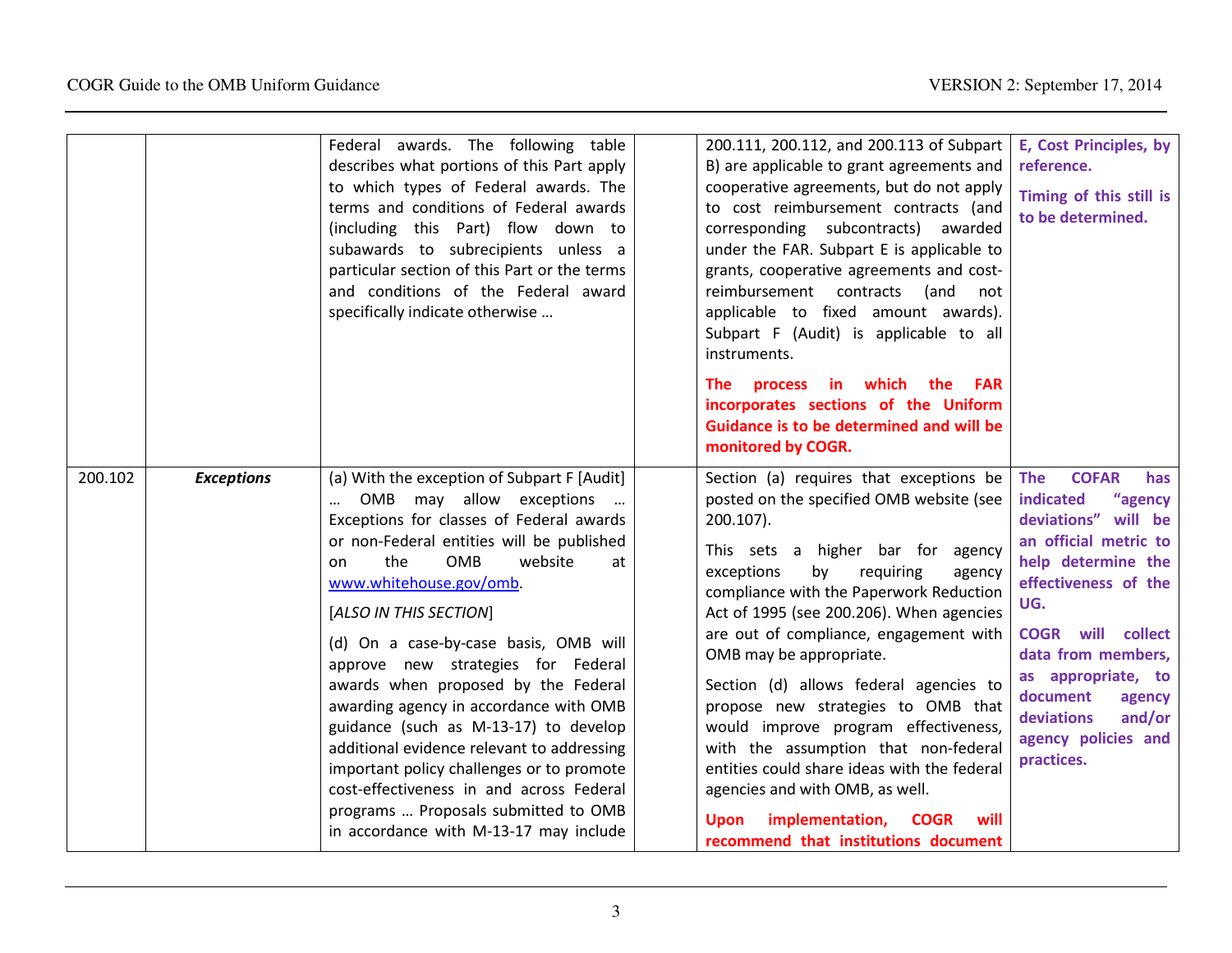|         |                   | Federal awards. The following table<br>describes what portions of this Part apply<br>to which types of Federal awards. The<br>terms and conditions of Federal awards<br>(including this Part) flow down to<br>subawards to subrecipients unless a<br>particular section of this Part or the terms<br>and conditions of the Federal award<br>specifically indicate otherwise                                                                                                                                                                                                                                                                                                                                          | 200.111, 200.112, and 200.113 of Subpart<br>B) are applicable to grant agreements and<br>cooperative agreements, but do not apply<br>to cost reimbursement contracts (and<br>corresponding subcontracts) awarded<br>under the FAR. Subpart E is applicable to<br>grants, cooperative agreements and cost-<br>reimbursement contracts<br>(and<br>not<br>applicable to fixed amount awards).<br>Subpart F (Audit) is applicable to all<br>instruments.<br>process in which the<br><b>The</b><br><b>FAR</b><br>incorporates sections of the Uniform<br>Guidance is to be determined and will be<br>monitored by COGR.                                                                              | E, Cost Principles, by<br>reference.<br>Timing of this still is<br>to be determined.                                                                                                                                                                                                                                      |
|---------|-------------------|----------------------------------------------------------------------------------------------------------------------------------------------------------------------------------------------------------------------------------------------------------------------------------------------------------------------------------------------------------------------------------------------------------------------------------------------------------------------------------------------------------------------------------------------------------------------------------------------------------------------------------------------------------------------------------------------------------------------|-------------------------------------------------------------------------------------------------------------------------------------------------------------------------------------------------------------------------------------------------------------------------------------------------------------------------------------------------------------------------------------------------------------------------------------------------------------------------------------------------------------------------------------------------------------------------------------------------------------------------------------------------------------------------------------------------|---------------------------------------------------------------------------------------------------------------------------------------------------------------------------------------------------------------------------------------------------------------------------------------------------------------------------|
| 200.102 | <b>Exceptions</b> | (a) With the exception of Subpart F [Audit]<br>OMB may allow exceptions<br>$\cdots$<br>$\cdots$<br>Exceptions for classes of Federal awards<br>or non-Federal entities will be published<br>the<br>OMB<br>website<br>at<br>on<br>www.whitehouse.gov/omb.<br>[ALSO IN THIS SECTION]<br>(d) On a case-by-case basis, OMB will<br>approve new strategies for Federal<br>awards when proposed by the Federal<br>awarding agency in accordance with OMB<br>guidance (such as M-13-17) to develop<br>additional evidence relevant to addressing<br>important policy challenges or to promote<br>cost-effectiveness in and across Federal<br>programs  Proposals submitted to OMB<br>in accordance with M-13-17 may include | Section (a) requires that exceptions be<br>posted on the specified OMB website (see<br>200.107).<br>This sets a higher bar for agency<br>by<br>exceptions<br>requiring<br>agency<br>compliance with the Paperwork Reduction<br>Act of 1995 (see 200.206). When agencies<br>are out of compliance, engagement with<br>OMB may be appropriate.<br>Section (d) allows federal agencies to<br>propose new strategies to OMB that<br>would improve program effectiveness,<br>with the assumption that non-federal<br>entities could share ideas with the federal<br>agencies and with OMB, as well.<br>implementation,<br><b>COGR</b><br>will<br><b>Upon</b><br>recommend that institutions document | <b>COFAR</b><br><b>The</b><br>has<br>indicated<br>"agency<br>deviations" will be<br>an official metric to<br>help determine the<br>effectiveness of the<br>UG.<br><b>COGR</b> will collect<br>data from members,<br>as appropriate, to<br>document<br>agency<br>and/or<br>deviations<br>agency policies and<br>practices. |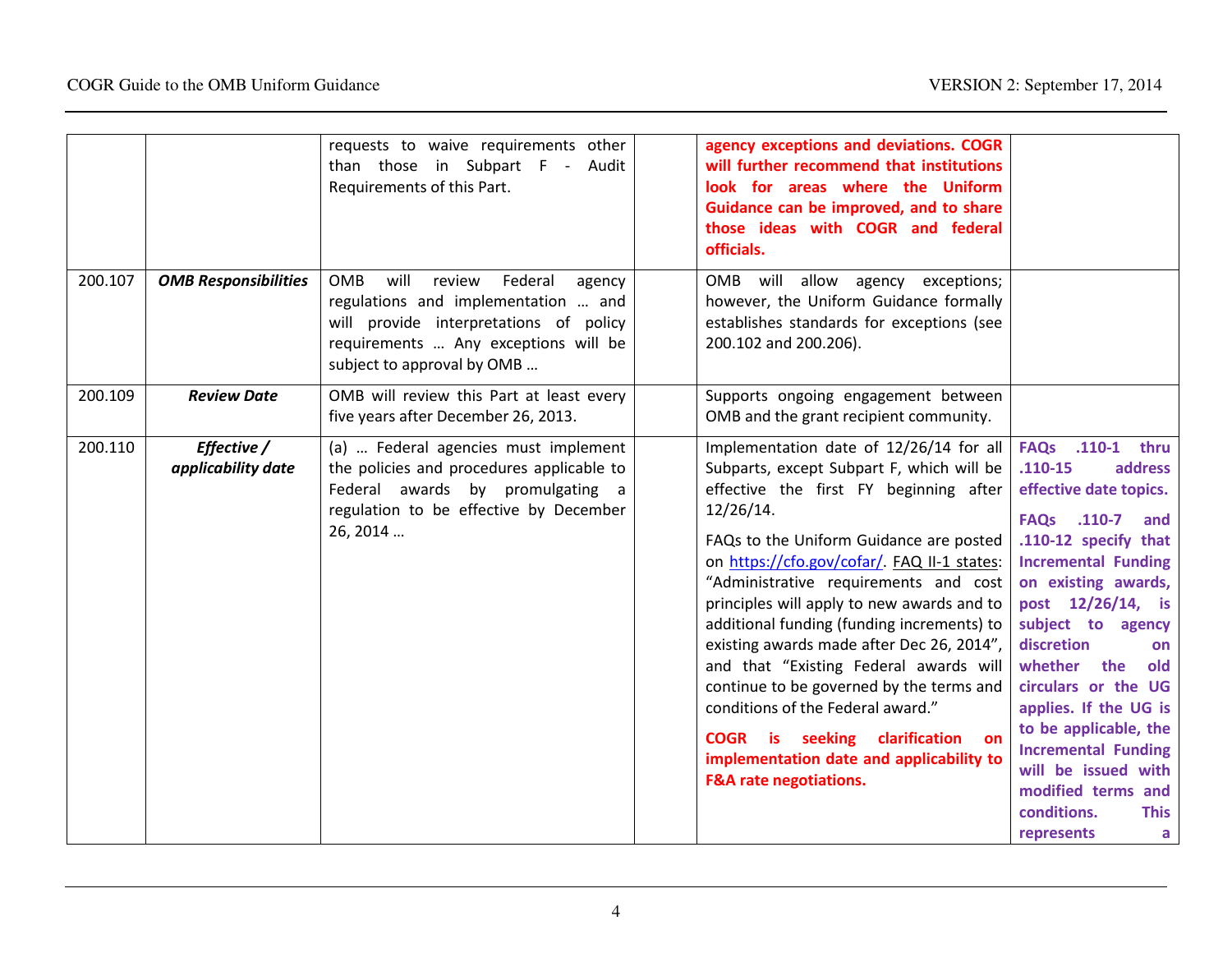|         |                                   | requests to waive requirements other<br>than those in Subpart F - Audit<br>Requirements of this Part.                                                                                                    | agency exceptions and deviations. COGR<br>will further recommend that institutions<br>look for areas where the Uniform<br>Guidance can be improved, and to share<br>those ideas with COGR and federal<br>officials.                                                                                                                                                                                                                                                                                                                                                                                                                                                     |                                                                                                                                                                                                                                                                                                                                                                                                                                                                     |
|---------|-----------------------------------|----------------------------------------------------------------------------------------------------------------------------------------------------------------------------------------------------------|-------------------------------------------------------------------------------------------------------------------------------------------------------------------------------------------------------------------------------------------------------------------------------------------------------------------------------------------------------------------------------------------------------------------------------------------------------------------------------------------------------------------------------------------------------------------------------------------------------------------------------------------------------------------------|---------------------------------------------------------------------------------------------------------------------------------------------------------------------------------------------------------------------------------------------------------------------------------------------------------------------------------------------------------------------------------------------------------------------------------------------------------------------|
| 200.107 | <b>OMB Responsibilities</b>       | will<br><b>OMB</b><br>review<br>Federal<br>agency<br>regulations and implementation  and<br>will provide interpretations of policy<br>requirements  Any exceptions will be<br>subject to approval by OMB | OMB will allow agency exceptions;<br>however, the Uniform Guidance formally<br>establishes standards for exceptions (see<br>200.102 and 200.206).                                                                                                                                                                                                                                                                                                                                                                                                                                                                                                                       |                                                                                                                                                                                                                                                                                                                                                                                                                                                                     |
| 200.109 | <b>Review Date</b>                | OMB will review this Part at least every<br>five years after December 26, 2013.                                                                                                                          | Supports ongoing engagement between<br>OMB and the grant recipient community.                                                                                                                                                                                                                                                                                                                                                                                                                                                                                                                                                                                           |                                                                                                                                                                                                                                                                                                                                                                                                                                                                     |
| 200.110 | Effective /<br>applicability date | (a)  Federal agencies must implement<br>the policies and procedures applicable to<br>Federal awards by promulgating a<br>regulation to be effective by December<br>26, 2014                              | Implementation date of 12/26/14 for all<br>Subparts, except Subpart F, which will be<br>effective the first FY beginning after<br>12/26/14.<br>FAQs to the Uniform Guidance are posted<br>on https://cfo.gov/cofar/. FAQ II-1 states:<br>"Administrative requirements and cost<br>principles will apply to new awards and to<br>additional funding (funding increments) to<br>existing awards made after Dec 26, 2014",<br>and that "Existing Federal awards will<br>continue to be governed by the terms and<br>conditions of the Federal award."<br>COGR is seeking clarification on<br>implementation date and applicability to<br><b>F&amp;A rate negotiations.</b> | FAQs .110-1 thru<br>$.110 - 15$<br>address<br>effective date topics.<br>FAQs .110-7<br>and<br>.110-12 specify that<br><b>Incremental Funding</b><br>on existing awards,<br>post 12/26/14, is<br>subject to agency<br>discretion<br>on<br>whether<br>the<br>old<br>circulars or the UG<br>applies. If the UG is<br>to be applicable, the<br><b>Incremental Funding</b><br>will be issued with<br>modified terms and<br>conditions.<br><b>This</b><br>represents<br>a |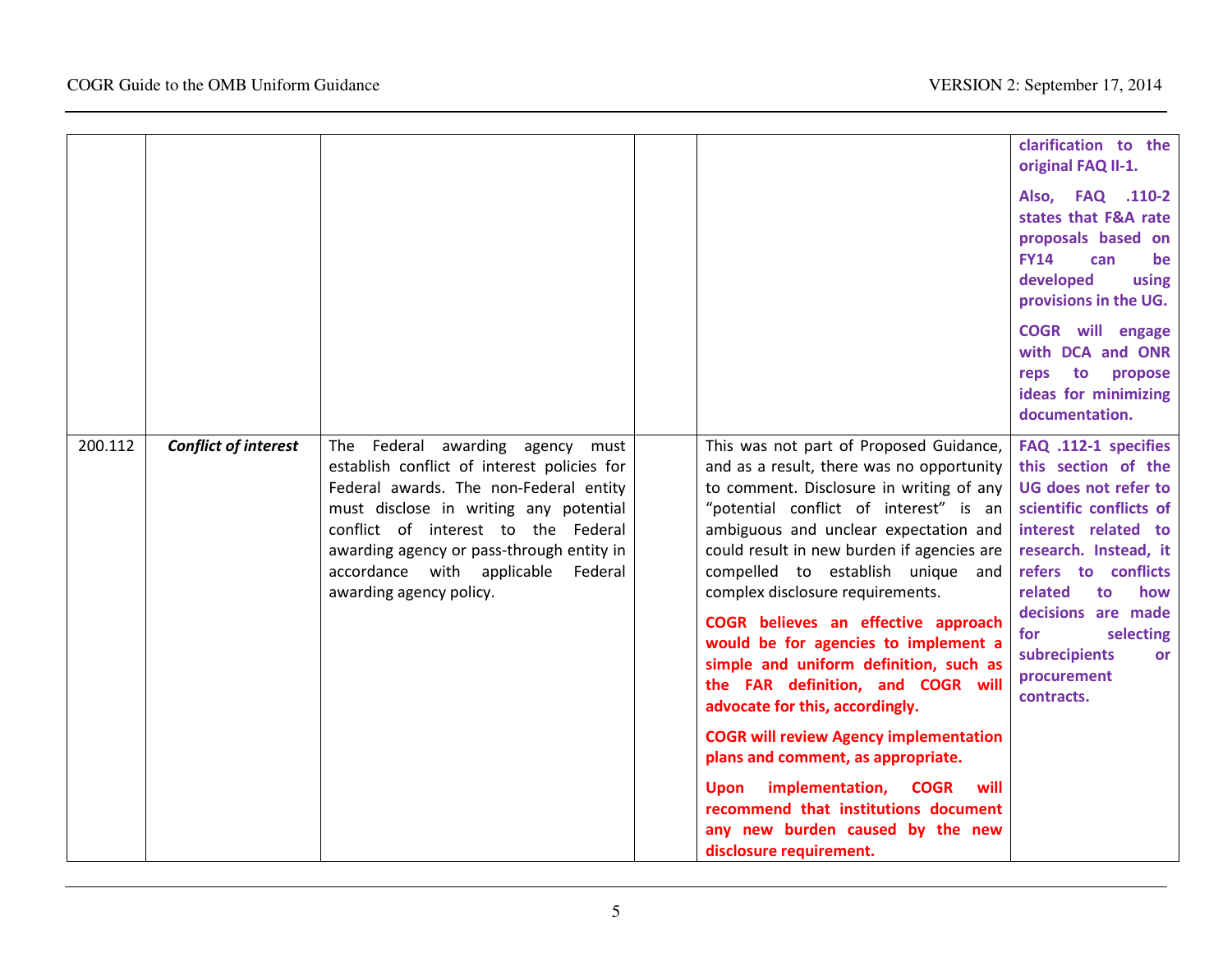|         |                             |                                                                                                                                                                                                                                                                                                                          |                                                                                                                                                                                                                                                                                                                                                                                                                                                                                                                                                                                                                                    | clarification to the<br>original FAQ II-1.<br>Also, FAQ .110-2<br>states that F&A rate<br>proposals based on<br><b>FY14</b><br>can<br>be                                                                                                                                                                  |
|---------|-----------------------------|--------------------------------------------------------------------------------------------------------------------------------------------------------------------------------------------------------------------------------------------------------------------------------------------------------------------------|------------------------------------------------------------------------------------------------------------------------------------------------------------------------------------------------------------------------------------------------------------------------------------------------------------------------------------------------------------------------------------------------------------------------------------------------------------------------------------------------------------------------------------------------------------------------------------------------------------------------------------|-----------------------------------------------------------------------------------------------------------------------------------------------------------------------------------------------------------------------------------------------------------------------------------------------------------|
|         |                             |                                                                                                                                                                                                                                                                                                                          |                                                                                                                                                                                                                                                                                                                                                                                                                                                                                                                                                                                                                                    | developed<br>using<br>provisions in the UG.                                                                                                                                                                                                                                                               |
|         |                             |                                                                                                                                                                                                                                                                                                                          |                                                                                                                                                                                                                                                                                                                                                                                                                                                                                                                                                                                                                                    | <b>COGR</b> will engage<br>with DCA and ONR<br>to propose<br>reps<br>ideas for minimizing<br>documentation.                                                                                                                                                                                               |
| 200.112 | <b>Conflict of interest</b> | The Federal awarding agency must<br>establish conflict of interest policies for<br>Federal awards. The non-Federal entity<br>must disclose in writing any potential<br>conflict of interest to the Federal<br>awarding agency or pass-through entity in<br>accordance with applicable Federal<br>awarding agency policy. | This was not part of Proposed Guidance,<br>and as a result, there was no opportunity<br>to comment. Disclosure in writing of any<br>"potential conflict of interest" is an<br>ambiguous and unclear expectation and<br>could result in new burden if agencies are<br>compelled to establish unique and<br>complex disclosure requirements.<br>COGR believes an effective approach<br>would be for agencies to implement a<br>simple and uniform definition, such as<br>the FAR definition, and COGR will<br>advocate for this, accordingly.<br><b>COGR will review Agency implementation</b><br>plans and comment, as appropriate. | FAQ .112-1 specifies<br>this section of the<br><b>UG does not refer to</b><br>scientific conflicts of<br>interest related to<br>research. Instead, it<br>refers to conflicts<br>related<br>how<br>to<br>decisions are made<br>selecting<br>for<br>subrecipients<br><b>or</b><br>procurement<br>contracts. |
|         |                             |                                                                                                                                                                                                                                                                                                                          | Upon implementation, COGR<br>will<br>recommend that institutions document<br>any new burden caused by the new<br>disclosure requirement.                                                                                                                                                                                                                                                                                                                                                                                                                                                                                           |                                                                                                                                                                                                                                                                                                           |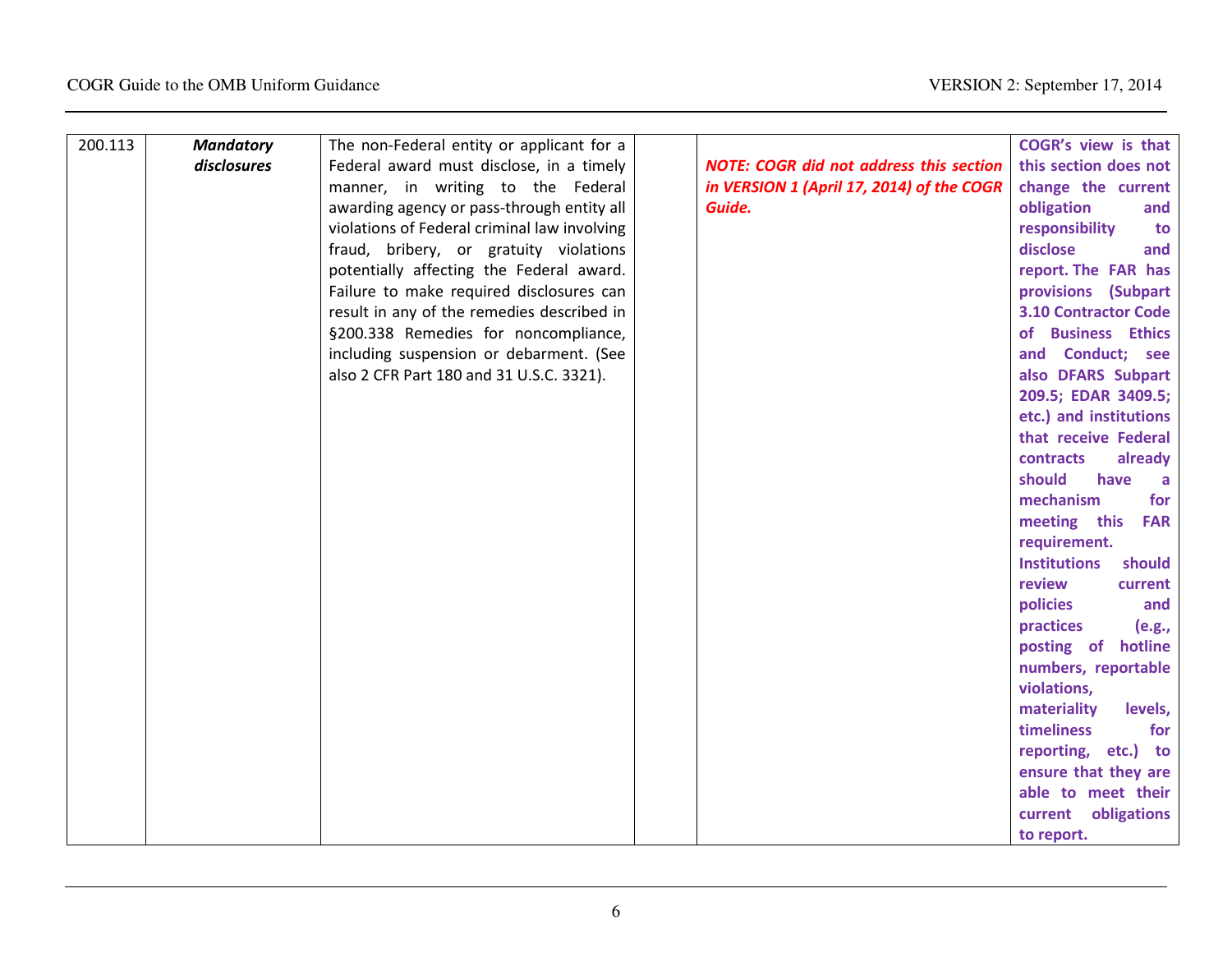| 200.113 | <b>Mandatory</b> | The non-Federal entity or applicant for a    |                                                | COGR's view is that           |
|---------|------------------|----------------------------------------------|------------------------------------------------|-------------------------------|
|         | disclosures      | Federal award must disclose, in a timely     | <b>NOTE: COGR did not address this section</b> | this section does not         |
|         |                  | manner, in writing to the Federal            | in VERSION 1 (April 17, 2014) of the COGR      | change the current            |
|         |                  | awarding agency or pass-through entity all   | Guide.                                         | obligation<br>and             |
|         |                  | violations of Federal criminal law involving |                                                | responsibility<br>to          |
|         |                  | fraud, bribery, or gratuity violations       |                                                | disclose<br>and               |
|         |                  | potentially affecting the Federal award.     |                                                | report. The FAR has           |
|         |                  | Failure to make required disclosures can     |                                                | provisions (Subpart           |
|         |                  | result in any of the remedies described in   |                                                | <b>3.10 Contractor Code</b>   |
|         |                  | §200.338 Remedies for noncompliance,         |                                                | of Business Ethics            |
|         |                  | including suspension or debarment. (See      |                                                | and Conduct; see              |
|         |                  | also 2 CFR Part 180 and 31 U.S.C. 3321).     |                                                | also DFARS Subpart            |
|         |                  |                                              |                                                | 209.5; EDAR 3409.5;           |
|         |                  |                                              |                                                | etc.) and institutions        |
|         |                  |                                              |                                                | that receive Federal          |
|         |                  |                                              |                                                | contracts<br>already          |
|         |                  |                                              |                                                | should<br>have<br>a           |
|         |                  |                                              |                                                | for<br>mechanism              |
|         |                  |                                              |                                                | meeting this<br><b>FAR</b>    |
|         |                  |                                              |                                                | requirement.                  |
|         |                  |                                              |                                                | <b>Institutions</b><br>should |
|         |                  |                                              |                                                | review<br>current             |
|         |                  |                                              |                                                | policies<br>and               |
|         |                  |                                              |                                                | practices<br>(e.g.,           |
|         |                  |                                              |                                                | posting of hotline            |
|         |                  |                                              |                                                | numbers, reportable           |
|         |                  |                                              |                                                | violations,                   |
|         |                  |                                              |                                                | materiality<br>levels,        |
|         |                  |                                              |                                                | timeliness<br>for             |
|         |                  |                                              |                                                | reporting, etc.) to           |
|         |                  |                                              |                                                | ensure that they are          |
|         |                  |                                              |                                                | able to meet their            |
|         |                  |                                              |                                                | current obligations           |
|         |                  |                                              |                                                | to report.                    |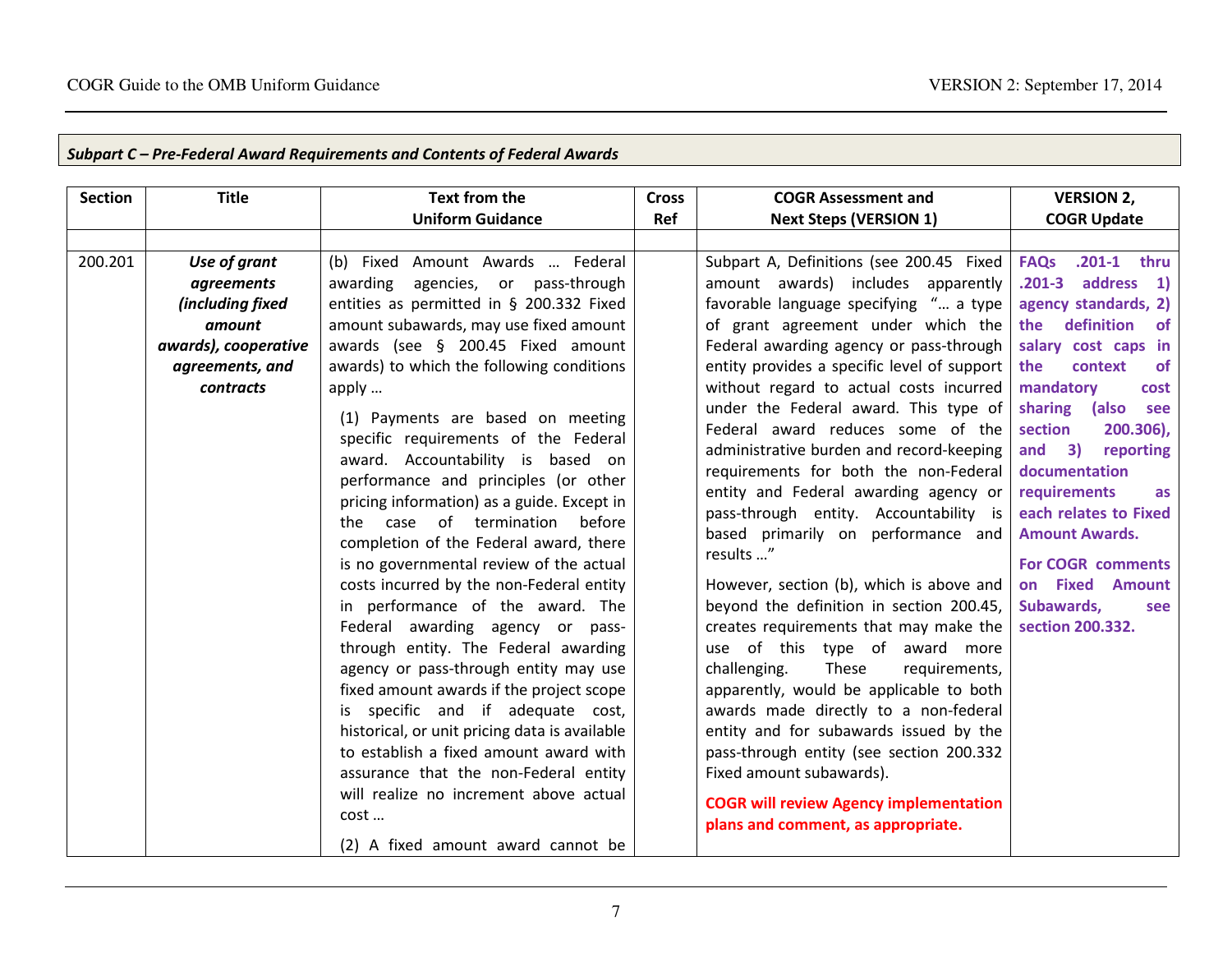| <b>Section</b> | <b>Title</b>         | <b>Text from the</b>                          | <b>Cross</b> | <b>COGR Assessment and</b>                    | <b>VERSION 2,</b>                                                 |
|----------------|----------------------|-----------------------------------------------|--------------|-----------------------------------------------|-------------------------------------------------------------------|
|                |                      | <b>Uniform Guidance</b>                       | Ref          | <b>Next Steps (VERSION 1)</b>                 | <b>COGR Update</b>                                                |
|                |                      |                                               |              |                                               |                                                                   |
| 200.201        | Use of grant         | (b) Fixed Amount Awards  Federal              |              | Subpart A, Definitions (see 200.45 Fixed      | <b>FAQs</b><br>.201-1 thru                                        |
|                | agreements           | awarding agencies, or pass-through            |              | amount awards) includes apparently            | .201-3 address<br>$\left( \begin{array}{c} 1 \end{array} \right)$ |
|                | (including fixed     | entities as permitted in § 200.332 Fixed      |              | favorable language specifying " a type        | agency standards, 2)                                              |
|                | amount               | amount subawards, may use fixed amount        |              | of grant agreement under which the            | definition<br>the<br>of                                           |
|                | awards), cooperative | awards (see § 200.45 Fixed amount             |              | Federal awarding agency or pass-through       | salary cost caps in                                               |
|                | agreements, and      | awards) to which the following conditions     |              | entity provides a specific level of support   | the<br>context<br><b>of</b>                                       |
|                | contracts            | apply                                         |              | without regard to actual costs incurred       | mandatory<br>cost                                                 |
|                |                      | (1) Payments are based on meeting             |              | under the Federal award. This type of         | sharing<br>(also<br>see                                           |
|                |                      | specific requirements of the Federal          |              | Federal award reduces some of the             | section<br>200.306),                                              |
|                |                      | award. Accountability is based on             |              | administrative burden and record-keeping      | and<br>3)<br>reporting                                            |
|                |                      | performance and principles (or other          |              | requirements for both the non-Federal         | documentation                                                     |
|                |                      | pricing information) as a guide. Except in    |              | entity and Federal awarding agency or         | requirements<br><b>as</b>                                         |
|                |                      | the case of termination<br>before             |              | pass-through entity. Accountability is        | each relates to Fixed                                             |
|                |                      | completion of the Federal award, there        |              | based primarily on performance and            | <b>Amount Awards.</b>                                             |
|                |                      | is no governmental review of the actual       |              | results "                                     | <b>For COGR comments</b>                                          |
|                |                      | costs incurred by the non-Federal entity      |              | However, section (b), which is above and      | on Fixed Amount                                                   |
|                |                      | in performance of the award. The              |              | beyond the definition in section 200.45,      | Subawards,<br>see                                                 |
|                |                      | Federal awarding agency or pass-              |              | creates requirements that may make the        | section 200.332.                                                  |
|                |                      | through entity. The Federal awarding          |              | use of this type of award more                |                                                                   |
|                |                      | agency or pass-through entity may use         |              | challenging.<br>These<br>requirements,        |                                                                   |
|                |                      | fixed amount awards if the project scope      |              | apparently, would be applicable to both       |                                                                   |
|                |                      | is specific and if adequate cost,             |              | awards made directly to a non-federal         |                                                                   |
|                |                      | historical, or unit pricing data is available |              | entity and for subawards issued by the        |                                                                   |
|                |                      | to establish a fixed amount award with        |              | pass-through entity (see section 200.332      |                                                                   |
|                |                      | assurance that the non-Federal entity         |              | Fixed amount subawards).                      |                                                                   |
|                |                      | will realize no increment above actual        |              | <b>COGR will review Agency implementation</b> |                                                                   |
|                |                      | cost                                          |              | plans and comment, as appropriate.            |                                                                   |
|                |                      | (2) A fixed amount award cannot be            |              |                                               |                                                                   |

# Subpart C – Pre-Federal Award Requirements and Contents of Federal Awards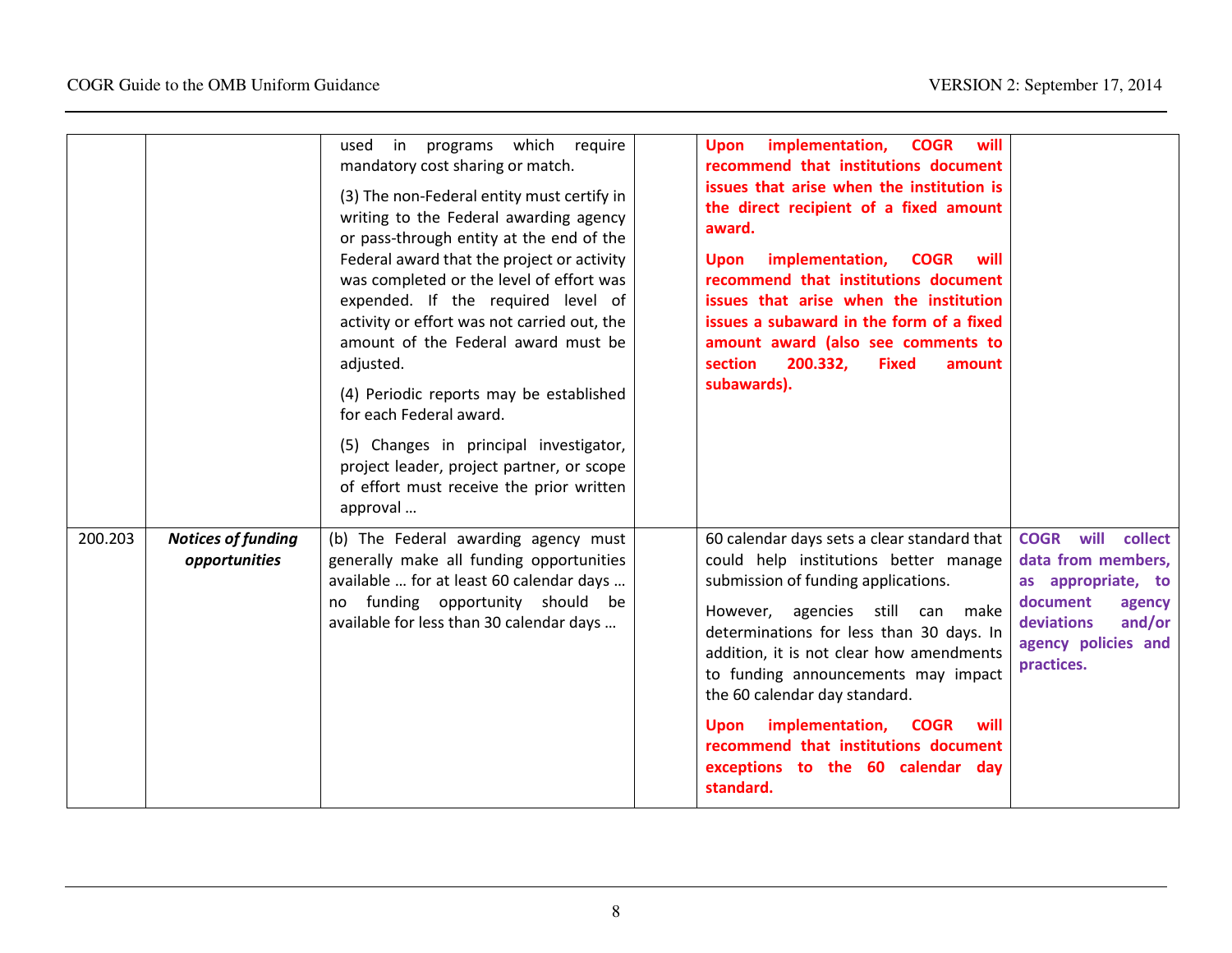|         |                                            | programs which<br>require<br>used<br>in<br>mandatory cost sharing or match.<br>(3) The non-Federal entity must certify in<br>writing to the Federal awarding agency<br>or pass-through entity at the end of the<br>Federal award that the project or activity<br>was completed or the level of effort was<br>expended. If the required level of<br>activity or effort was not carried out, the<br>amount of the Federal award must be<br>adjusted.<br>(4) Periodic reports may be established<br>for each Federal award.<br>(5) Changes in principal investigator,<br>project leader, project partner, or scope<br>of effort must receive the prior written<br>approval | implementation,<br><b>COGR</b><br>will<br><b>Upon</b><br>recommend that institutions document<br>issues that arise when the institution is<br>the direct recipient of a fixed amount<br>award.<br>implementation,<br><b>COGR</b><br>will<br><b>Upon</b><br>recommend that institutions document<br>issues that arise when the institution<br>issues a subaward in the form of a fixed<br>amount award (also see comments to<br>section<br>200.332,<br><b>Fixed</b><br>amount<br>subawards). |                                                                                                                                                               |
|---------|--------------------------------------------|-------------------------------------------------------------------------------------------------------------------------------------------------------------------------------------------------------------------------------------------------------------------------------------------------------------------------------------------------------------------------------------------------------------------------------------------------------------------------------------------------------------------------------------------------------------------------------------------------------------------------------------------------------------------------|---------------------------------------------------------------------------------------------------------------------------------------------------------------------------------------------------------------------------------------------------------------------------------------------------------------------------------------------------------------------------------------------------------------------------------------------------------------------------------------------|---------------------------------------------------------------------------------------------------------------------------------------------------------------|
| 200.203 | <b>Notices of funding</b><br>opportunities | (b) The Federal awarding agency must<br>generally make all funding opportunities<br>available  for at least 60 calendar days<br>funding opportunity should be<br>no<br>available for less than 30 calendar days                                                                                                                                                                                                                                                                                                                                                                                                                                                         | 60 calendar days sets a clear standard that<br>could help institutions better manage<br>submission of funding applications.<br>However, agencies still<br>can make<br>determinations for less than 30 days. In<br>addition, it is not clear how amendments<br>to funding announcements may impact<br>the 60 calendar day standard.<br>Upon implementation, COGR<br>will<br>recommend that institutions document<br>exceptions to the 60 calendar day<br>standard.                           | will<br><b>COGR</b><br>collect<br>data from members,<br>as appropriate, to<br>document<br>agency<br>deviations<br>and/or<br>agency policies and<br>practices. |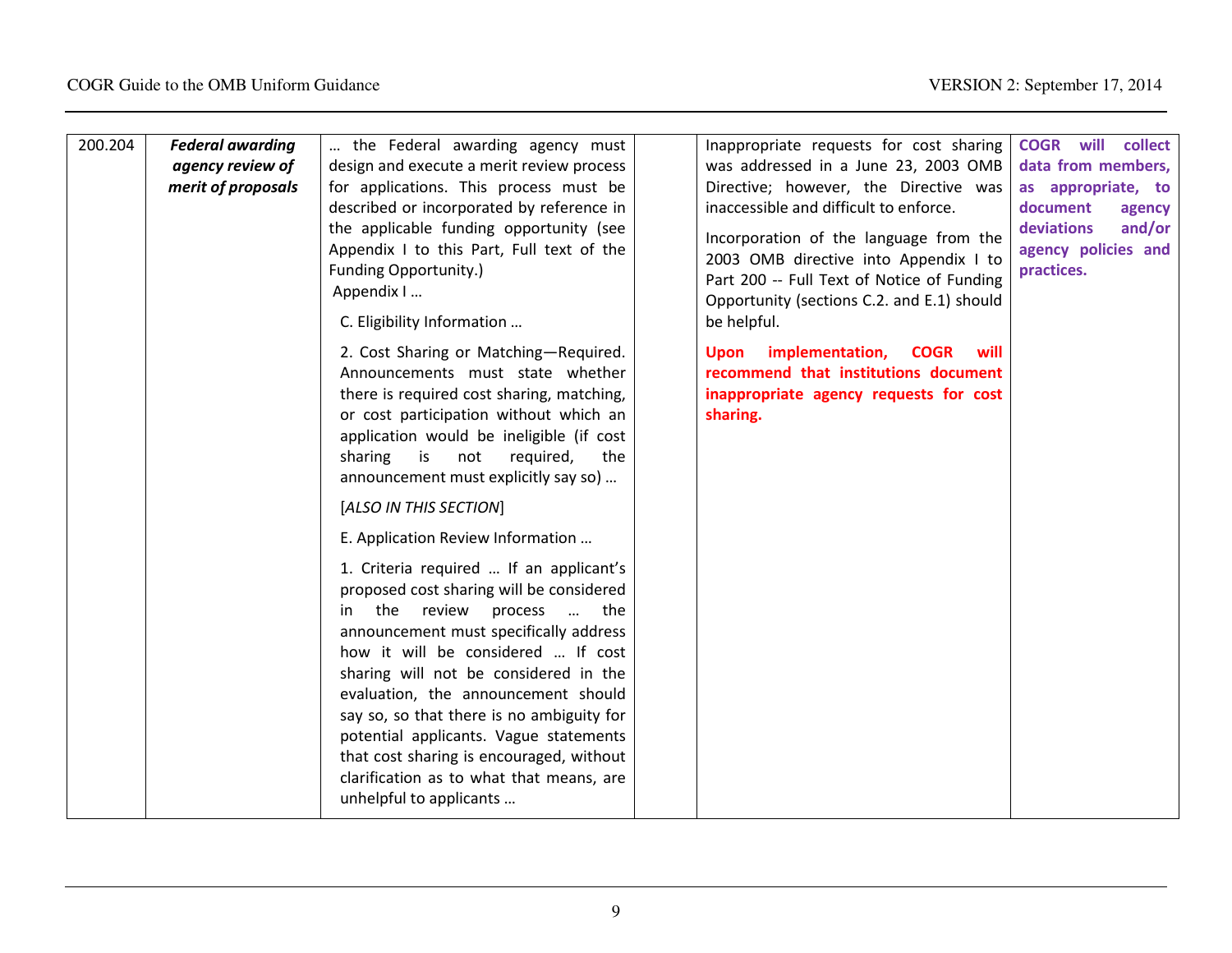| 200.204 | <b>Federal awarding</b><br>agency review of | the Federal awarding agency must<br>design and execute a merit review process                                                                                                                                                                                                                                                                                                                                                                                                                                                                       | Inappropriate requests for cost sharing<br>was addressed in a June 23, 2003 OMB                                                                                                                                                                                               | <b>COGR</b> will collect<br>data from members,                                                        |
|---------|---------------------------------------------|-----------------------------------------------------------------------------------------------------------------------------------------------------------------------------------------------------------------------------------------------------------------------------------------------------------------------------------------------------------------------------------------------------------------------------------------------------------------------------------------------------------------------------------------------------|-------------------------------------------------------------------------------------------------------------------------------------------------------------------------------------------------------------------------------------------------------------------------------|-------------------------------------------------------------------------------------------------------|
|         | merit of proposals                          | for applications. This process must be<br>described or incorporated by reference in<br>the applicable funding opportunity (see<br>Appendix I to this Part, Full text of the<br><b>Funding Opportunity.)</b><br>Appendix I<br>C. Eligibility Information                                                                                                                                                                                                                                                                                             | Directive; however, the Directive was<br>inaccessible and difficult to enforce.<br>Incorporation of the language from the<br>2003 OMB directive into Appendix I to<br>Part 200 -- Full Text of Notice of Funding<br>Opportunity (sections C.2. and E.1) should<br>be helpful. | as appropriate, to<br>document<br>agency<br>deviations<br>and/or<br>agency policies and<br>practices. |
|         |                                             | 2. Cost Sharing or Matching-Required.<br>Announcements must state whether<br>there is required cost sharing, matching,<br>or cost participation without which an<br>application would be ineligible (if cost<br>sharing<br>required,<br>is<br>not<br>the<br>announcement must explicitly say so)                                                                                                                                                                                                                                                    | implementation,<br><b>COGR</b><br>will<br>Upon<br>recommend that institutions document<br>inappropriate agency requests for cost<br>sharing.                                                                                                                                  |                                                                                                       |
|         |                                             | [ALSO IN THIS SECTION]                                                                                                                                                                                                                                                                                                                                                                                                                                                                                                                              |                                                                                                                                                                                                                                                                               |                                                                                                       |
|         |                                             | E. Application Review Information<br>1. Criteria required  If an applicant's<br>proposed cost sharing will be considered<br>the review<br>process<br>the<br>$\sim$<br>in.<br>announcement must specifically address<br>how it will be considered  If cost<br>sharing will not be considered in the<br>evaluation, the announcement should<br>say so, so that there is no ambiguity for<br>potential applicants. Vague statements<br>that cost sharing is encouraged, without<br>clarification as to what that means, are<br>unhelpful to applicants |                                                                                                                                                                                                                                                                               |                                                                                                       |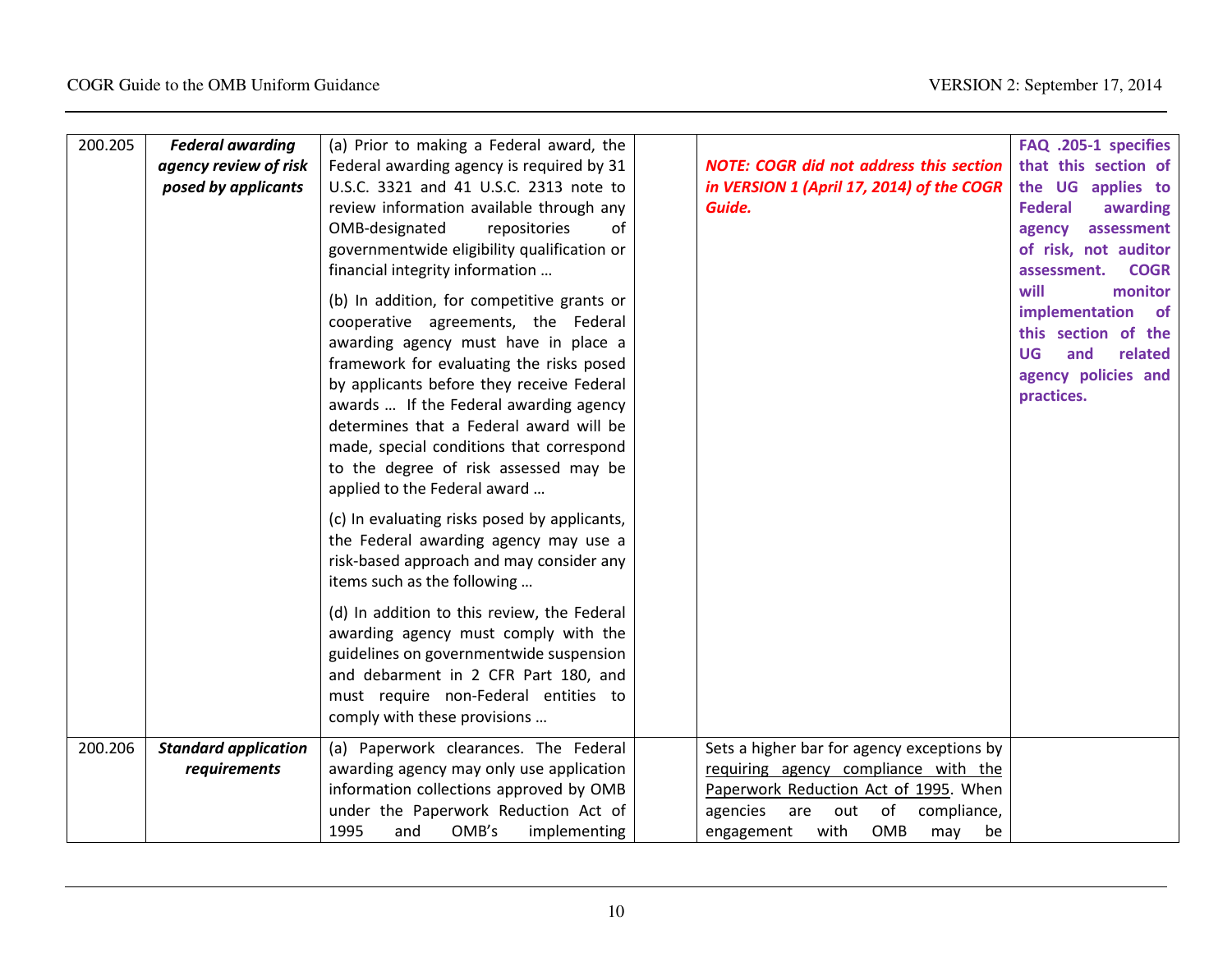| 200.205 | <b>Federal awarding</b>                     | (a) Prior to making a Federal award, the                                                                                                                                                                                                                                                                                                                                                                                     |                                                                                                                                                                                                                      | FAQ .205-1 specifies                                                                                                     |
|---------|---------------------------------------------|------------------------------------------------------------------------------------------------------------------------------------------------------------------------------------------------------------------------------------------------------------------------------------------------------------------------------------------------------------------------------------------------------------------------------|----------------------------------------------------------------------------------------------------------------------------------------------------------------------------------------------------------------------|--------------------------------------------------------------------------------------------------------------------------|
|         | agency review of risk                       | Federal awarding agency is required by 31                                                                                                                                                                                                                                                                                                                                                                                    | <b>NOTE: COGR did not address this section</b>                                                                                                                                                                       | that this section of                                                                                                     |
|         | posed by applicants                         | U.S.C. 3321 and 41 U.S.C. 2313 note to<br>review information available through any<br>OMB-designated<br>repositories<br>of                                                                                                                                                                                                                                                                                                   | in VERSION 1 (April 17, 2014) of the COGR<br>Guide.                                                                                                                                                                  | the UG applies to<br><b>Federal</b><br>awarding<br>assessment<br>agency                                                  |
|         |                                             | governmentwide eligibility qualification or<br>financial integrity information                                                                                                                                                                                                                                                                                                                                               |                                                                                                                                                                                                                      | of risk, not auditor<br><b>COGR</b><br>assessment.                                                                       |
|         |                                             | (b) In addition, for competitive grants or<br>cooperative agreements, the Federal<br>awarding agency must have in place a<br>framework for evaluating the risks posed<br>by applicants before they receive Federal<br>awards  If the Federal awarding agency<br>determines that a Federal award will be<br>made, special conditions that correspond<br>to the degree of risk assessed may be<br>applied to the Federal award |                                                                                                                                                                                                                      | will<br>monitor<br>implementation of<br>this section of the<br>UG<br>and<br>related<br>agency policies and<br>practices. |
|         |                                             | (c) In evaluating risks posed by applicants,<br>the Federal awarding agency may use a<br>risk-based approach and may consider any<br>items such as the following                                                                                                                                                                                                                                                             |                                                                                                                                                                                                                      |                                                                                                                          |
|         |                                             | (d) In addition to this review, the Federal<br>awarding agency must comply with the<br>guidelines on governmentwide suspension<br>and debarment in 2 CFR Part 180, and<br>must require non-Federal entities to<br>comply with these provisions                                                                                                                                                                               |                                                                                                                                                                                                                      |                                                                                                                          |
| 200.206 | <b>Standard application</b><br>requirements | (a) Paperwork clearances. The Federal<br>awarding agency may only use application<br>information collections approved by OMB<br>under the Paperwork Reduction Act of<br>1995<br>OMB's<br>and<br>implementing                                                                                                                                                                                                                 | Sets a higher bar for agency exceptions by<br>requiring agency compliance with the<br>Paperwork Reduction Act of 1995. When<br>agencies<br>of<br>compliance,<br>are<br>out<br>with<br>OMB<br>engagement<br>may<br>be |                                                                                                                          |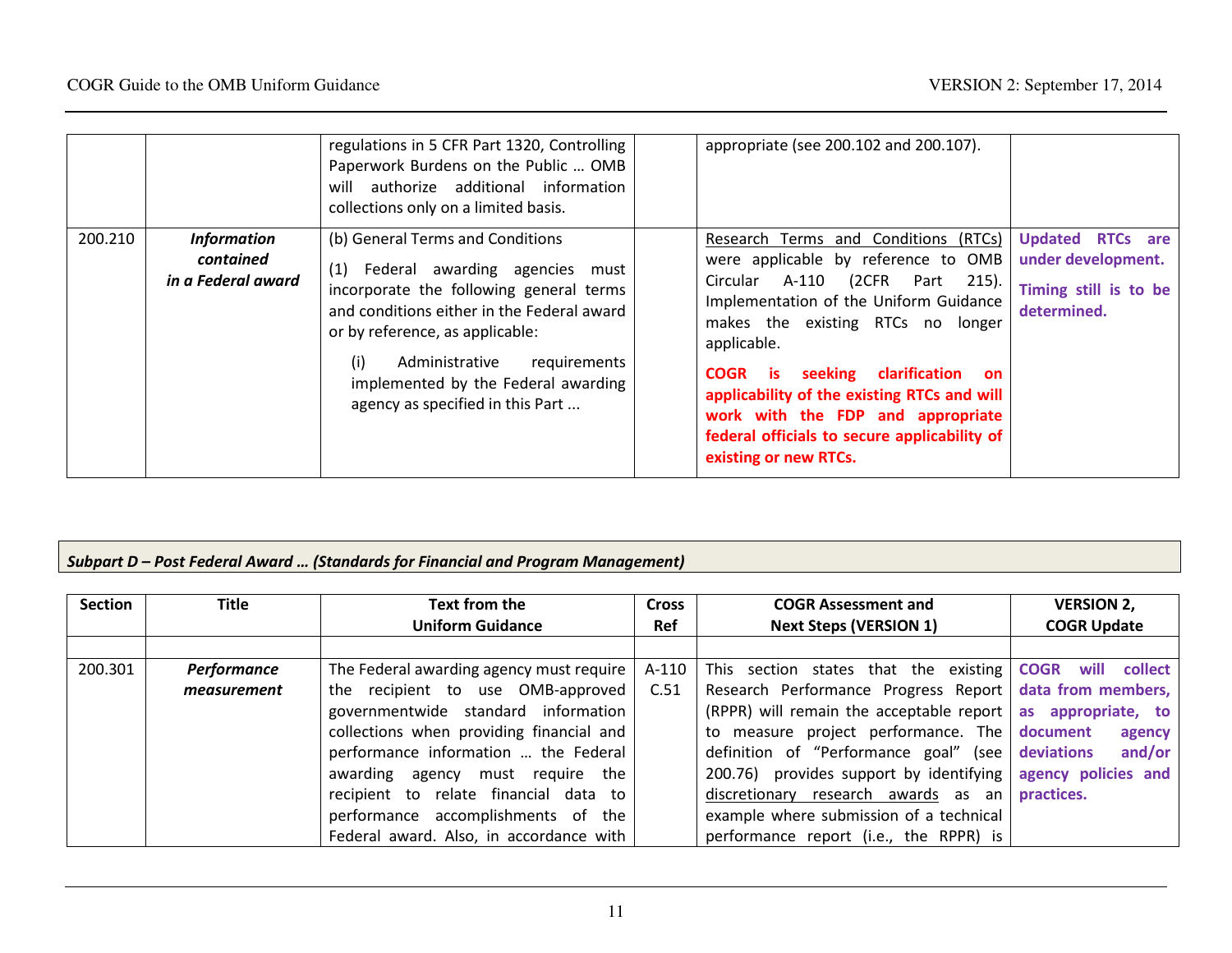|         |                                                       | regulations in 5 CFR Part 1320, Controlling<br>Paperwork Burdens on the Public  OMB<br>authorize additional information<br>will<br>collections only on a limited basis.                                                                                                                                             | appropriate (see 200.102 and 200.107).                                                                                                                                                                                                                                                                                                                                                                                               |                                                                                |
|---------|-------------------------------------------------------|---------------------------------------------------------------------------------------------------------------------------------------------------------------------------------------------------------------------------------------------------------------------------------------------------------------------|--------------------------------------------------------------------------------------------------------------------------------------------------------------------------------------------------------------------------------------------------------------------------------------------------------------------------------------------------------------------------------------------------------------------------------------|--------------------------------------------------------------------------------|
| 200.210 | <b>Information</b><br>contained<br>in a Federal award | (b) General Terms and Conditions<br>(1) Federal awarding agencies must<br>incorporate the following general terms<br>and conditions either in the Federal award<br>or by reference, as applicable:<br>(i)<br>Administrative requirements<br>implemented by the Federal awarding<br>agency as specified in this Part | Research Terms and Conditions (RTCs)<br>were applicable by reference to OMB<br>(2CFR Part 215).<br>A-110<br>Circular<br>Implementation of the Uniform Guidance<br>makes the existing RTCs no longer<br>applicable.<br><b>COGR</b> is seeking clarification<br><b>on</b><br>applicability of the existing RTCs and will<br>work with the FDP and appropriate<br>federal officials to secure applicability of<br>existing or new RTCs. | Updated RTCs are<br>under development.<br>Timing still is to be<br>determined. |

# Subpart D – Post Federal Award … (Standards for Financial and Program Management)

| <b>Section</b> | <b>Title</b> | Text from the                            | <b>Cross</b> | <b>COGR Assessment and</b>                                          | <b>VERSION 2,</b>  |
|----------------|--------------|------------------------------------------|--------------|---------------------------------------------------------------------|--------------------|
|                |              | <b>Uniform Guidance</b>                  | <b>Ref</b>   | <b>Next Steps (VERSION 1)</b>                                       | <b>COGR Update</b> |
|                |              |                                          |              |                                                                     |                    |
| 200.301        | Performance  | The Federal awarding agency must require | A-110        | This section states that the existing <b>COGR</b> will              | collect            |
|                | measurement  | the recipient to use OMB-approved        | C.51         | Research Performance Progress Report   data from members,           |                    |
|                |              | governmentwide standard information      |              | (RPPR) will remain the acceptable report $\vert$ as appropriate, to |                    |
|                |              | collections when providing financial and |              | to measure project performance. The document                        | agency             |
|                |              | performance information  the Federal     |              | definition of "Performance goal" (see deviations                    | and/or             |
|                |              | awarding agency must require the         |              | 200.76) provides support by identifying agency policies and         |                    |
|                |              | recipient to relate financial data to    |              | discretionary research awards as an practices.                      |                    |
|                |              | performance accomplishments of the       |              | example where submission of a technical                             |                    |
|                |              | Federal award. Also, in accordance with  |              | performance report (i.e., the RPPR) is                              |                    |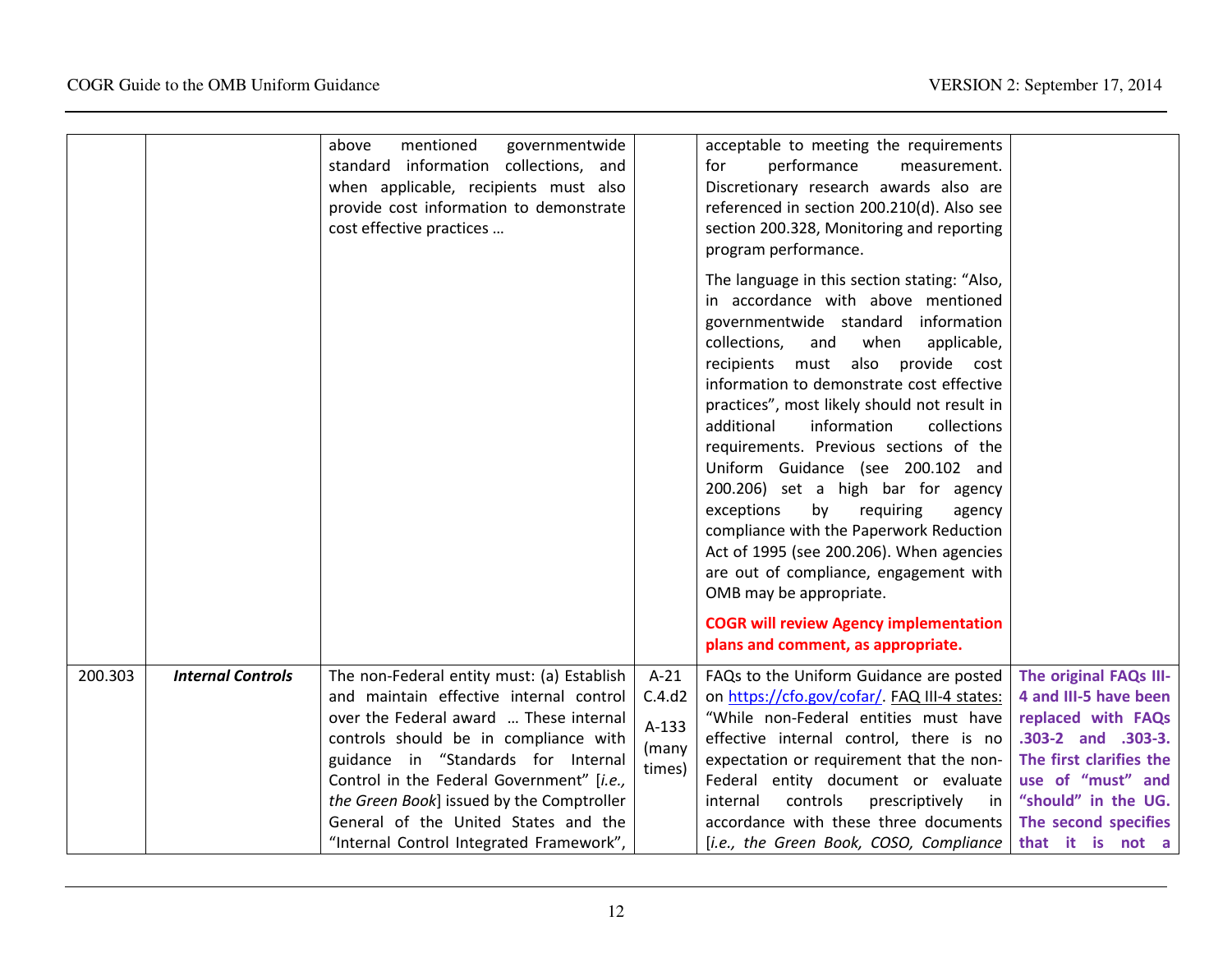|         |                          | mentioned<br>governmentwide<br>above<br>standard information collections, and<br>when applicable, recipients must also<br>provide cost information to demonstrate<br>cost effective practices                                                                |                                              | acceptable to meeting the requirements<br>for<br>performance<br>measurement.<br>Discretionary research awards also are<br>referenced in section 200.210(d). Also see<br>section 200.328, Monitoring and reporting<br>program performance.                                                                                                                                                                                                                                                                                                                                                                                                                                         |                                                                                                                                             |
|---------|--------------------------|--------------------------------------------------------------------------------------------------------------------------------------------------------------------------------------------------------------------------------------------------------------|----------------------------------------------|-----------------------------------------------------------------------------------------------------------------------------------------------------------------------------------------------------------------------------------------------------------------------------------------------------------------------------------------------------------------------------------------------------------------------------------------------------------------------------------------------------------------------------------------------------------------------------------------------------------------------------------------------------------------------------------|---------------------------------------------------------------------------------------------------------------------------------------------|
|         |                          |                                                                                                                                                                                                                                                              |                                              | The language in this section stating: "Also,<br>in accordance with above mentioned<br>governmentwide standard information<br>collections,<br>and<br>when<br>applicable,<br>recipients must also provide cost<br>information to demonstrate cost effective<br>practices", most likely should not result in<br>additional<br>information<br>collections<br>requirements. Previous sections of the<br>Uniform Guidance (see 200.102 and<br>200.206) set a high bar for agency<br>exceptions<br>by<br>requiring<br>agency<br>compliance with the Paperwork Reduction<br>Act of 1995 (see 200.206). When agencies<br>are out of compliance, engagement with<br>OMB may be appropriate. |                                                                                                                                             |
|         |                          |                                                                                                                                                                                                                                                              |                                              | <b>COGR will review Agency implementation</b><br>plans and comment, as appropriate.                                                                                                                                                                                                                                                                                                                                                                                                                                                                                                                                                                                               |                                                                                                                                             |
| 200.303 | <b>Internal Controls</b> | The non-Federal entity must: (a) Establish<br>and maintain effective internal control<br>over the Federal award  These internal<br>controls should be in compliance with<br>guidance in "Standards for Internal<br>Control in the Federal Government" [i.e., | $A-21$<br>C.4.d2<br>A-133<br>(many<br>times) | FAQs to the Uniform Guidance are posted<br>on https://cfo.gov/cofar/. FAQ III-4 states:<br>"While non-Federal entities must have<br>effective internal control, there is no<br>expectation or requirement that the non-<br>Federal entity document or evaluate                                                                                                                                                                                                                                                                                                                                                                                                                    | The original FAQs III-<br>4 and III-5 have been<br>replaced with FAQs<br>.303-2 and .303-3.<br>The first clarifies the<br>use of "must" and |
|         |                          | the Green Book] issued by the Comptroller<br>General of the United States and the<br>"Internal Control Integrated Framework",                                                                                                                                |                                              | controls<br>prescriptively<br>internal<br>in in<br>accordance with these three documents<br>[i.e., the Green Book, COSO, Compliance                                                                                                                                                                                                                                                                                                                                                                                                                                                                                                                                               | "should" in the UG.<br>The second specifies<br>that it is not a                                                                             |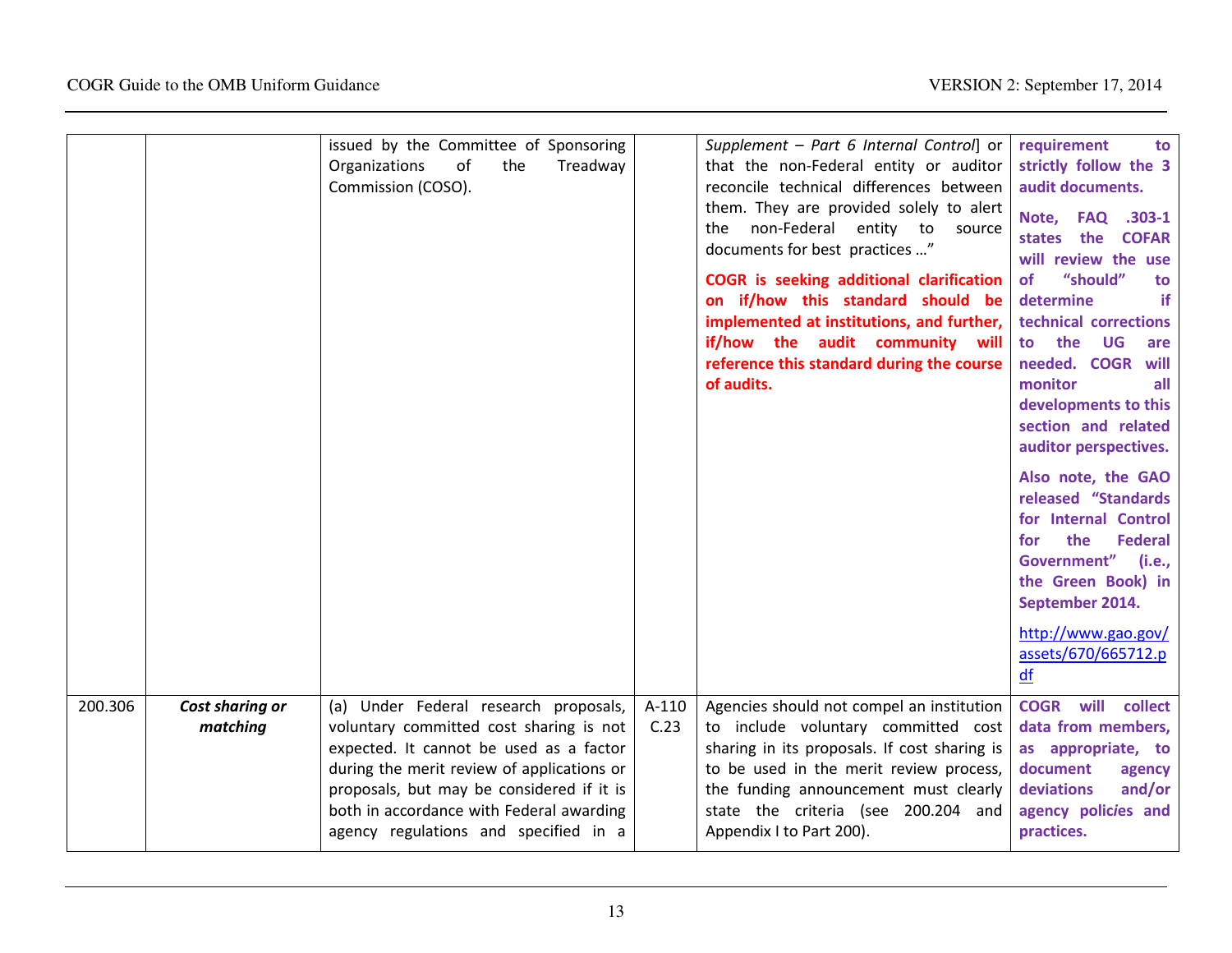|         |                             | issued by the Committee of Sponsoring<br>of<br>Organizations<br>the<br>Treadway<br>Commission (COSO).                                                                                                                                                                                                       |                 | Supplement - Part 6 Internal Control] or<br>that the non-Federal entity or auditor<br>reconcile technical differences between<br>them. They are provided solely to alert<br>non-Federal<br>entity to<br>the<br>source<br>documents for best practices "<br><b>COGR</b> is seeking additional clarification<br>on if/how this standard should be<br>implemented at institutions, and further,<br>if/how the audit community will<br>reference this standard during the course<br>of audits. | requirement<br>to<br>strictly follow the 3<br>audit documents.<br>$.303-1$<br>Note, FAQ<br><b>states</b><br>the<br><b>COFAR</b><br>will review the use<br>"should"<br><b>of</b><br>to<br>if<br>determine<br>technical corrections<br>to the<br>UG<br>are<br>needed. COGR<br>will<br>monitor<br>all<br>developments to this<br>section and related<br>auditor perspectives.<br>Also note, the GAO<br>released "Standards<br>for Internal Control<br>the<br><b>Federal</b><br>for<br>Government"<br>(i.e.,<br>the Green Book) in<br>September 2014.<br>http://www.gao.gov/<br>assets/670/665712.p<br>df |
|---------|-----------------------------|-------------------------------------------------------------------------------------------------------------------------------------------------------------------------------------------------------------------------------------------------------------------------------------------------------------|-----------------|--------------------------------------------------------------------------------------------------------------------------------------------------------------------------------------------------------------------------------------------------------------------------------------------------------------------------------------------------------------------------------------------------------------------------------------------------------------------------------------------|-------------------------------------------------------------------------------------------------------------------------------------------------------------------------------------------------------------------------------------------------------------------------------------------------------------------------------------------------------------------------------------------------------------------------------------------------------------------------------------------------------------------------------------------------------------------------------------------------------|
| 200.306 | Cost sharing or<br>matching | (a) Under Federal research proposals,<br>voluntary committed cost sharing is not<br>expected. It cannot be used as a factor<br>during the merit review of applications or<br>proposals, but may be considered if it is<br>both in accordance with Federal awarding<br>agency regulations and specified in a | $A-110$<br>C.23 | Agencies should not compel an institution<br>to include voluntary committed cost<br>sharing in its proposals. If cost sharing is<br>to be used in the merit review process,<br>the funding announcement must clearly<br>state the criteria (see 200.204 and<br>Appendix I to Part 200).                                                                                                                                                                                                    | <b>COGR</b> will<br>collect<br>data from members,<br>as appropriate, to<br>document<br>agency<br>deviations<br>and/or<br>agency policies and<br>practices.                                                                                                                                                                                                                                                                                                                                                                                                                                            |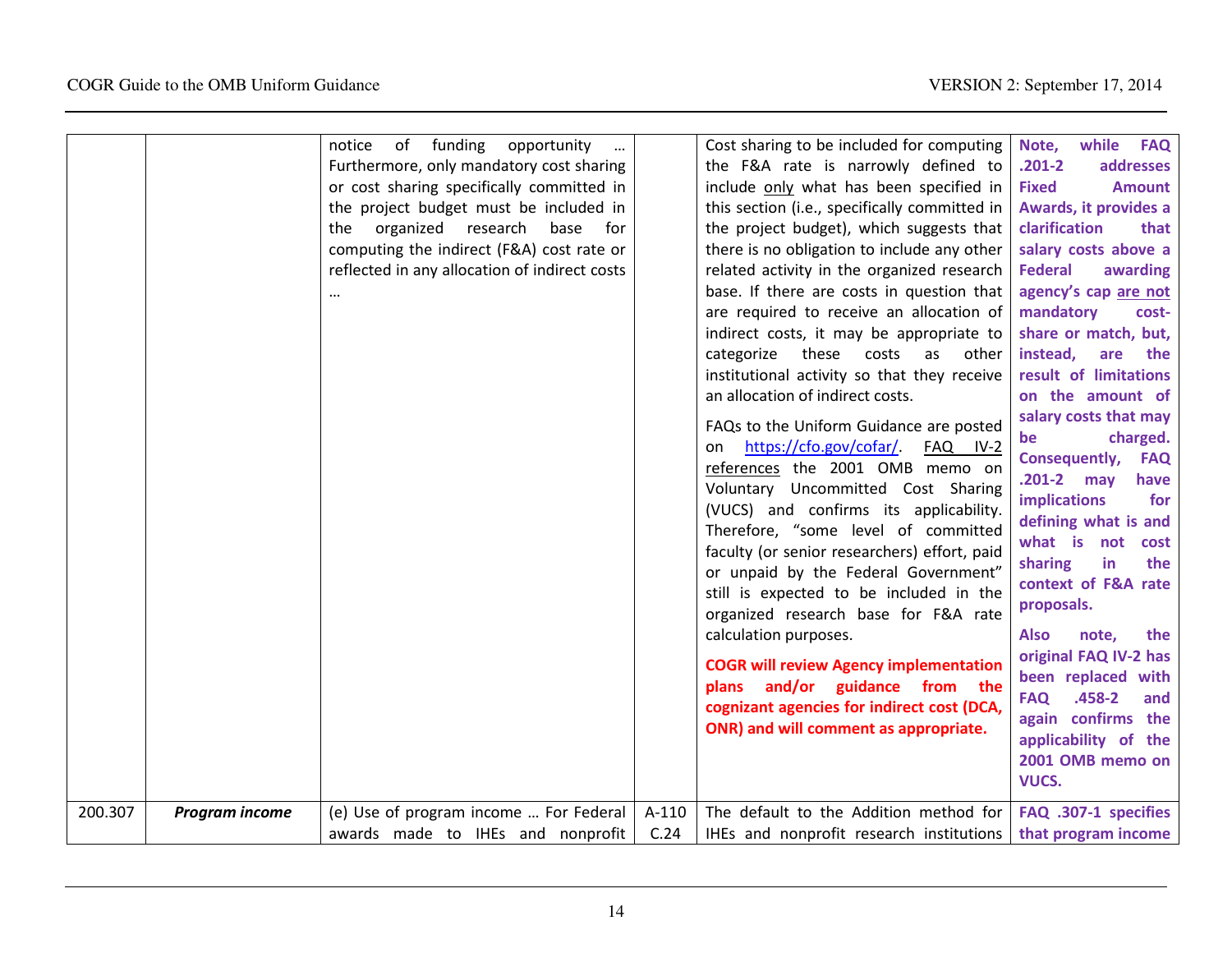|         |                       | of funding opportunity<br>notice<br>Furthermore, only mandatory cost sharing<br>or cost sharing specifically committed in<br>the project budget must be included in<br>organized<br>research<br>base<br>the<br>for<br>computing the indirect (F&A) cost rate or<br>reflected in any allocation of indirect costs |                 | Cost sharing to be included for computing<br>the F&A rate is narrowly defined to<br>include only what has been specified in<br>this section (i.e., specifically committed in<br>the project budget), which suggests that<br>there is no obligation to include any other<br>related activity in the organized research<br>base. If there are costs in question that<br>are required to receive an allocation of<br>indirect costs, it may be appropriate to<br>categorize<br>these<br>costs as<br>other<br>institutional activity so that they receive<br>an allocation of indirect costs.<br>FAQs to the Uniform Guidance are posted<br>https://cfo.gov/cofar/<br>FAQ IV-2<br>on<br>references the 2001 OMB memo on<br>Voluntary Uncommitted Cost Sharing<br>(VUCS) and confirms its applicability.<br>Therefore, "some level of committed<br>faculty (or senior researchers) effort, paid<br>or unpaid by the Federal Government"<br>still is expected to be included in the<br>organized research base for F&A rate<br>calculation purposes.<br><b>COGR will review Agency implementation</b><br>and/or guidance from the<br>plans<br>cognizant agencies for indirect cost (DCA,<br>ONR) and will comment as appropriate. | Note,<br>while<br><b>FAQ</b><br>$.201 - 2$<br>addresses<br><b>Fixed</b><br><b>Amount</b><br>Awards, it provides a<br>clarification<br>that<br>salary costs above a<br><b>Federal</b><br>awarding<br>agency's cap are not<br>mandatory<br>cost-<br>share or match, but,<br>instead,<br>the<br>are<br>result of limitations<br>on the amount of<br>salary costs that may<br>charged.<br>be<br>Consequently,<br><b>FAQ</b><br>$.201 - 2$<br>may<br>have<br><b>implications</b><br>for<br>defining what is and<br>what is not<br>cost<br>sharing<br>in<br>the<br>context of F&A rate<br>proposals.<br><b>Also</b><br>note,<br>the<br>original FAQ IV-2 has<br>been replaced with<br><b>FAQ</b><br>.458-2<br>and<br>again confirms the<br>applicability of the<br>2001 OMB memo on<br><b>VUCS.</b> |
|---------|-----------------------|------------------------------------------------------------------------------------------------------------------------------------------------------------------------------------------------------------------------------------------------------------------------------------------------------------------|-----------------|-----------------------------------------------------------------------------------------------------------------------------------------------------------------------------------------------------------------------------------------------------------------------------------------------------------------------------------------------------------------------------------------------------------------------------------------------------------------------------------------------------------------------------------------------------------------------------------------------------------------------------------------------------------------------------------------------------------------------------------------------------------------------------------------------------------------------------------------------------------------------------------------------------------------------------------------------------------------------------------------------------------------------------------------------------------------------------------------------------------------------------------------------------------------------------------------------------------------------------|-----------------------------------------------------------------------------------------------------------------------------------------------------------------------------------------------------------------------------------------------------------------------------------------------------------------------------------------------------------------------------------------------------------------------------------------------------------------------------------------------------------------------------------------------------------------------------------------------------------------------------------------------------------------------------------------------------------------------------------------------------------------------------------------------|
| 200.307 | <b>Program income</b> | (e) Use of program income  For Federal<br>awards made to IHEs and nonprofit                                                                                                                                                                                                                                      | $A-110$<br>C.24 | The default to the Addition method for<br>IHEs and nonprofit research institutions                                                                                                                                                                                                                                                                                                                                                                                                                                                                                                                                                                                                                                                                                                                                                                                                                                                                                                                                                                                                                                                                                                                                          | FAQ .307-1 specifies<br>that program income                                                                                                                                                                                                                                                                                                                                                                                                                                                                                                                                                                                                                                                                                                                                                   |
|         |                       |                                                                                                                                                                                                                                                                                                                  |                 |                                                                                                                                                                                                                                                                                                                                                                                                                                                                                                                                                                                                                                                                                                                                                                                                                                                                                                                                                                                                                                                                                                                                                                                                                             |                                                                                                                                                                                                                                                                                                                                                                                                                                                                                                                                                                                                                                                                                                                                                                                               |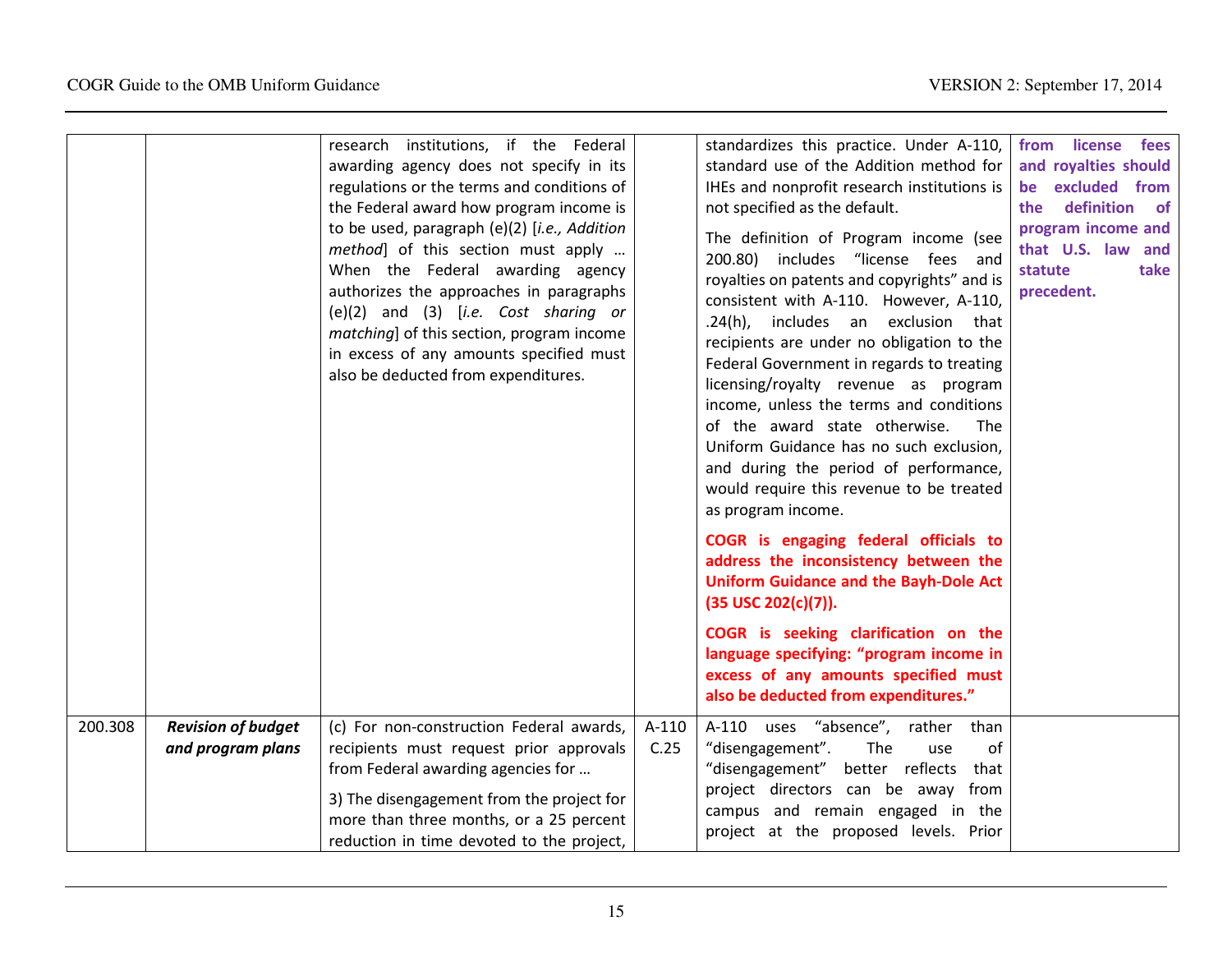|         |                           | research institutions, if the Federal<br>awarding agency does not specify in its<br>regulations or the terms and conditions of<br>the Federal award how program income is<br>to be used, paragraph (e)(2) [i.e., Addition<br>method] of this section must apply<br>When the Federal awarding agency<br>authorizes the approaches in paragraphs<br>$(e)(2)$ and $(3)$ [ <i>i.e.</i> Cost sharing or<br>matching] of this section, program income<br>in excess of any amounts specified must<br>also be deducted from expenditures. |         | standardizes this practice. Under A-110,<br>standard use of the Addition method for<br>IHEs and nonprofit research institutions is<br>not specified as the default.<br>The definition of Program income (see<br>200.80) includes "license fees and<br>royalties on patents and copyrights" and is<br>consistent with A-110. However, A-110,<br>.24(h), includes an exclusion that<br>recipients are under no obligation to the<br>Federal Government in regards to treating<br>licensing/royalty revenue as program<br>income, unless the terms and conditions<br>of the award state otherwise.<br><b>The</b><br>Uniform Guidance has no such exclusion,<br>and during the period of performance,<br>would require this revenue to be treated<br>as program income. | from license fees<br>and royalties should<br>be excluded from<br>definition<br>the<br><b>of</b><br>program income and<br>that U.S. law and<br>statute<br>take<br>precedent. |
|---------|---------------------------|-----------------------------------------------------------------------------------------------------------------------------------------------------------------------------------------------------------------------------------------------------------------------------------------------------------------------------------------------------------------------------------------------------------------------------------------------------------------------------------------------------------------------------------|---------|---------------------------------------------------------------------------------------------------------------------------------------------------------------------------------------------------------------------------------------------------------------------------------------------------------------------------------------------------------------------------------------------------------------------------------------------------------------------------------------------------------------------------------------------------------------------------------------------------------------------------------------------------------------------------------------------------------------------------------------------------------------------|-----------------------------------------------------------------------------------------------------------------------------------------------------------------------------|
|         |                           |                                                                                                                                                                                                                                                                                                                                                                                                                                                                                                                                   |         | COGR is engaging federal officials to<br>address the inconsistency between the<br><b>Uniform Guidance and the Bayh-Dole Act</b><br>(35 USC 202(c)(7)).                                                                                                                                                                                                                                                                                                                                                                                                                                                                                                                                                                                                              |                                                                                                                                                                             |
|         |                           |                                                                                                                                                                                                                                                                                                                                                                                                                                                                                                                                   |         | COGR is seeking clarification on the<br>language specifying: "program income in<br>excess of any amounts specified must<br>also be deducted from expenditures."                                                                                                                                                                                                                                                                                                                                                                                                                                                                                                                                                                                                     |                                                                                                                                                                             |
| 200.308 | <b>Revision of budget</b> | (c) For non-construction Federal awards,                                                                                                                                                                                                                                                                                                                                                                                                                                                                                          | $A-110$ | A-110 uses "absence", rather<br>than                                                                                                                                                                                                                                                                                                                                                                                                                                                                                                                                                                                                                                                                                                                                |                                                                                                                                                                             |
|         | and program plans         | recipients must request prior approvals                                                                                                                                                                                                                                                                                                                                                                                                                                                                                           | C.25    | "disengagement".<br>The<br>of<br>use                                                                                                                                                                                                                                                                                                                                                                                                                                                                                                                                                                                                                                                                                                                                |                                                                                                                                                                             |
|         |                           | from Federal awarding agencies for                                                                                                                                                                                                                                                                                                                                                                                                                                                                                                |         | better reflects<br>"disengagement"<br>that<br>project directors can be away from                                                                                                                                                                                                                                                                                                                                                                                                                                                                                                                                                                                                                                                                                    |                                                                                                                                                                             |
|         |                           | 3) The disengagement from the project for<br>more than three months, or a 25 percent                                                                                                                                                                                                                                                                                                                                                                                                                                              |         | campus and remain engaged in the                                                                                                                                                                                                                                                                                                                                                                                                                                                                                                                                                                                                                                                                                                                                    |                                                                                                                                                                             |
|         |                           | reduction in time devoted to the project,                                                                                                                                                                                                                                                                                                                                                                                                                                                                                         |         | project at the proposed levels. Prior                                                                                                                                                                                                                                                                                                                                                                                                                                                                                                                                                                                                                                                                                                                               |                                                                                                                                                                             |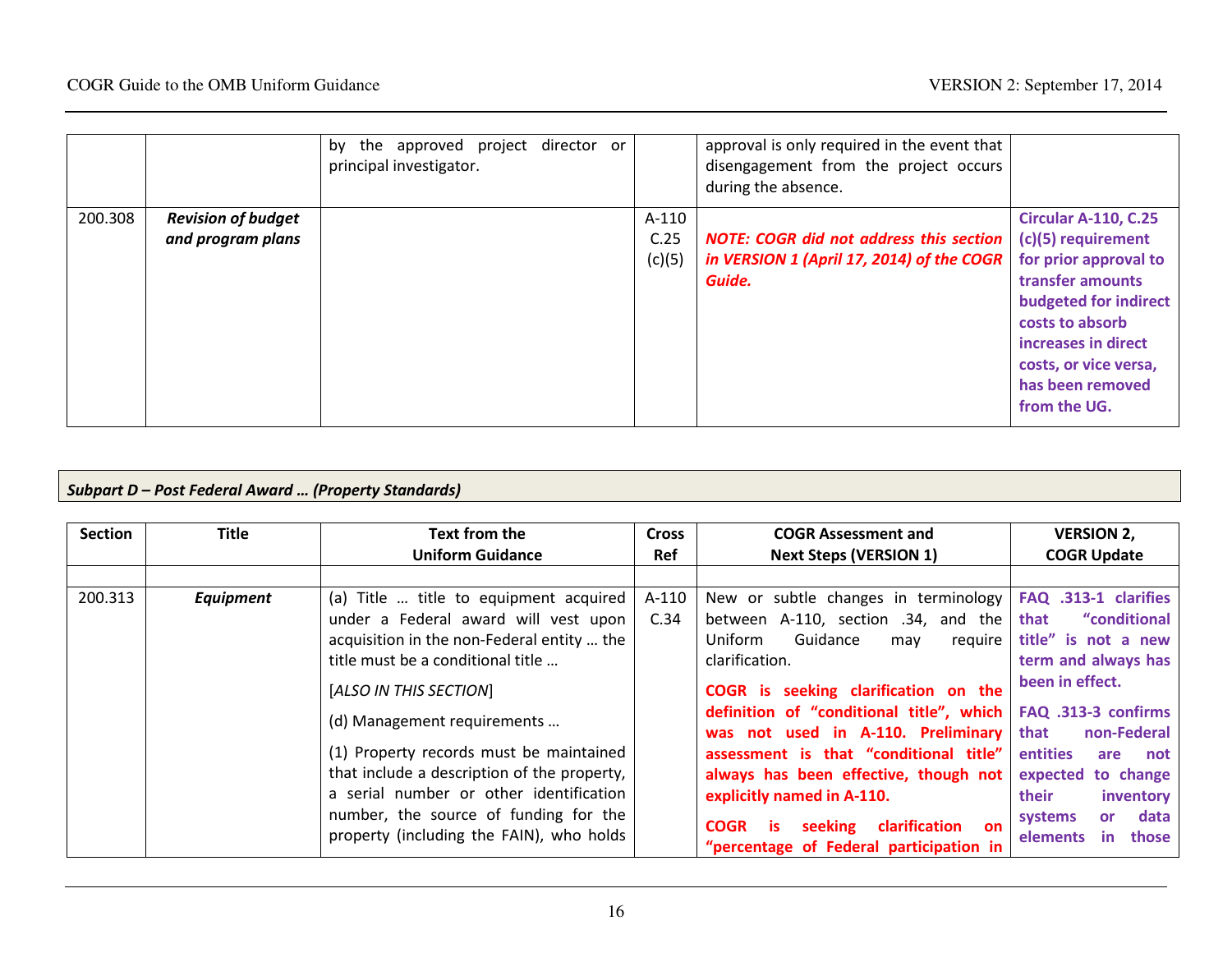|         |                           | the approved project director or<br>by |        | approval is only required in the event that    |                             |
|---------|---------------------------|----------------------------------------|--------|------------------------------------------------|-----------------------------|
|         |                           | principal investigator.                |        | disengagement from the project occurs          |                             |
|         |                           |                                        |        | during the absence.                            |                             |
| 200.308 | <b>Revision of budget</b> |                                        | A-110  |                                                | <b>Circular A-110, C.25</b> |
|         | and program plans         |                                        | C.25   | <b>NOTE: COGR did not address this section</b> | (c)(5) requirement          |
|         |                           |                                        | (c)(5) | in VERSION 1 (April 17, 2014) of the COGR      | for prior approval to       |
|         |                           |                                        |        | Guide.                                         | transfer amounts            |
|         |                           |                                        |        |                                                | budgeted for indirect       |
|         |                           |                                        |        |                                                | costs to absorb             |
|         |                           |                                        |        |                                                | increases in direct         |
|         |                           |                                        |        |                                                | costs, or vice versa,       |
|         |                           |                                        |        |                                                | has been removed            |
|         |                           |                                        |        |                                                | from the UG.                |
|         |                           |                                        |        |                                                |                             |

# Subpart D – Post Federal Award … (Property Standards)

| <b>Section</b> | <b>Title</b> | Text from the                               | <b>Cross</b> | <b>COGR Assessment and</b>                                                     | <b>VERSION 2,</b>                          |
|----------------|--------------|---------------------------------------------|--------------|--------------------------------------------------------------------------------|--------------------------------------------|
|                |              | <b>Uniform Guidance</b>                     | <b>Ref</b>   | <b>Next Steps (VERSION 1)</b>                                                  | <b>COGR Update</b>                         |
|                |              |                                             |              |                                                                                |                                            |
| 200.313        | Equipment    | (a) Title  title to equipment acquired      | A-110        | New or subtle changes in terminology   FAQ .313-1 clarifies                    |                                            |
|                |              | under a Federal award will vest upon        | C.34         | between A-110, section .34, and the                                            | "conditional<br>that                       |
|                |              | acquisition in the non-Federal entity  the  |              | Guidance<br>Uniform<br>require<br>may                                          | title" is not a new                        |
|                |              | title must be a conditional title           |              | clarification.                                                                 | term and always has                        |
|                |              | [ALSO IN THIS SECTION]                      |              | COGR is seeking clarification on the                                           | been in effect.                            |
|                |              | (d) Management requirements                 |              | definition of "conditional title", which<br>was not used in A-110. Preliminary | FAQ .313-3 confirms<br>that<br>non-Federal |
|                |              | (1) Property records must be maintained     |              | assessment is that "conditional title"                                         | <b>entities</b><br>are not                 |
|                |              | that include a description of the property, |              | always has been effective, though not                                          | expected to change                         |
|                |              | a serial number or other identification     |              | explicitly named in A-110.                                                     | their<br>inventory                         |
|                |              | number, the source of funding for the       |              | clarification<br><b>COGR</b><br>seeking<br>is.<br><b>on</b>                    | data<br>systems<br><b>or</b>               |
|                |              | property (including the FAIN), who holds    |              | "percentage of Federal participation in                                        | in.<br>those<br>elements                   |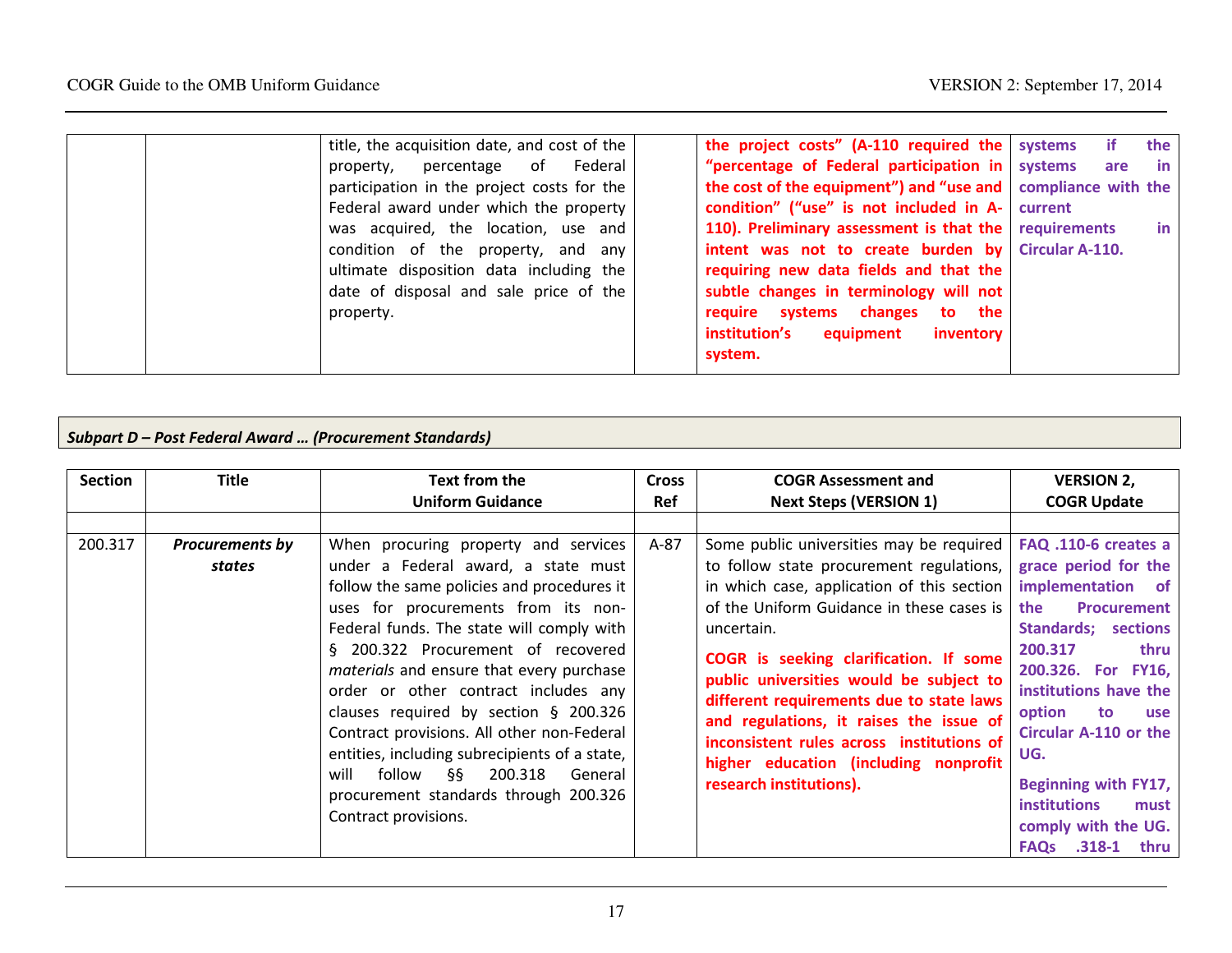| title, the acquisition date, and cost of the | the project costs" $(A-110$ required the systems               | if i | the       |
|----------------------------------------------|----------------------------------------------------------------|------|-----------|
| property, percentage of Federal              | "percentage of Federal participation in systems                |      | are in    |
| participation in the project costs for the   | the cost of the equipment") and "use and   compliance with the |      |           |
| Federal award under which the property       | condition" ("use" is not included in A- current                |      |           |
| was acquired, the location, use and          | 110). Preliminary assessment is that the requirements          |      | <b>in</b> |
| condition of the property, and any           | intent was not to create burden by Circular A-110.             |      |           |
| ultimate disposition data including the      | requiring new data fields and that the                         |      |           |
| date of disposal and sale price of the       | subtle changes in terminology will not                         |      |           |
| property.                                    | require systems changes to the                                 |      |           |
|                                              | institution's<br>equipment<br><i>inventory</i>                 |      |           |
|                                              | system.                                                        |      |           |

#### Subpart D – Post Federal Award … (Procurement Standards)

| <b>Section</b> | <b>Title</b>           | Text from the                                                                                                                                                                                                                                                                                                                                                                    | <b>Cross</b> | <b>COGR Assessment and</b>                                                                                                                                                                                                                                                                | <b>VERSION 2,</b>                                                                                                                                                                                                                        |
|----------------|------------------------|----------------------------------------------------------------------------------------------------------------------------------------------------------------------------------------------------------------------------------------------------------------------------------------------------------------------------------------------------------------------------------|--------------|-------------------------------------------------------------------------------------------------------------------------------------------------------------------------------------------------------------------------------------------------------------------------------------------|------------------------------------------------------------------------------------------------------------------------------------------------------------------------------------------------------------------------------------------|
|                |                        | <b>Uniform Guidance</b>                                                                                                                                                                                                                                                                                                                                                          | <b>Ref</b>   | <b>Next Steps (VERSION 1)</b>                                                                                                                                                                                                                                                             | <b>COGR Update</b>                                                                                                                                                                                                                       |
|                |                        |                                                                                                                                                                                                                                                                                                                                                                                  |              |                                                                                                                                                                                                                                                                                           |                                                                                                                                                                                                                                          |
| 200.317        | <b>Procurements by</b> | When procuring property and services                                                                                                                                                                                                                                                                                                                                             | A-87         | Some public universities may be required                                                                                                                                                                                                                                                  | FAQ .110-6 creates a                                                                                                                                                                                                                     |
|                | states                 | under a Federal award, a state must                                                                                                                                                                                                                                                                                                                                              |              | to follow state procurement regulations,                                                                                                                                                                                                                                                  | grace period for the                                                                                                                                                                                                                     |
|                |                        | follow the same policies and procedures it                                                                                                                                                                                                                                                                                                                                       |              | in which case, application of this section                                                                                                                                                                                                                                                | implementation of                                                                                                                                                                                                                        |
|                |                        | uses for procurements from its non-                                                                                                                                                                                                                                                                                                                                              |              | of the Uniform Guidance in these cases is                                                                                                                                                                                                                                                 | the<br><b>Procurement</b>                                                                                                                                                                                                                |
|                |                        | Federal funds. The state will comply with                                                                                                                                                                                                                                                                                                                                        |              | uncertain.                                                                                                                                                                                                                                                                                | <b>Standards; sections</b>                                                                                                                                                                                                               |
|                |                        | § 200.322 Procurement of recovered<br>materials and ensure that every purchase<br>order or other contract includes any<br>clauses required by section $\S$ 200.326<br>Contract provisions. All other non-Federal<br>entities, including subrecipients of a state,<br>follow<br>§§<br>200.318<br>General<br>will<br>procurement standards through 200.326<br>Contract provisions. |              | COGR is seeking clarification. If some<br>public universities would be subject to<br>different requirements due to state laws<br>and regulations, it raises the issue of<br>inconsistent rules across institutions of<br>higher education (including nonprofit<br>research institutions). | 200.317<br>thru<br>200.326. For FY16,<br>institutions have the<br>option<br>to<br>use<br><b>Circular A-110 or the</b><br>UG.<br>Beginning with FY17,<br><b>institutions</b><br>must<br>comply with the UG.<br><b>FAQs .318-1</b><br>thru |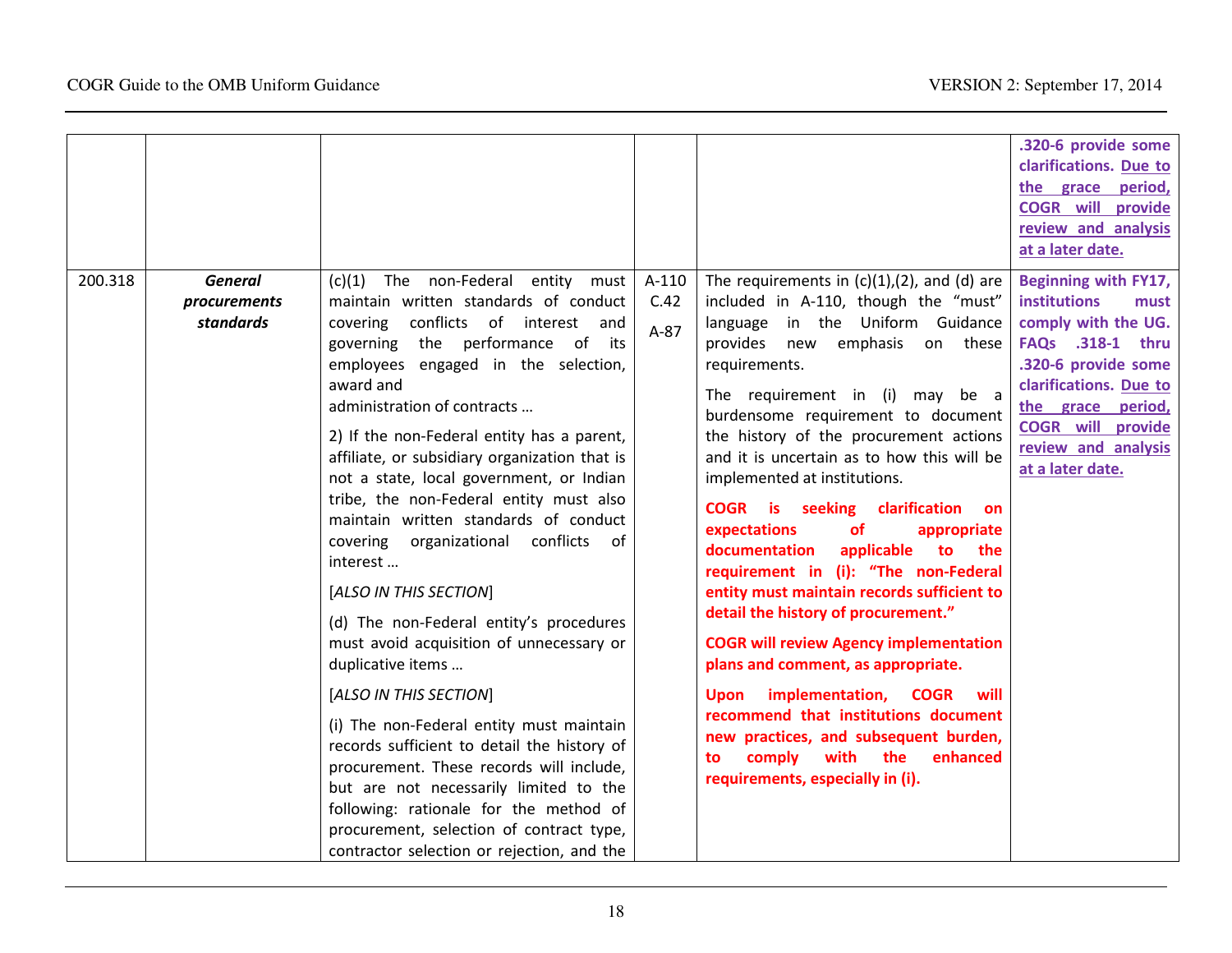|         |                                             |                                                                                                                                                                                                                                                                                                                                                                                                                                                                                                                                                                                                                                                                                                                                                                                                                                                                                                                                                                                                                                 |                         |                                                                                                                                                                                                                                                                                                                                                                                                                                                                                                                                                                                                                                                                                                                                                                                                                                                                                                                                                                             | .320-6 provide some<br>clarifications. Due to<br>the grace period,<br><b>COGR</b> will provide<br>review and analysis<br>at a later date.                                                                                                   |
|---------|---------------------------------------------|---------------------------------------------------------------------------------------------------------------------------------------------------------------------------------------------------------------------------------------------------------------------------------------------------------------------------------------------------------------------------------------------------------------------------------------------------------------------------------------------------------------------------------------------------------------------------------------------------------------------------------------------------------------------------------------------------------------------------------------------------------------------------------------------------------------------------------------------------------------------------------------------------------------------------------------------------------------------------------------------------------------------------------|-------------------------|-----------------------------------------------------------------------------------------------------------------------------------------------------------------------------------------------------------------------------------------------------------------------------------------------------------------------------------------------------------------------------------------------------------------------------------------------------------------------------------------------------------------------------------------------------------------------------------------------------------------------------------------------------------------------------------------------------------------------------------------------------------------------------------------------------------------------------------------------------------------------------------------------------------------------------------------------------------------------------|---------------------------------------------------------------------------------------------------------------------------------------------------------------------------------------------------------------------------------------------|
| 200.318 | <b>General</b><br>procurements<br>standards | non-Federal<br>entity must<br>(c)(1)<br>The<br>maintain written standards of conduct<br>conflicts of interest and<br>covering<br>governing the performance of its<br>employees engaged in the selection,<br>award and<br>administration of contracts<br>2) If the non-Federal entity has a parent,<br>affiliate, or subsidiary organization that is<br>not a state, local government, or Indian<br>tribe, the non-Federal entity must also<br>maintain written standards of conduct<br>covering organizational conflicts<br>of<br>interest<br>[ALSO IN THIS SECTION]<br>(d) The non-Federal entity's procedures<br>must avoid acquisition of unnecessary or<br>duplicative items<br>[ALSO IN THIS SECTION]<br>(i) The non-Federal entity must maintain<br>records sufficient to detail the history of<br>procurement. These records will include,<br>but are not necessarily limited to the<br>following: rationale for the method of<br>procurement, selection of contract type,<br>contractor selection or rejection, and the | A-110<br>C.42<br>$A-87$ | The requirements in $(c)(1)$ , $(2)$ , and $(d)$ are<br>included in A-110, though the "must"<br>language in the Uniform Guidance<br>emphasis on these<br>provides new<br>requirements.<br>The requirement in (i) may be a<br>burdensome requirement to document<br>the history of the procurement actions<br>and it is uncertain as to how this will be<br>implemented at institutions.<br><b>COGR</b> is seeking clarification<br><b>on</b><br>expectations<br><b>of</b><br>appropriate<br>documentation<br>applicable<br>to<br>the<br>requirement in (i): "The non-Federal<br>entity must maintain records sufficient to<br>detail the history of procurement."<br><b>COGR will review Agency implementation</b><br>plans and comment, as appropriate.<br>implementation,<br><b>COGR</b><br>will<br><b>Upon</b><br>recommend that institutions document<br>new practices, and subsequent burden,<br>comply with the<br>enhanced<br>to<br>requirements, especially in (i). | Beginning with FY17,<br><b>institutions</b><br>must<br>comply with the UG.<br>FAQs .318-1 thru<br>.320-6 provide some<br>clarifications. Due to<br>the grace period,<br><b>COGR</b> will provide<br>review and analysis<br>at a later date. |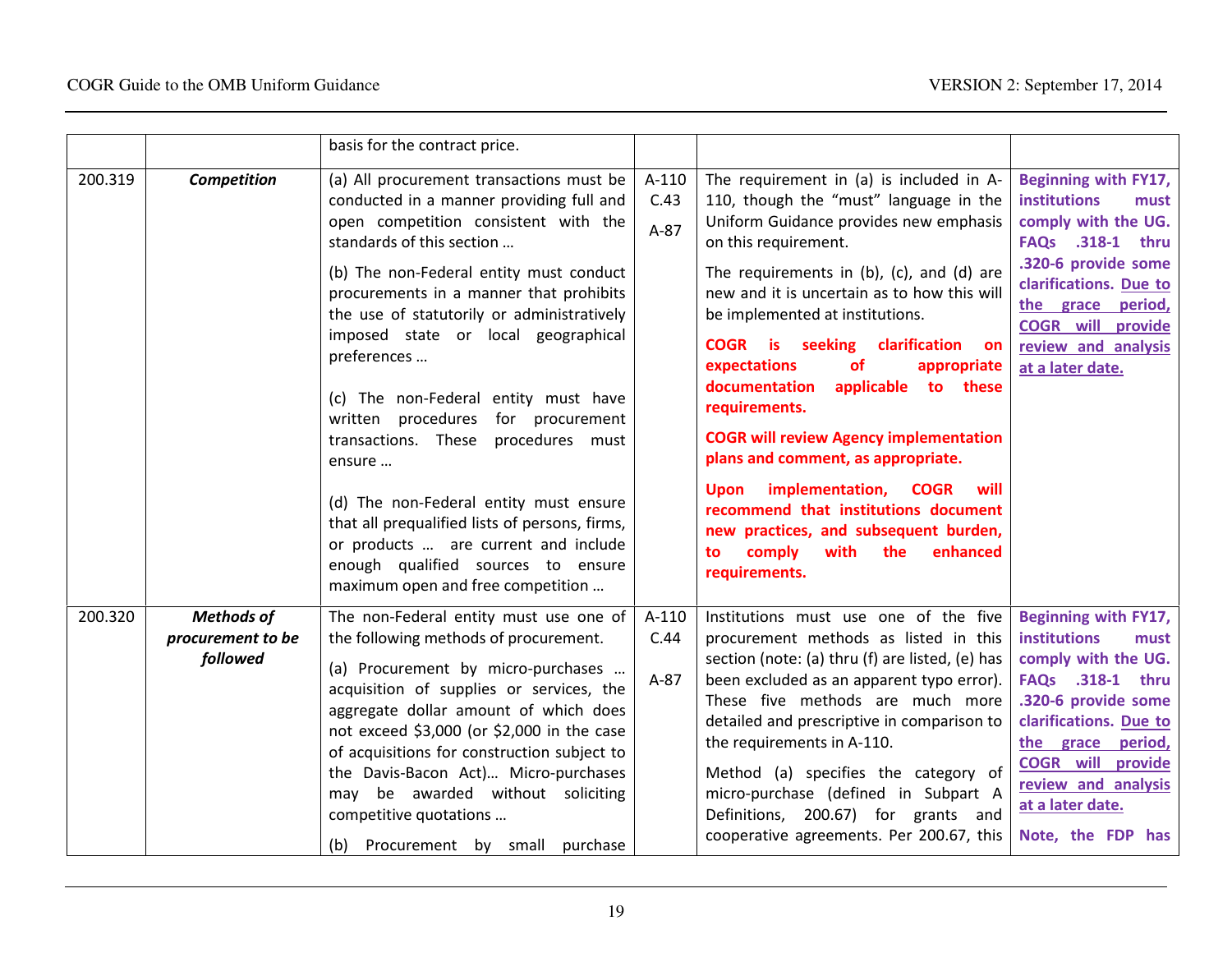|         |                                                    | basis for the contract price.                                                                                                                                                                                                                                                                                                                                                                                                                                                                                                                                                                                                                                                                        |                           |                                                                                                                                                                                                                                                                                                                                                                                                                                                                                                                                                                                                                                                                                                                         |                                                                                                                                                                                                                                                           |
|---------|----------------------------------------------------|------------------------------------------------------------------------------------------------------------------------------------------------------------------------------------------------------------------------------------------------------------------------------------------------------------------------------------------------------------------------------------------------------------------------------------------------------------------------------------------------------------------------------------------------------------------------------------------------------------------------------------------------------------------------------------------------------|---------------------------|-------------------------------------------------------------------------------------------------------------------------------------------------------------------------------------------------------------------------------------------------------------------------------------------------------------------------------------------------------------------------------------------------------------------------------------------------------------------------------------------------------------------------------------------------------------------------------------------------------------------------------------------------------------------------------------------------------------------------|-----------------------------------------------------------------------------------------------------------------------------------------------------------------------------------------------------------------------------------------------------------|
| 200.319 | Competition                                        | (a) All procurement transactions must be<br>conducted in a manner providing full and<br>open competition consistent with the<br>standards of this section<br>(b) The non-Federal entity must conduct<br>procurements in a manner that prohibits<br>the use of statutorily or administratively<br>imposed state or local geographical<br>preferences<br>(c) The non-Federal entity must have<br>written procedures for procurement<br>transactions. These<br>procedures must<br>ensure<br>(d) The non-Federal entity must ensure<br>that all prequalified lists of persons, firms,<br>or products  are current and include<br>enough qualified sources to ensure<br>maximum open and free competition | $A-110$<br>C.43<br>$A-87$ | The requirement in (a) is included in A-<br>110, though the "must" language in the<br>Uniform Guidance provides new emphasis<br>on this requirement.<br>The requirements in $(b)$ , $(c)$ , and $(d)$ are<br>new and it is uncertain as to how this will<br>be implemented at institutions.<br>COGR is seeking clarification on<br>expectations<br><b>of</b><br>appropriate<br>documentation<br>applicable to these<br>requirements.<br><b>COGR will review Agency implementation</b><br>plans and comment, as appropriate.<br>implementation, COGR<br>will<br><b>Upon</b><br>recommend that institutions document<br>new practices, and subsequent burden,<br>comply<br>with<br>the<br>enhanced<br>to<br>requirements. | Beginning with FY17,<br><b>institutions</b><br>must<br>comply with the UG.<br>FAQs .318-1 thru<br>.320-6 provide some<br>clarifications. Due to<br>the grace period,<br><b>COGR will provide</b><br>review and analysis<br>at a later date.               |
| 200.320 | <b>Methods of</b><br>procurement to be<br>followed | The non-Federal entity must use one of<br>the following methods of procurement.<br>(a) Procurement by micro-purchases<br>acquisition of supplies or services, the<br>aggregate dollar amount of which does<br>not exceed \$3,000 (or \$2,000 in the case<br>of acquisitions for construction subject to<br>the Davis-Bacon Act) Micro-purchases<br>may be awarded without soliciting<br>competitive quotations<br>(b) Procurement by small purchase                                                                                                                                                                                                                                                  | $A-110$<br>C.44<br>$A-87$ | Institutions must use one of the five<br>procurement methods as listed in this<br>section (note: (a) thru (f) are listed, (e) has<br>been excluded as an apparent typo error).<br>These five methods are much more<br>detailed and prescriptive in comparison to<br>the requirements in A-110.<br>Method (a) specifies the category of<br>micro-purchase (defined in Subpart A<br>Definitions, 200.67) for grants and<br>cooperative agreements. Per 200.67, this                                                                                                                                                                                                                                                       | Beginning with FY17,<br>institutions<br>must<br>comply with the UG.<br>FAQs .318-1 thru<br>.320-6 provide some<br>clarifications. Due to<br>the grace period,<br><b>COGR</b> will provide<br>review and analysis<br>at a later date.<br>Note, the FDP has |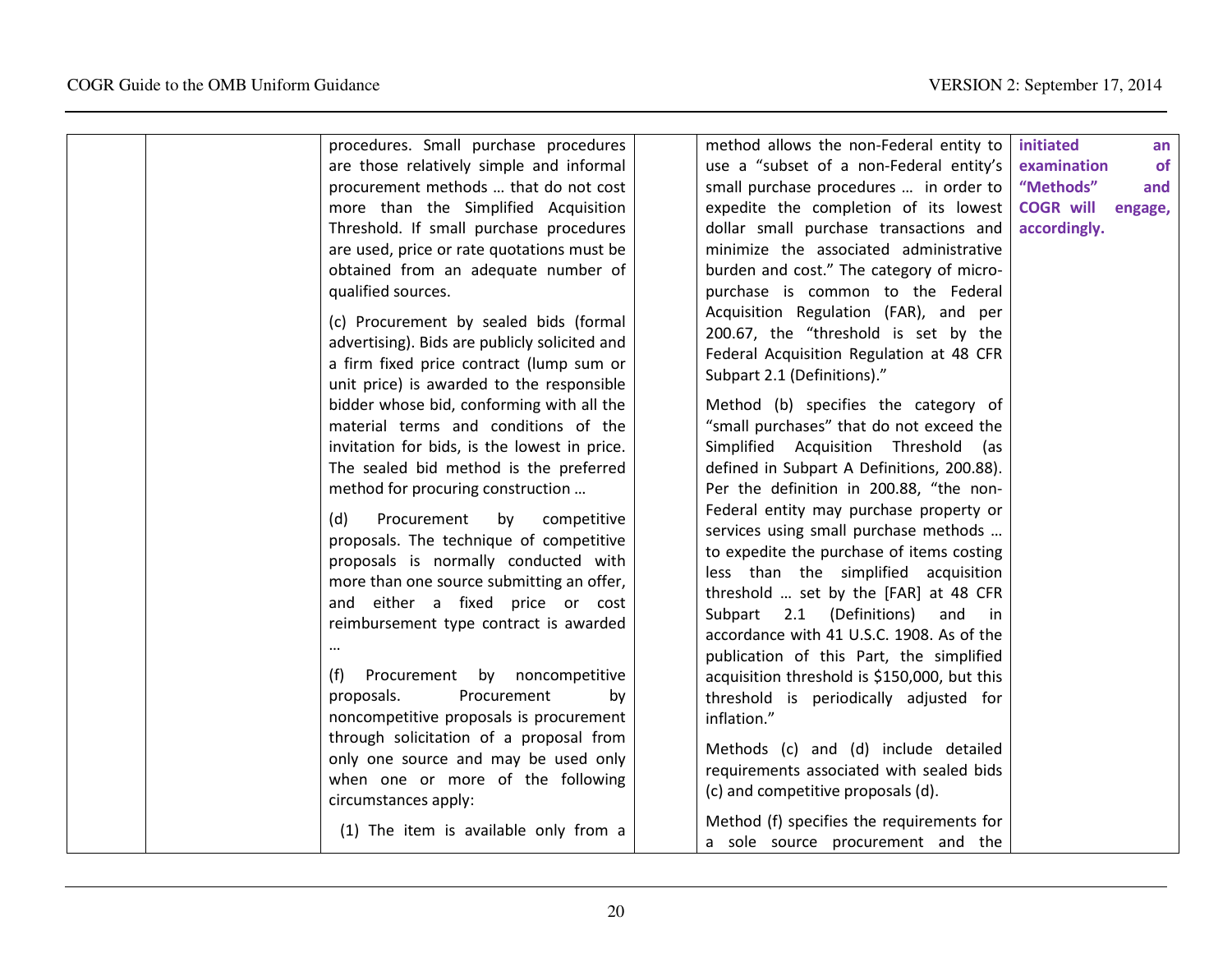| procedures. Small purchase procedures                                                                                                                                                                                                                                                                                                                                                                | method allows the non-Federal entity to                                                                                                                                                                                                                                                                                                                                                                                     | initiated        | an      |
|------------------------------------------------------------------------------------------------------------------------------------------------------------------------------------------------------------------------------------------------------------------------------------------------------------------------------------------------------------------------------------------------------|-----------------------------------------------------------------------------------------------------------------------------------------------------------------------------------------------------------------------------------------------------------------------------------------------------------------------------------------------------------------------------------------------------------------------------|------------------|---------|
| are those relatively simple and informal                                                                                                                                                                                                                                                                                                                                                             | use a "subset of a non-Federal entity's                                                                                                                                                                                                                                                                                                                                                                                     | examination      | of      |
| procurement methods  that do not cost                                                                                                                                                                                                                                                                                                                                                                | small purchase procedures  in order to                                                                                                                                                                                                                                                                                                                                                                                      | "Methods"        | and     |
| more than the Simplified Acquisition                                                                                                                                                                                                                                                                                                                                                                 | expedite the completion of its lowest                                                                                                                                                                                                                                                                                                                                                                                       | <b>COGR will</b> | engage, |
| Threshold. If small purchase procedures                                                                                                                                                                                                                                                                                                                                                              | dollar small purchase transactions and                                                                                                                                                                                                                                                                                                                                                                                      | accordingly.     |         |
| are used, price or rate quotations must be                                                                                                                                                                                                                                                                                                                                                           | minimize the associated administrative                                                                                                                                                                                                                                                                                                                                                                                      |                  |         |
| obtained from an adequate number of                                                                                                                                                                                                                                                                                                                                                                  | burden and cost." The category of micro-                                                                                                                                                                                                                                                                                                                                                                                    |                  |         |
| qualified sources.                                                                                                                                                                                                                                                                                                                                                                                   | purchase is common to the Federal                                                                                                                                                                                                                                                                                                                                                                                           |                  |         |
| (c) Procurement by sealed bids (formal<br>advertising). Bids are publicly solicited and<br>a firm fixed price contract (lump sum or<br>unit price) is awarded to the responsible<br>bidder whose bid, conforming with all the<br>material terms and conditions of the<br>invitation for bids, is the lowest in price.<br>The sealed bid method is the preferred<br>method for procuring construction | Acquisition Regulation (FAR), and per<br>200.67, the "threshold is set by the<br>Federal Acquisition Regulation at 48 CFR<br>Subpart 2.1 (Definitions)."<br>Method (b) specifies the category of<br>"small purchases" that do not exceed the<br>Simplified Acquisition Threshold<br>(as<br>defined in Subpart A Definitions, 200.88).<br>Per the definition in 200.88, "the non-<br>Federal entity may purchase property or |                  |         |
| Procurement<br>by<br>(d)<br>competitive<br>proposals. The technique of competitive<br>proposals is normally conducted with<br>more than one source submitting an offer,<br>and either a fixed price or cost<br>reimbursement type contract is awarded                                                                                                                                                | services using small purchase methods<br>to expedite the purchase of items costing<br>less than the simplified acquisition<br>threshold  set by the [FAR] at 48 CFR<br>Subpart 2.1 (Definitions)<br>and in<br>accordance with 41 U.S.C. 1908. As of the<br>publication of this Part, the simplified                                                                                                                         |                  |         |
| Procurement by noncompetitive<br>(f)                                                                                                                                                                                                                                                                                                                                                                 | acquisition threshold is \$150,000, but this                                                                                                                                                                                                                                                                                                                                                                                |                  |         |
| Procurement<br>proposals.<br>by<br>noncompetitive proposals is procurement                                                                                                                                                                                                                                                                                                                           | threshold is periodically adjusted for<br>inflation."                                                                                                                                                                                                                                                                                                                                                                       |                  |         |
| through solicitation of a proposal from                                                                                                                                                                                                                                                                                                                                                              |                                                                                                                                                                                                                                                                                                                                                                                                                             |                  |         |
| only one source and may be used only<br>when one or more of the following<br>circumstances apply:                                                                                                                                                                                                                                                                                                    | Methods (c) and (d) include detailed<br>requirements associated with sealed bids<br>(c) and competitive proposals (d).                                                                                                                                                                                                                                                                                                      |                  |         |
| (1) The item is available only from a                                                                                                                                                                                                                                                                                                                                                                | Method (f) specifies the requirements for<br>a sole source procurement and the                                                                                                                                                                                                                                                                                                                                              |                  |         |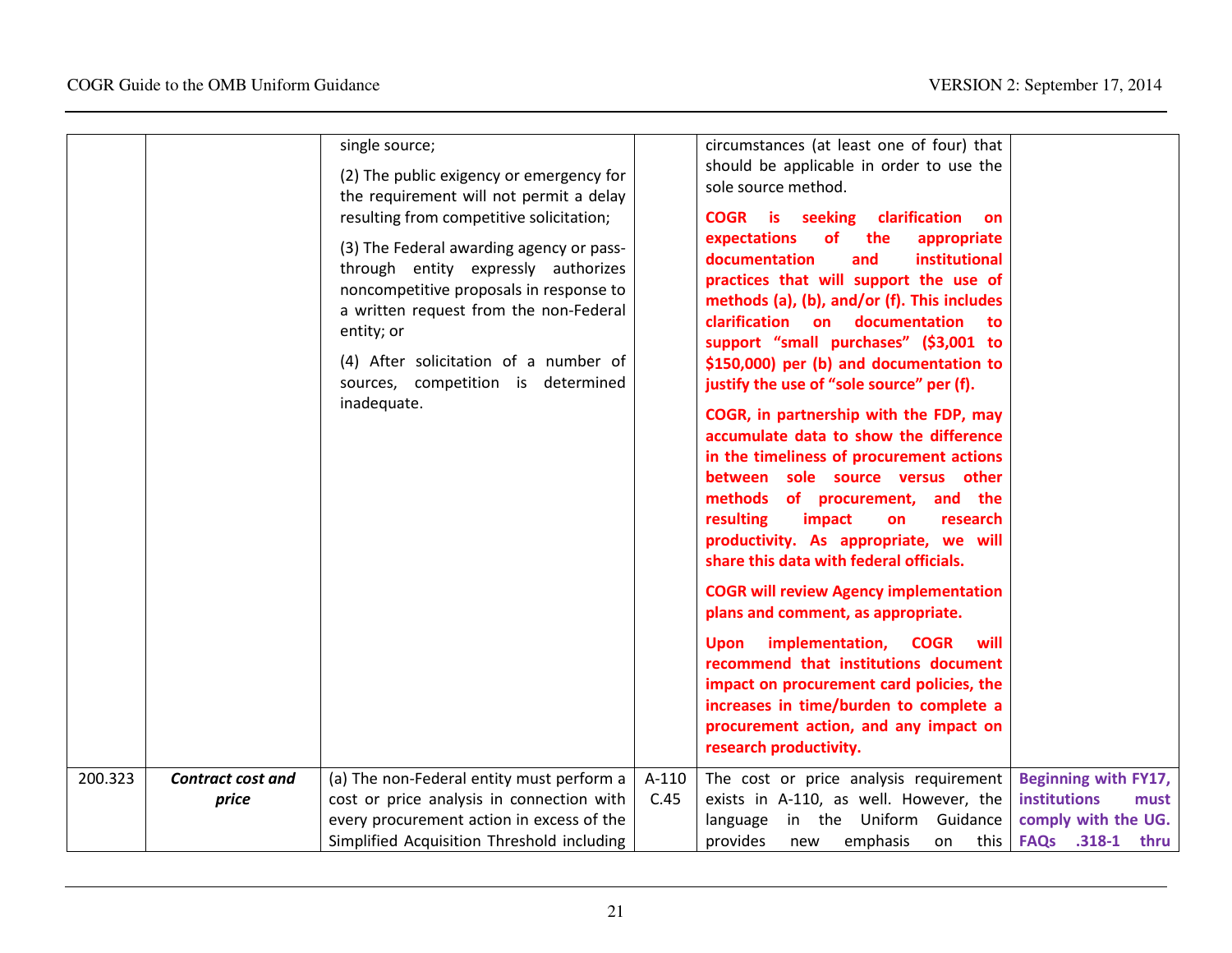|                                              | single source;<br>(2) The public exigency or emergency for<br>the requirement will not permit a delay<br>resulting from competitive solicitation;<br>(3) The Federal awarding agency or pass-<br>through entity expressly authorizes<br>noncompetitive proposals in response to<br>a written request from the non-Federal<br>entity; or<br>(4) After solicitation of a number of<br>sources, competition is determined<br>inadequate. |               | circumstances (at least one of four) that<br>should be applicable in order to use the<br>sole source method.<br><b>COGR</b> is seeking<br>clarification<br><b>on</b><br>expectations<br><b>of</b><br>the<br>appropriate<br>documentation<br>and<br>institutional<br>practices that will support the use of<br>methods (a), (b), and/or (f). This includes<br>clarification on documentation<br>to<br>support "small purchases" (\$3,001 to<br>\$150,000) per (b) and documentation to<br>justify the use of "sole source" per (f).<br>COGR, in partnership with the FDP, may<br>accumulate data to show the difference<br>in the timeliness of procurement actions<br>between sole source versus other<br>methods of procurement,<br>and the<br>resulting<br>impact<br>research<br>on<br>productivity. As appropriate, we will<br>share this data with federal officials.<br><b>COGR will review Agency implementation</b><br>plans and comment, as appropriate.<br>implementation,<br><b>COGR</b><br>will<br><b>Upon</b><br>recommend that institutions document<br>impact on procurement card policies, the<br>increases in time/burden to complete a<br>procurement action, and any impact on<br>research productivity. |                                                                                         |
|----------------------------------------------|---------------------------------------------------------------------------------------------------------------------------------------------------------------------------------------------------------------------------------------------------------------------------------------------------------------------------------------------------------------------------------------------------------------------------------------|---------------|----------------------------------------------------------------------------------------------------------------------------------------------------------------------------------------------------------------------------------------------------------------------------------------------------------------------------------------------------------------------------------------------------------------------------------------------------------------------------------------------------------------------------------------------------------------------------------------------------------------------------------------------------------------------------------------------------------------------------------------------------------------------------------------------------------------------------------------------------------------------------------------------------------------------------------------------------------------------------------------------------------------------------------------------------------------------------------------------------------------------------------------------------------------------------------------------------------------------------|-----------------------------------------------------------------------------------------|
|                                              |                                                                                                                                                                                                                                                                                                                                                                                                                                       |               |                                                                                                                                                                                                                                                                                                                                                                                                                                                                                                                                                                                                                                                                                                                                                                                                                                                                                                                                                                                                                                                                                                                                                                                                                            |                                                                                         |
| 200.323<br><b>Contract cost and</b><br>price | (a) The non-Federal entity must perform a<br>cost or price analysis in connection with<br>every procurement action in excess of the<br>Simplified Acquisition Threshold including                                                                                                                                                                                                                                                     | A-110<br>C.45 | The cost or price analysis requirement<br>exists in A-110, as well. However, the<br>in the Uniform Guidance<br>language<br>provides<br>emphasis<br>this  <br>on<br>new                                                                                                                                                                                                                                                                                                                                                                                                                                                                                                                                                                                                                                                                                                                                                                                                                                                                                                                                                                                                                                                     | Beginning with FY17,<br>institutions<br>must<br>comply with the UG.<br>FAQs .318-1 thru |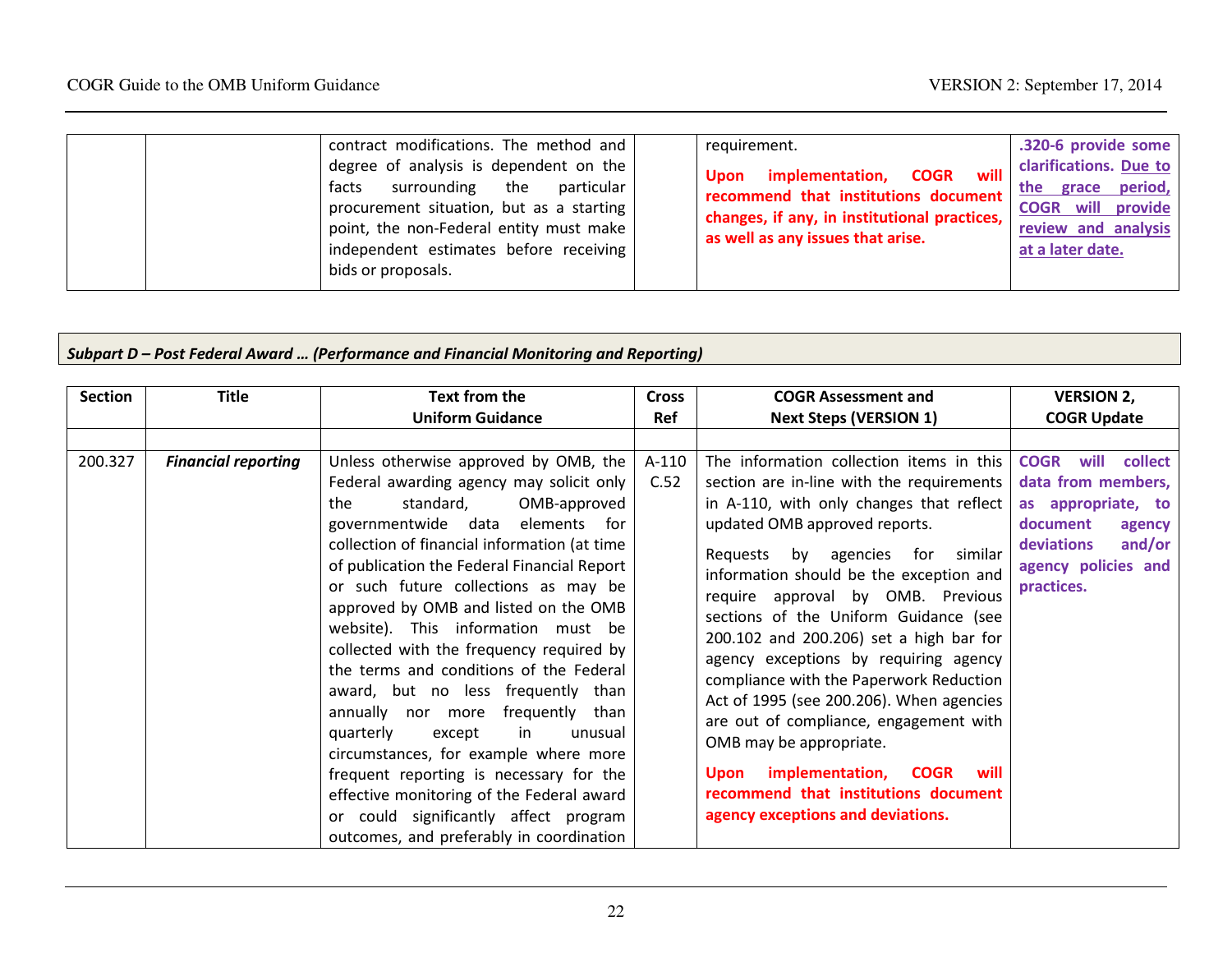|  | contract modifications. The method and<br>degree of analysis is dependent on the<br>surrounding the particular<br>facts<br>procurement situation, but as a starting<br>point, the non-Federal entity must make<br>independent estimates before receiving<br>bids or proposals. |  | requirement.<br>will<br><b>COGR</b><br>implementation,<br>Upon<br>recommend that institutions document<br>changes, if any, in institutional practices,<br>as well as any issues that arise. | .320-6 provide some<br>clarifications. Due to<br>the grace period,<br><b>COGR</b> will provide<br>review and analysis<br>at a later date. |
|--|--------------------------------------------------------------------------------------------------------------------------------------------------------------------------------------------------------------------------------------------------------------------------------|--|---------------------------------------------------------------------------------------------------------------------------------------------------------------------------------------------|-------------------------------------------------------------------------------------------------------------------------------------------|
|--|--------------------------------------------------------------------------------------------------------------------------------------------------------------------------------------------------------------------------------------------------------------------------------|--|---------------------------------------------------------------------------------------------------------------------------------------------------------------------------------------------|-------------------------------------------------------------------------------------------------------------------------------------------|

#### Subpart D – Post Federal Award … (Performance and Financial Monitoring and Reporting)

| <b>Section</b> | <b>Title</b>               | <b>Text from the</b>                                                                                                                                                                                                                                                                                                                                                                                                                                                                                                                                                                                                                                                                                                                                                                                                                       | <b>Cross</b>           | <b>COGR Assessment and</b>                                                                                                                                                                                                                                                                                                                                                                                                                                                                                                                                                                                                                                                                                                            | <b>VERSION 2,</b>                                                                                                                                                                   |
|----------------|----------------------------|--------------------------------------------------------------------------------------------------------------------------------------------------------------------------------------------------------------------------------------------------------------------------------------------------------------------------------------------------------------------------------------------------------------------------------------------------------------------------------------------------------------------------------------------------------------------------------------------------------------------------------------------------------------------------------------------------------------------------------------------------------------------------------------------------------------------------------------------|------------------------|---------------------------------------------------------------------------------------------------------------------------------------------------------------------------------------------------------------------------------------------------------------------------------------------------------------------------------------------------------------------------------------------------------------------------------------------------------------------------------------------------------------------------------------------------------------------------------------------------------------------------------------------------------------------------------------------------------------------------------------|-------------------------------------------------------------------------------------------------------------------------------------------------------------------------------------|
| 200.327        | <b>Financial reporting</b> | <b>Uniform Guidance</b><br>Unless otherwise approved by OMB, the<br>Federal awarding agency may solicit only<br>standard,<br>the<br>OMB-approved<br>governmentwide data elements for<br>collection of financial information (at time<br>of publication the Federal Financial Report<br>or such future collections as may be<br>approved by OMB and listed on the OMB<br>website). This information must be<br>collected with the frequency required by<br>the terms and conditions of the Federal<br>award, but no less frequently than<br>annually nor more frequently than<br>in<br>quarterly<br>except<br>unusual<br>circumstances, for example where more<br>frequent reporting is necessary for the<br>effective monitoring of the Federal award<br>or could significantly affect program<br>outcomes, and preferably in coordination | Ref<br>$A-110$<br>C.52 | <b>Next Steps (VERSION 1)</b><br>The information collection items in this<br>section are in-line with the requirements<br>in A-110, with only changes that reflect<br>updated OMB approved reports.<br>Requests by agencies for<br>similar<br>information should be the exception and<br>require approval by OMB. Previous<br>sections of the Uniform Guidance (see<br>200.102 and 200.206) set a high bar for<br>agency exceptions by requiring agency<br>compliance with the Paperwork Reduction<br>Act of 1995 (see 200.206). When agencies<br>are out of compliance, engagement with<br>OMB may be appropriate.<br>Upon implementation, COGR<br>will<br>recommend that institutions document<br>agency exceptions and deviations. | <b>COGR Update</b><br><b>COGR</b><br>will<br>collect<br>data from members,<br>as appropriate, to<br>document<br>agency<br>and/or<br>deviations<br>agency policies and<br>practices. |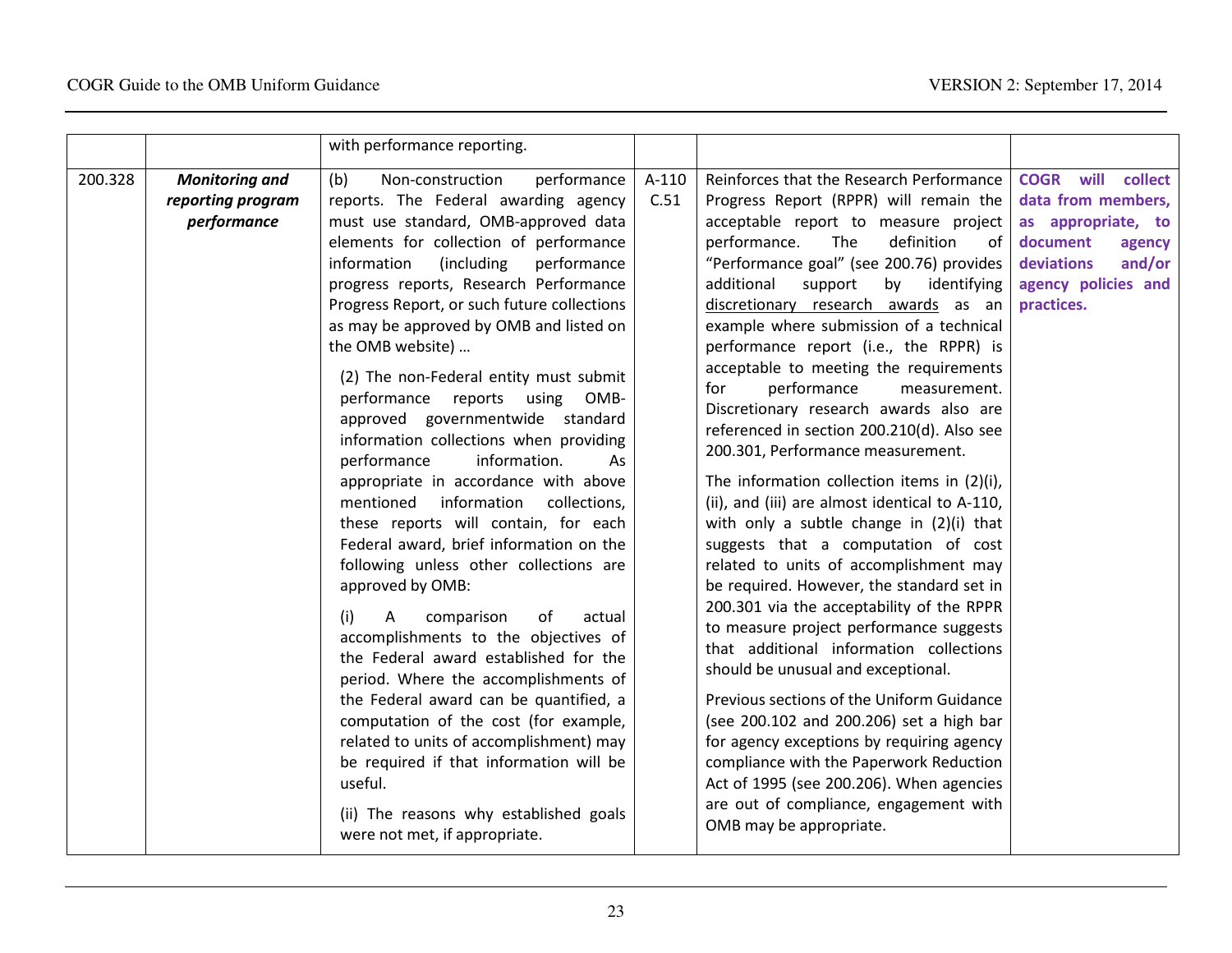|         |                                                           | with performance reporting.                                                                                                                                                                                                                                                                                                                                                                                                                                                                                                                                                                                                                                                                                                                                                                                                                                                                                                                                                                                                                                                                                                                                                                                                                   |               |                                                                                                                                                                                                                                                                                                                                                                                                                                                                                                                                                                                                                                                                                                                                                                                                                                                                                                                                                                                                                                                                                                                                                                                                                                                                                                                                                               |                                                                                                                                                         |
|---------|-----------------------------------------------------------|-----------------------------------------------------------------------------------------------------------------------------------------------------------------------------------------------------------------------------------------------------------------------------------------------------------------------------------------------------------------------------------------------------------------------------------------------------------------------------------------------------------------------------------------------------------------------------------------------------------------------------------------------------------------------------------------------------------------------------------------------------------------------------------------------------------------------------------------------------------------------------------------------------------------------------------------------------------------------------------------------------------------------------------------------------------------------------------------------------------------------------------------------------------------------------------------------------------------------------------------------|---------------|---------------------------------------------------------------------------------------------------------------------------------------------------------------------------------------------------------------------------------------------------------------------------------------------------------------------------------------------------------------------------------------------------------------------------------------------------------------------------------------------------------------------------------------------------------------------------------------------------------------------------------------------------------------------------------------------------------------------------------------------------------------------------------------------------------------------------------------------------------------------------------------------------------------------------------------------------------------------------------------------------------------------------------------------------------------------------------------------------------------------------------------------------------------------------------------------------------------------------------------------------------------------------------------------------------------------------------------------------------------|---------------------------------------------------------------------------------------------------------------------------------------------------------|
| 200.328 | <b>Monitoring and</b><br>reporting program<br>performance | (b)<br>Non-construction<br>performance<br>reports. The Federal awarding agency<br>must use standard, OMB-approved data<br>elements for collection of performance<br>(including<br>information<br>performance<br>progress reports, Research Performance<br>Progress Report, or such future collections<br>as may be approved by OMB and listed on<br>the OMB website)<br>(2) The non-Federal entity must submit<br>performance reports using<br>OMB-<br>approved governmentwide standard<br>information collections when providing<br>performance<br>information.<br>As<br>appropriate in accordance with above<br>information<br>mentioned<br>collections,<br>these reports will contain, for each<br>Federal award, brief information on the<br>following unless other collections are<br>approved by OMB:<br>comparison<br>of<br>actual<br>(i)<br>А<br>accomplishments to the objectives of<br>the Federal award established for the<br>period. Where the accomplishments of<br>the Federal award can be quantified, a<br>computation of the cost (for example,<br>related to units of accomplishment) may<br>be required if that information will be<br>useful.<br>(ii) The reasons why established goals<br>were not met, if appropriate. | A-110<br>C.51 | Reinforces that the Research Performance<br>Progress Report (RPPR) will remain the<br>acceptable report to measure project<br>The<br>definition<br>performance.<br>of<br>"Performance goal" (see 200.76) provides<br>support<br>by identifying<br>additional<br>discretionary research awards as an<br>example where submission of a technical<br>performance report (i.e., the RPPR) is<br>acceptable to meeting the requirements<br>for<br>performance<br>measurement.<br>Discretionary research awards also are<br>referenced in section 200.210(d). Also see<br>200.301, Performance measurement.<br>The information collection items in (2)(i),<br>(ii), and (iii) are almost identical to A-110,<br>with only a subtle change in $(2)(i)$ that<br>suggests that a computation of cost<br>related to units of accomplishment may<br>be required. However, the standard set in<br>200.301 via the acceptability of the RPPR<br>to measure project performance suggests<br>that additional information collections<br>should be unusual and exceptional.<br>Previous sections of the Uniform Guidance<br>(see 200.102 and 200.206) set a high bar<br>for agency exceptions by requiring agency<br>compliance with the Paperwork Reduction<br>Act of 1995 (see 200.206). When agencies<br>are out of compliance, engagement with<br>OMB may be appropriate. | <b>COGR</b> will collect<br>data from members,<br>as appropriate, to<br>document<br>agency<br>deviations<br>and/or<br>agency policies and<br>practices. |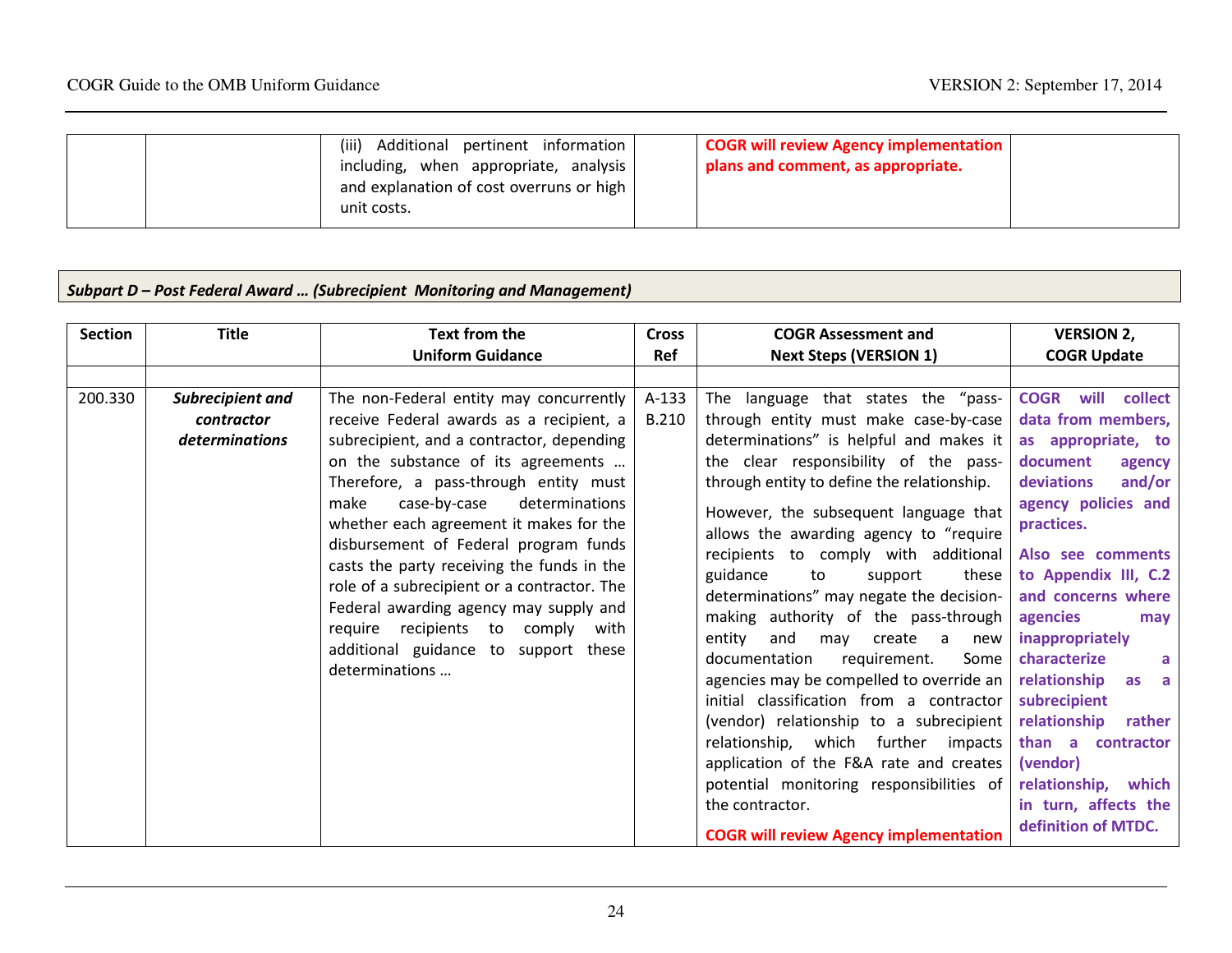| (iii)<br>Additional pertinent information<br>including, when appropriate, analysis<br>and explanation of cost overruns or high  <br>unit costs. | <b>COGR will review Agency implementation</b><br>plans and comment, as appropriate. |
|-------------------------------------------------------------------------------------------------------------------------------------------------|-------------------------------------------------------------------------------------|
|                                                                                                                                                 |                                                                                     |

# Subpart D – Post Federal Award … (Subrecipient Monitoring and Management)

| <b>Section</b> | <b>Title</b>                                            | Text from the                                                                                                                                                                                                                                                                                                                                                                                                                                                                                                                                                                       | <b>Cross</b>          | <b>COGR Assessment and</b>                                                                                                                                                                                                                                                                                                                                                                                                                                                                                                                                                                                                                                                                                                                                                                                                                                                                | <b>VERSION 2,</b>                                                                                                                                                                                                                                                                                                                                                                                                                                               |
|----------------|---------------------------------------------------------|-------------------------------------------------------------------------------------------------------------------------------------------------------------------------------------------------------------------------------------------------------------------------------------------------------------------------------------------------------------------------------------------------------------------------------------------------------------------------------------------------------------------------------------------------------------------------------------|-----------------------|-------------------------------------------------------------------------------------------------------------------------------------------------------------------------------------------------------------------------------------------------------------------------------------------------------------------------------------------------------------------------------------------------------------------------------------------------------------------------------------------------------------------------------------------------------------------------------------------------------------------------------------------------------------------------------------------------------------------------------------------------------------------------------------------------------------------------------------------------------------------------------------------|-----------------------------------------------------------------------------------------------------------------------------------------------------------------------------------------------------------------------------------------------------------------------------------------------------------------------------------------------------------------------------------------------------------------------------------------------------------------|
|                |                                                         | <b>Uniform Guidance</b>                                                                                                                                                                                                                                                                                                                                                                                                                                                                                                                                                             | Ref                   | <b>Next Steps (VERSION 1)</b>                                                                                                                                                                                                                                                                                                                                                                                                                                                                                                                                                                                                                                                                                                                                                                                                                                                             | <b>COGR Update</b>                                                                                                                                                                                                                                                                                                                                                                                                                                              |
|                |                                                         |                                                                                                                                                                                                                                                                                                                                                                                                                                                                                                                                                                                     |                       |                                                                                                                                                                                                                                                                                                                                                                                                                                                                                                                                                                                                                                                                                                                                                                                                                                                                                           |                                                                                                                                                                                                                                                                                                                                                                                                                                                                 |
| 200.330        | Subrecipient and<br>contractor<br><i>determinations</i> | The non-Federal entity may concurrently<br>receive Federal awards as a recipient, a<br>subrecipient, and a contractor, depending<br>on the substance of its agreements<br>Therefore, a pass-through entity must<br>make<br>case-by-case<br>determinations<br>whether each agreement it makes for the<br>disbursement of Federal program funds<br>casts the party receiving the funds in the<br>role of a subrecipient or a contractor. The<br>Federal awarding agency may supply and<br>require recipients to comply with<br>additional guidance to support these<br>determinations | A-133<br><b>B.210</b> | The language that states the "pass-<br>through entity must make case-by-case<br>determinations" is helpful and makes it<br>the clear responsibility of the pass-<br>through entity to define the relationship.<br>However, the subsequent language that<br>allows the awarding agency to "require<br>recipients to comply with additional<br>guidance<br>these<br>to<br>support<br>determinations" may negate the decision-<br>making authority of the pass-through<br>entity<br>and<br>may create a<br>new<br>documentation<br>requirement.<br>Some<br>agencies may be compelled to override an<br>initial classification from a contractor<br>(vendor) relationship to a subrecipient<br>relationship, which further impacts<br>application of the F&A rate and creates<br>potential monitoring responsibilities of<br>the contractor.<br><b>COGR will review Agency implementation</b> | <b>COGR</b> will<br>collect<br>data from members,<br>as appropriate, to<br>document<br>agency<br>and/or<br>deviations<br>agency policies and<br>practices.<br>Also see comments<br>to Appendix III, C.2<br>and concerns where<br>agencies<br>may<br>inappropriately<br>characterize<br>a<br>relationship<br>as<br>subrecipient<br>relationship<br>rather<br>than a contractor<br>(vendor)<br>relationship, which<br>in turn, affects the<br>definition of MTDC. |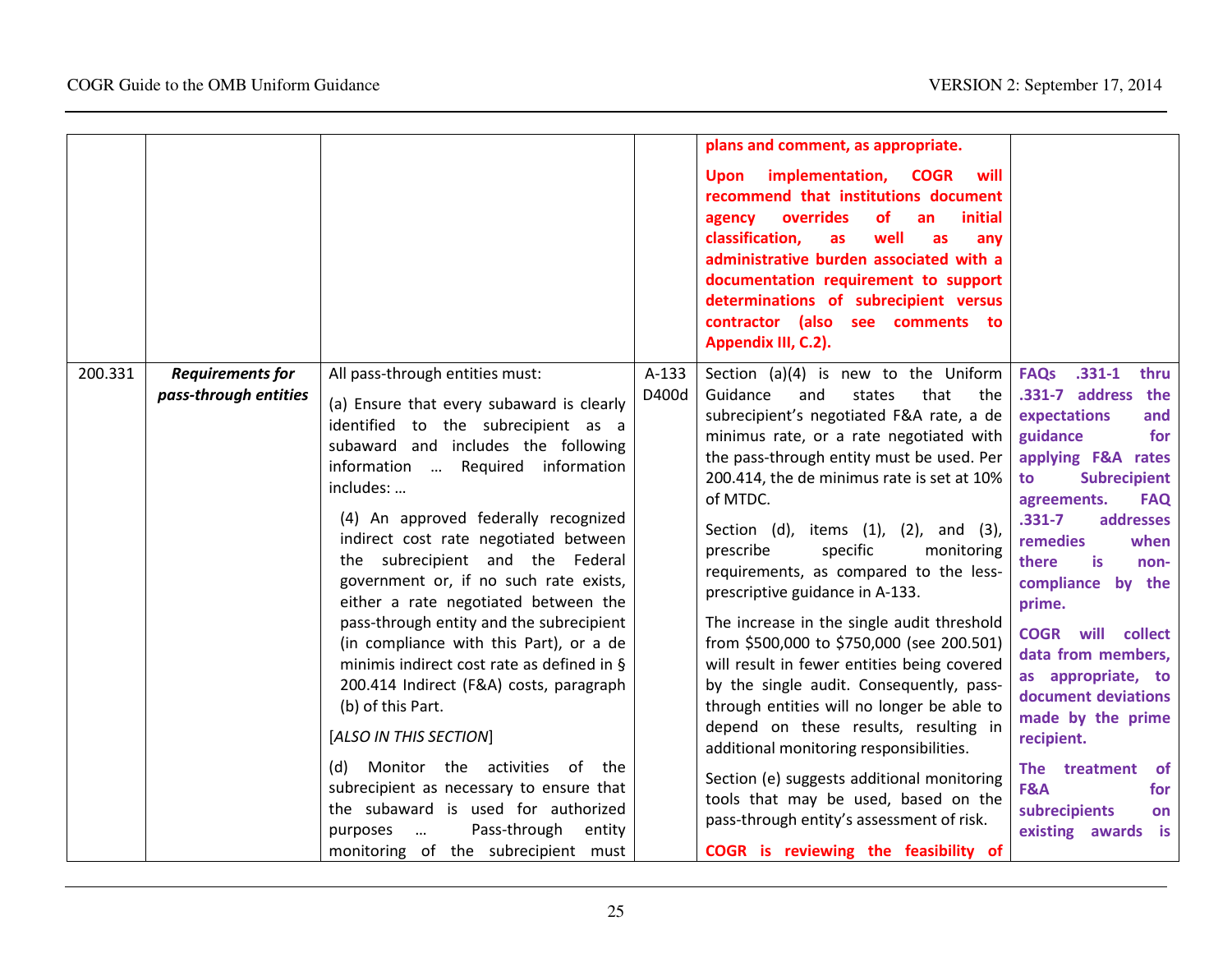|         |                                                  |                                                                                                                                                                                                                                                                                                                                                                                                                                                                                                                                                                                                                                                                                                                                                                                                                                                                     |                | plans and comment, as appropriate.<br>Upon implementation, COGR<br>will<br>recommend that institutions document<br>overrides<br>initial<br><b>of</b><br>agency<br>an<br>classification,<br>well<br>as<br>as<br>any<br>administrative burden associated with a<br>documentation requirement to support<br>determinations of subrecipient versus<br>contractor (also see comments to<br>Appendix III, C.2).                                                                                                                                                                                                                                                                                                                                                                                                                                                                                                                                      |                                                                                                                                                                                                                                                                                                                                                                                                                                                                                                                          |
|---------|--------------------------------------------------|---------------------------------------------------------------------------------------------------------------------------------------------------------------------------------------------------------------------------------------------------------------------------------------------------------------------------------------------------------------------------------------------------------------------------------------------------------------------------------------------------------------------------------------------------------------------------------------------------------------------------------------------------------------------------------------------------------------------------------------------------------------------------------------------------------------------------------------------------------------------|----------------|------------------------------------------------------------------------------------------------------------------------------------------------------------------------------------------------------------------------------------------------------------------------------------------------------------------------------------------------------------------------------------------------------------------------------------------------------------------------------------------------------------------------------------------------------------------------------------------------------------------------------------------------------------------------------------------------------------------------------------------------------------------------------------------------------------------------------------------------------------------------------------------------------------------------------------------------|--------------------------------------------------------------------------------------------------------------------------------------------------------------------------------------------------------------------------------------------------------------------------------------------------------------------------------------------------------------------------------------------------------------------------------------------------------------------------------------------------------------------------|
| 200.331 | <b>Requirements for</b><br>pass-through entities | All pass-through entities must:<br>(a) Ensure that every subaward is clearly<br>identified to the subrecipient as a<br>subaward and includes the following<br>information  Required information<br>includes:<br>(4) An approved federally recognized<br>indirect cost rate negotiated between<br>the subrecipient and the Federal<br>government or, if no such rate exists,<br>either a rate negotiated between the<br>pass-through entity and the subrecipient<br>(in compliance with this Part), or a de<br>minimis indirect cost rate as defined in §<br>200.414 Indirect (F&A) costs, paragraph<br>(b) of this Part.<br>[ALSO IN THIS SECTION]<br>(d) Monitor the activities of the<br>subrecipient as necessary to ensure that<br>the subaward is used for authorized<br>Pass-through<br>entity<br>purposes<br>$\ldots$<br>monitoring of the subrecipient must | A-133<br>D400d | Section (a)(4) is new to the Uniform<br>Guidance<br>and<br>states<br>that<br>the<br>subrecipient's negotiated F&A rate, a de<br>minimus rate, or a rate negotiated with<br>the pass-through entity must be used. Per<br>200.414, the de minimus rate is set at 10%<br>of MTDC.<br>Section (d), items (1), (2), and (3),<br>prescribe<br>specific<br>monitoring<br>requirements, as compared to the less-<br>prescriptive guidance in A-133.<br>The increase in the single audit threshold<br>from \$500,000 to \$750,000 (see 200.501)<br>will result in fewer entities being covered<br>by the single audit. Consequently, pass-<br>through entities will no longer be able to<br>depend on these results, resulting in<br>additional monitoring responsibilities.<br>Section (e) suggests additional monitoring<br>tools that may be used, based on the<br>pass-through entity's assessment of risk.<br>COGR is reviewing the feasibility of | $.331 - 1$<br><b>FAQs</b><br>thru<br>.331-7 address the<br>expectations<br>and<br>guidance<br>for<br>applying F&A rates<br><b>Subrecipient</b><br>to<br><b>FAQ</b><br>agreements.<br>$.331 - 7$<br>addresses<br>remedies<br>when<br><b>is</b><br>there<br>non-<br>compliance by the<br>prime.<br><b>COGR</b> will collect<br>data from members,<br>as appropriate, to<br>document deviations<br>made by the prime<br>recipient.<br>The treatment<br><b>of</b><br>F&A<br>for<br>subrecipients<br>on<br>existing awards is |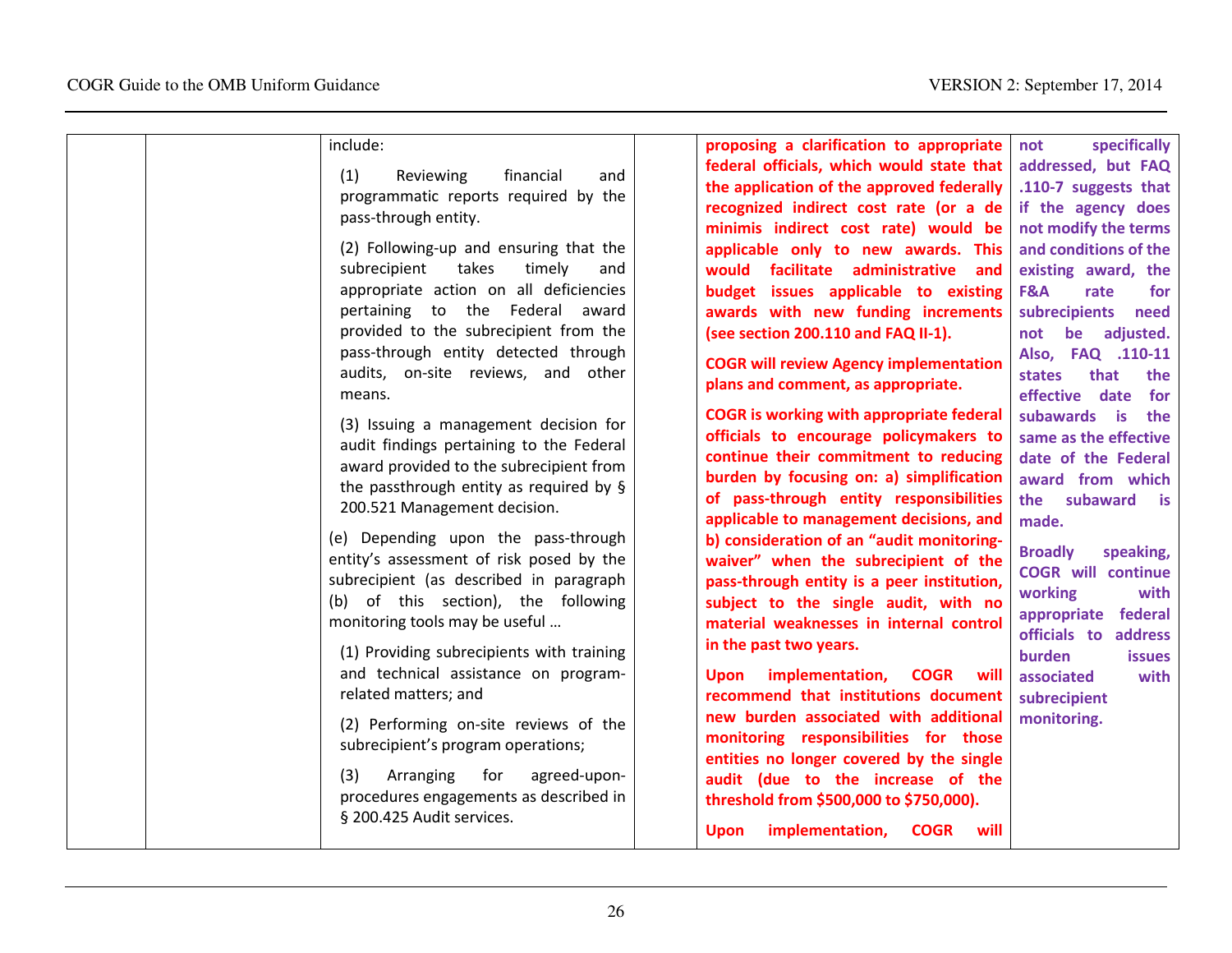|  | include:<br>(1)<br>financial<br>Reviewing<br>and<br>programmatic reports required by the<br>pass-through entity.<br>(2) Following-up and ensuring that the<br>takes<br>timely<br>subrecipient<br>and<br>appropriate action on all deficiencies<br>pertaining to the Federal<br>award<br>provided to the subrecipient from the<br>pass-through entity detected through<br>audits, on-site reviews, and other<br>means.<br>(3) Issuing a management decision for<br>audit findings pertaining to the Federal<br>award provided to the subrecipient from<br>the passthrough entity as required by §<br>200.521 Management decision.<br>(e) Depending upon the pass-through<br>entity's assessment of risk posed by the<br>subrecipient (as described in paragraph<br>(b) of this section), the following<br>monitoring tools may be useful<br>(1) Providing subrecipients with training<br>and technical assistance on program-<br>related matters; and<br>(2) Performing on-site reviews of the<br>subrecipient's program operations;<br>(3)<br>Arranging<br>for<br>agreed-upon-<br>procedures engagements as described in<br>§ 200.425 Audit services. | proposing a clarification to appropriate<br>federal officials, which would state that<br>the application of the approved federally<br>recognized indirect cost rate (or a de<br>minimis indirect cost rate) would be<br>applicable only to new awards. This<br>would facilitate administrative<br>and<br>budget issues applicable to existing<br>awards with new funding increments<br>(see section 200.110 and FAQ II-1).<br><b>COGR will review Agency implementation</b><br>plans and comment, as appropriate.<br><b>COGR</b> is working with appropriate federal<br>officials to encourage policymakers to<br>continue their commitment to reducing<br>burden by focusing on: a) simplification<br>of pass-through entity responsibilities<br>applicable to management decisions, and<br>b) consideration of an "audit monitoring-<br>waiver" when the subrecipient of the<br>pass-through entity is a peer institution,<br>subject to the single audit, with no<br>material weaknesses in internal control<br>in the past two years.<br>implementation,<br><b>COGR</b> will<br><b>Upon</b><br>recommend that institutions document<br>new burden associated with additional<br>monitoring responsibilities for those<br>entities no longer covered by the single<br>audit (due to the increase of the<br>threshold from \$500,000 to \$750,000).<br>will<br>implementation,<br><b>COGR</b><br><b>Upon</b> | specifically<br>not<br>addressed, but FAQ<br>.110-7 suggests that<br>if the agency does<br>not modify the terms<br>and conditions of the<br>existing award, the<br>F&A<br>rate<br>for<br>subrecipients<br>need<br>be adjusted.<br>not<br>Also, FAQ .110-11<br>states<br>that<br>the<br>effective date<br>for<br>subawards is<br>the<br>same as the effective<br>date of the Federal<br>award from which<br>subaward<br>the<br>is.<br>made.<br><b>Broadly</b><br>speaking,<br><b>COGR</b> will continue<br>working<br>with<br>appropriate federal<br>officials to address<br>burden<br><b>issues</b><br>associated<br>with<br>subrecipient<br>monitoring. |
|--|-------------------------------------------------------------------------------------------------------------------------------------------------------------------------------------------------------------------------------------------------------------------------------------------------------------------------------------------------------------------------------------------------------------------------------------------------------------------------------------------------------------------------------------------------------------------------------------------------------------------------------------------------------------------------------------------------------------------------------------------------------------------------------------------------------------------------------------------------------------------------------------------------------------------------------------------------------------------------------------------------------------------------------------------------------------------------------------------------------------------------------------------------------|----------------------------------------------------------------------------------------------------------------------------------------------------------------------------------------------------------------------------------------------------------------------------------------------------------------------------------------------------------------------------------------------------------------------------------------------------------------------------------------------------------------------------------------------------------------------------------------------------------------------------------------------------------------------------------------------------------------------------------------------------------------------------------------------------------------------------------------------------------------------------------------------------------------------------------------------------------------------------------------------------------------------------------------------------------------------------------------------------------------------------------------------------------------------------------------------------------------------------------------------------------------------------------------------------------------------------------------------------------------------------------------------------------------|----------------------------------------------------------------------------------------------------------------------------------------------------------------------------------------------------------------------------------------------------------------------------------------------------------------------------------------------------------------------------------------------------------------------------------------------------------------------------------------------------------------------------------------------------------------------------------------------------------------------------------------------------------|
|--|-------------------------------------------------------------------------------------------------------------------------------------------------------------------------------------------------------------------------------------------------------------------------------------------------------------------------------------------------------------------------------------------------------------------------------------------------------------------------------------------------------------------------------------------------------------------------------------------------------------------------------------------------------------------------------------------------------------------------------------------------------------------------------------------------------------------------------------------------------------------------------------------------------------------------------------------------------------------------------------------------------------------------------------------------------------------------------------------------------------------------------------------------------|----------------------------------------------------------------------------------------------------------------------------------------------------------------------------------------------------------------------------------------------------------------------------------------------------------------------------------------------------------------------------------------------------------------------------------------------------------------------------------------------------------------------------------------------------------------------------------------------------------------------------------------------------------------------------------------------------------------------------------------------------------------------------------------------------------------------------------------------------------------------------------------------------------------------------------------------------------------------------------------------------------------------------------------------------------------------------------------------------------------------------------------------------------------------------------------------------------------------------------------------------------------------------------------------------------------------------------------------------------------------------------------------------------------|----------------------------------------------------------------------------------------------------------------------------------------------------------------------------------------------------------------------------------------------------------------------------------------------------------------------------------------------------------------------------------------------------------------------------------------------------------------------------------------------------------------------------------------------------------------------------------------------------------------------------------------------------------|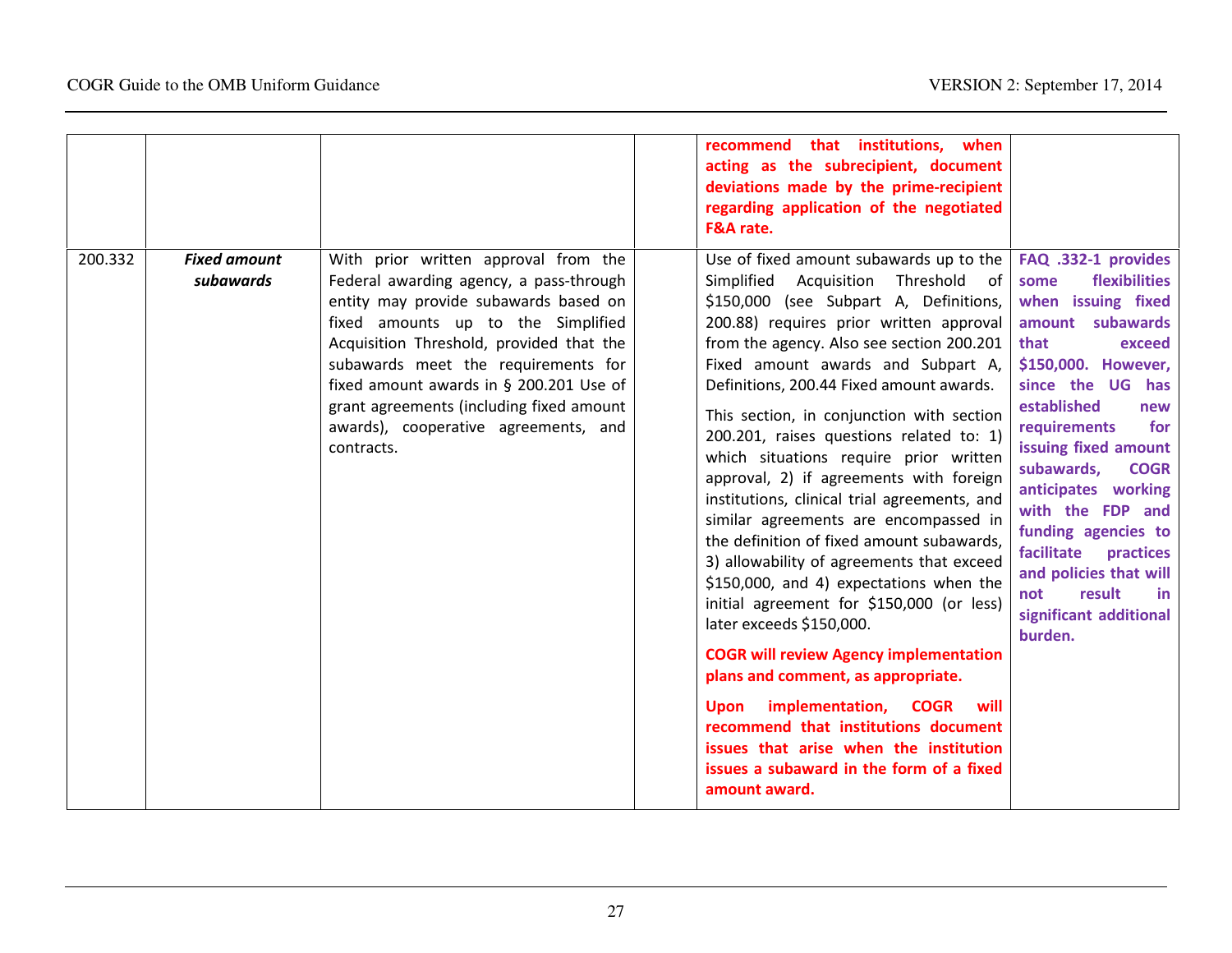|         |                                  |                                                                                                                                                                                                                                                                                                                                                                                                | recommend that institutions, when<br>acting as the subrecipient, document<br>deviations made by the prime-recipient<br>regarding application of the negotiated<br>F&A rate.                                                                                                                                                                                                                                                                                                                                                                                                                                                                                                                                                                                                                                                                                                                                                                                                                                                                                        |                                                                                                                                                                                                                                                                                                                                                                                                                                                 |
|---------|----------------------------------|------------------------------------------------------------------------------------------------------------------------------------------------------------------------------------------------------------------------------------------------------------------------------------------------------------------------------------------------------------------------------------------------|--------------------------------------------------------------------------------------------------------------------------------------------------------------------------------------------------------------------------------------------------------------------------------------------------------------------------------------------------------------------------------------------------------------------------------------------------------------------------------------------------------------------------------------------------------------------------------------------------------------------------------------------------------------------------------------------------------------------------------------------------------------------------------------------------------------------------------------------------------------------------------------------------------------------------------------------------------------------------------------------------------------------------------------------------------------------|-------------------------------------------------------------------------------------------------------------------------------------------------------------------------------------------------------------------------------------------------------------------------------------------------------------------------------------------------------------------------------------------------------------------------------------------------|
| 200.332 | <b>Fixed amount</b><br>subawards | With prior written approval from the<br>Federal awarding agency, a pass-through<br>entity may provide subawards based on<br>fixed amounts up to the Simplified<br>Acquisition Threshold, provided that the<br>subawards meet the requirements for<br>fixed amount awards in § 200.201 Use of<br>grant agreements (including fixed amount<br>awards), cooperative agreements, and<br>contracts. | Use of fixed amount subawards up to the<br>Simplified Acquisition Threshold of<br>\$150,000 (see Subpart A, Definitions,<br>200.88) requires prior written approval<br>from the agency. Also see section 200.201<br>Fixed amount awards and Subpart A,<br>Definitions, 200.44 Fixed amount awards.<br>This section, in conjunction with section<br>200.201, raises questions related to: 1)<br>which situations require prior written<br>approval, 2) if agreements with foreign<br>institutions, clinical trial agreements, and<br>similar agreements are encompassed in<br>the definition of fixed amount subawards,<br>3) allowability of agreements that exceed<br>\$150,000, and 4) expectations when the<br>initial agreement for \$150,000 (or less)<br>later exceeds \$150,000.<br><b>COGR will review Agency implementation</b><br>plans and comment, as appropriate.<br>Upon implementation, COGR<br>will<br>recommend that institutions document<br>issues that arise when the institution<br>issues a subaward in the form of a fixed<br>amount award. | FAQ .332-1 provides<br>flexibilities<br>some<br>when issuing fixed<br>amount subawards<br>that<br>exceed<br>\$150,000. However,<br>since the UG has<br>established<br>new<br>for<br>requirements<br>issuing fixed amount<br>subawards,<br><b>COGR</b><br>anticipates working<br>with the FDP and<br>funding agencies to<br>facilitate<br>practices<br>and policies that will<br>result<br>not<br><u>in</u><br>significant additional<br>burden. |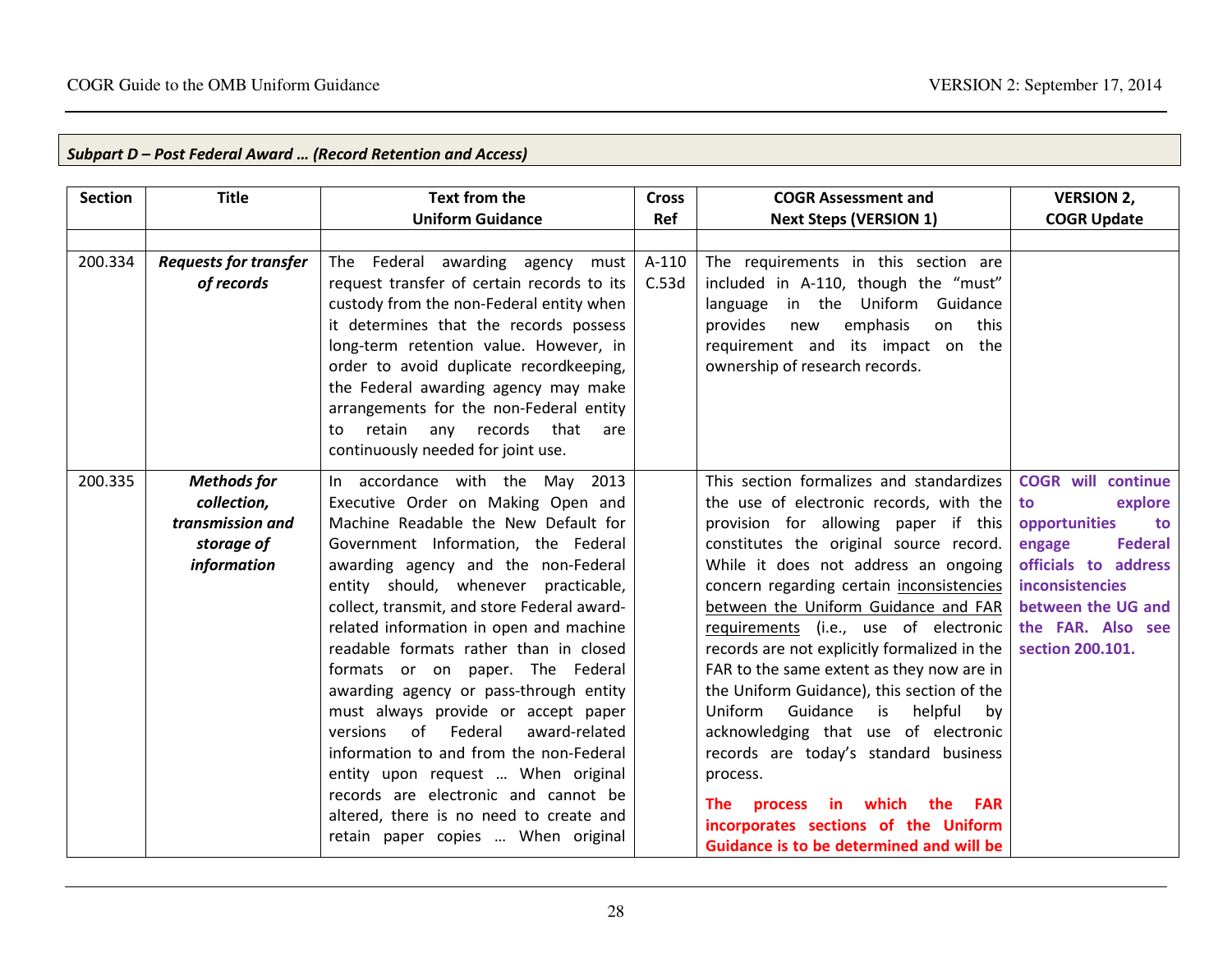| <b>Section</b> | <b>Title</b>                                                                       | Text from the<br><b>Uniform Guidance</b>                                                                                                                                                                                                                                                                                                                                                                                                                                                                                                                                                                                                                                                                          | <b>Cross</b><br>Ref | <b>COGR Assessment and</b><br><b>Next Steps (VERSION 1)</b>                                                                                                                                                                                                                                                                                                                                                                                                                                                                                                                                                                                                                                                                         | <b>VERSION 2,</b><br><b>COGR Update</b>                                                                                                                                                                 |
|----------------|------------------------------------------------------------------------------------|-------------------------------------------------------------------------------------------------------------------------------------------------------------------------------------------------------------------------------------------------------------------------------------------------------------------------------------------------------------------------------------------------------------------------------------------------------------------------------------------------------------------------------------------------------------------------------------------------------------------------------------------------------------------------------------------------------------------|---------------------|-------------------------------------------------------------------------------------------------------------------------------------------------------------------------------------------------------------------------------------------------------------------------------------------------------------------------------------------------------------------------------------------------------------------------------------------------------------------------------------------------------------------------------------------------------------------------------------------------------------------------------------------------------------------------------------------------------------------------------------|---------------------------------------------------------------------------------------------------------------------------------------------------------------------------------------------------------|
| 200.334        | <b>Requests for transfer</b><br>of records                                         | Federal awarding agency must<br>The<br>request transfer of certain records to its<br>custody from the non-Federal entity when<br>it determines that the records possess<br>long-term retention value. However, in<br>order to avoid duplicate recordkeeping,<br>the Federal awarding agency may make<br>arrangements for the non-Federal entity<br>retain<br>any records that<br>are<br>to<br>continuously needed for joint use.                                                                                                                                                                                                                                                                                  | A-110<br>C.53d      | The requirements in this section are<br>included in A-110, though the "must"<br>language in the Uniform Guidance<br>emphasis<br>on<br>this<br>provides<br>new<br>requirement and its impact on the<br>ownership of research records.                                                                                                                                                                                                                                                                                                                                                                                                                                                                                                |                                                                                                                                                                                                         |
| 200.335        | <b>Methods</b> for<br>collection,<br>transmission and<br>storage of<br>information | In accordance with the<br>May<br>2013<br>Executive Order on Making Open and<br>Machine Readable the New Default for<br>Government Information, the Federal<br>awarding agency and the non-Federal<br>entity should, whenever practicable,<br>collect, transmit, and store Federal award-<br>related information in open and machine<br>readable formats rather than in closed<br>formats or on paper. The Federal<br>awarding agency or pass-through entity<br>must always provide or accept paper<br>of Federal<br>versions<br>award-related<br>information to and from the non-Federal<br>entity upon request  When original<br>records are electronic and cannot be<br>altered, there is no need to create and |                     | This section formalizes and standardizes<br>the use of electronic records, with the<br>provision for allowing paper if this<br>constitutes the original source record.<br>While it does not address an ongoing<br>concern regarding certain inconsistencies<br>between the Uniform Guidance and FAR<br>requirements (i.e., use of electronic<br>records are not explicitly formalized in the<br>FAR to the same extent as they now are in<br>the Uniform Guidance), this section of the<br>Uniform<br>Guidance<br>helpful<br>is<br>by<br>acknowledging that use of electronic<br>records are today's standard business<br>process.<br>which<br>The<br>process<br>in in<br>the<br><b>FAR</b><br>incorporates sections of the Uniform | <b>COGR</b> will continue<br>explore<br>to<br>to<br>opportunities<br><b>Federal</b><br>engage<br>officials to address<br>inconsistencies<br>between the UG and<br>the FAR. Also see<br>section 200.101. |

# Subpart D – Post Federal Award … (Record Retention and Access)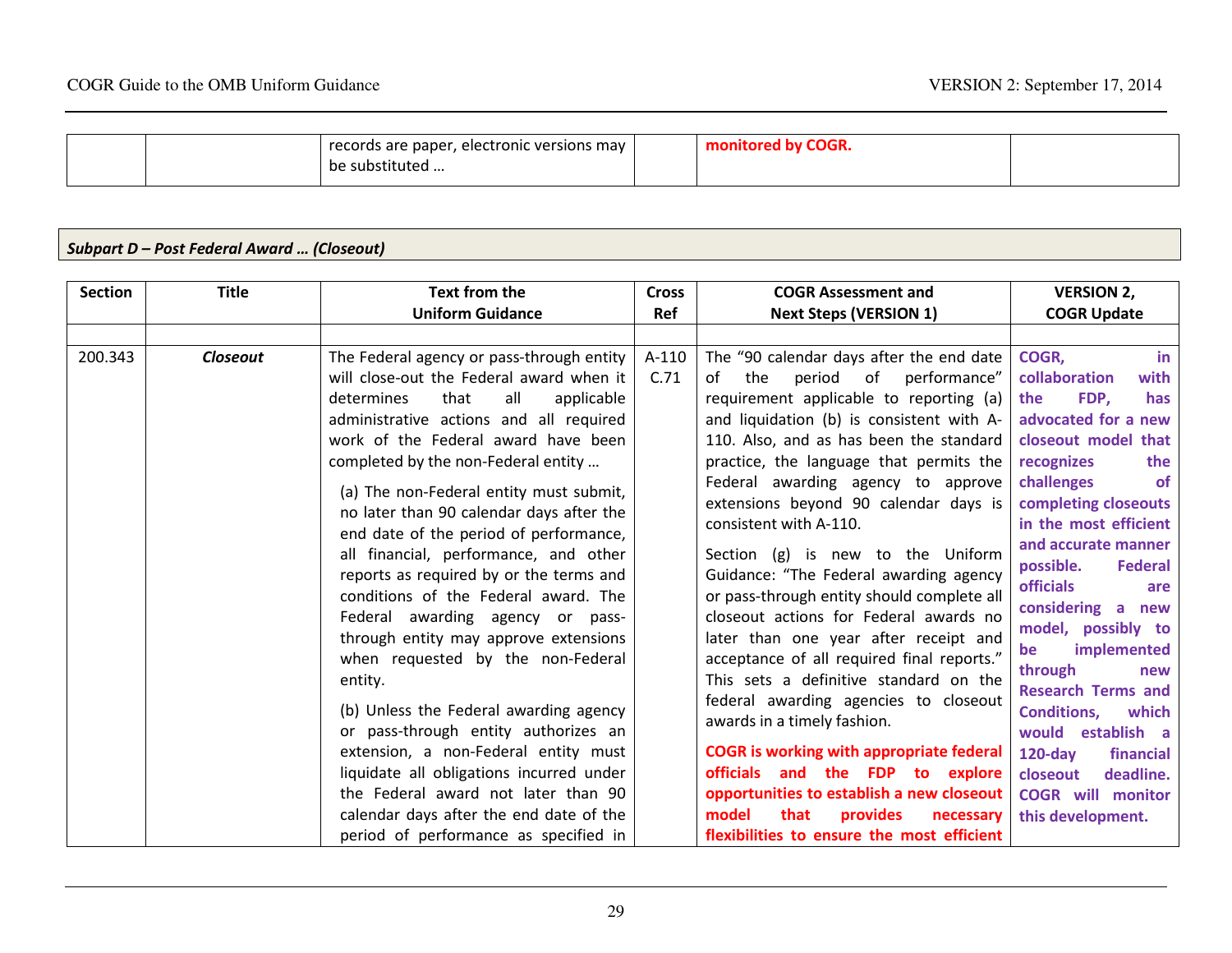|  | records are paper, electronic versions may | ' by COGR.<br>monitored |  |
|--|--------------------------------------------|-------------------------|--|
|  | be substituted                             |                         |  |

# Subpart D – Post Federal Award … (Closeout)

| <b>Section</b><br><b>Title</b> | Text from the                                                                                                                                                                                                                                                                                                                                                                                                                                                                                                                                                                                                                                                                                                                                                                                                                                                                                                                                        | <b>Cross</b>    | <b>COGR Assessment and</b>                                                                                                                                                                                                                                                                                                                                                                                                                                                                                                                                                                                                                                                                                                                                                                                                                                                                                                                                                            | <b>VERSION 2,</b>                                                                                                                                                                                                                                                                                                                                                                                                                                                                                                                                                   |
|--------------------------------|------------------------------------------------------------------------------------------------------------------------------------------------------------------------------------------------------------------------------------------------------------------------------------------------------------------------------------------------------------------------------------------------------------------------------------------------------------------------------------------------------------------------------------------------------------------------------------------------------------------------------------------------------------------------------------------------------------------------------------------------------------------------------------------------------------------------------------------------------------------------------------------------------------------------------------------------------|-----------------|---------------------------------------------------------------------------------------------------------------------------------------------------------------------------------------------------------------------------------------------------------------------------------------------------------------------------------------------------------------------------------------------------------------------------------------------------------------------------------------------------------------------------------------------------------------------------------------------------------------------------------------------------------------------------------------------------------------------------------------------------------------------------------------------------------------------------------------------------------------------------------------------------------------------------------------------------------------------------------------|---------------------------------------------------------------------------------------------------------------------------------------------------------------------------------------------------------------------------------------------------------------------------------------------------------------------------------------------------------------------------------------------------------------------------------------------------------------------------------------------------------------------------------------------------------------------|
|                                | <b>Uniform Guidance</b>                                                                                                                                                                                                                                                                                                                                                                                                                                                                                                                                                                                                                                                                                                                                                                                                                                                                                                                              | Ref             | <b>Next Steps (VERSION 1)</b>                                                                                                                                                                                                                                                                                                                                                                                                                                                                                                                                                                                                                                                                                                                                                                                                                                                                                                                                                         | <b>COGR Update</b>                                                                                                                                                                                                                                                                                                                                                                                                                                                                                                                                                  |
| 200.343<br><b>Closeout</b>     | The Federal agency or pass-through entity<br>will close-out the Federal award when it<br>that<br>all<br>applicable<br>determines<br>administrative actions and all required<br>work of the Federal award have been<br>completed by the non-Federal entity<br>(a) The non-Federal entity must submit,<br>no later than 90 calendar days after the<br>end date of the period of performance,<br>all financial, performance, and other<br>reports as required by or the terms and<br>conditions of the Federal award. The<br>Federal awarding agency or pass-<br>through entity may approve extensions<br>when requested by the non-Federal<br>entity.<br>(b) Unless the Federal awarding agency<br>or pass-through entity authorizes an<br>extension, a non-Federal entity must<br>liquidate all obligations incurred under<br>the Federal award not later than 90<br>calendar days after the end date of the<br>period of performance as specified in | $A-110$<br>C.71 | The "90 calendar days after the end date<br>period<br>of performance"<br>the<br>of<br>requirement applicable to reporting (a)<br>and liquidation (b) is consistent with A-<br>110. Also, and as has been the standard<br>practice, the language that permits the<br>Federal awarding agency to approve<br>extensions beyond 90 calendar days is<br>consistent with A-110.<br>Section (g) is new to the Uniform<br>Guidance: "The Federal awarding agency<br>or pass-through entity should complete all<br>closeout actions for Federal awards no<br>later than one year after receipt and<br>acceptance of all required final reports."<br>This sets a definitive standard on the<br>federal awarding agencies to closeout<br>awards in a timely fashion.<br><b>COGR</b> is working with appropriate federal<br>officials and the FDP to explore<br>opportunities to establish a new closeout<br>model<br>that<br>provides<br>necessary<br>flexibilities to ensure the most efficient | COGR,<br>in.<br>collaboration<br>with<br>FDP,<br>the<br>has<br>advocated for a new<br>closeout model that<br>recognizes<br>the<br>challenges<br><b>of</b><br>completing closeouts<br>in the most efficient<br>and accurate manner<br>possible.<br><b>Federal</b><br><b>officials</b><br>are<br>considering a new<br>model, possibly to<br>implemented<br>be<br>through<br>new<br><b>Research Terms and</b><br><b>Conditions,</b><br>which<br>would establish a<br>$120$ -day<br>financial<br>deadline.<br>closeout<br><b>COGR</b> will monitor<br>this development. |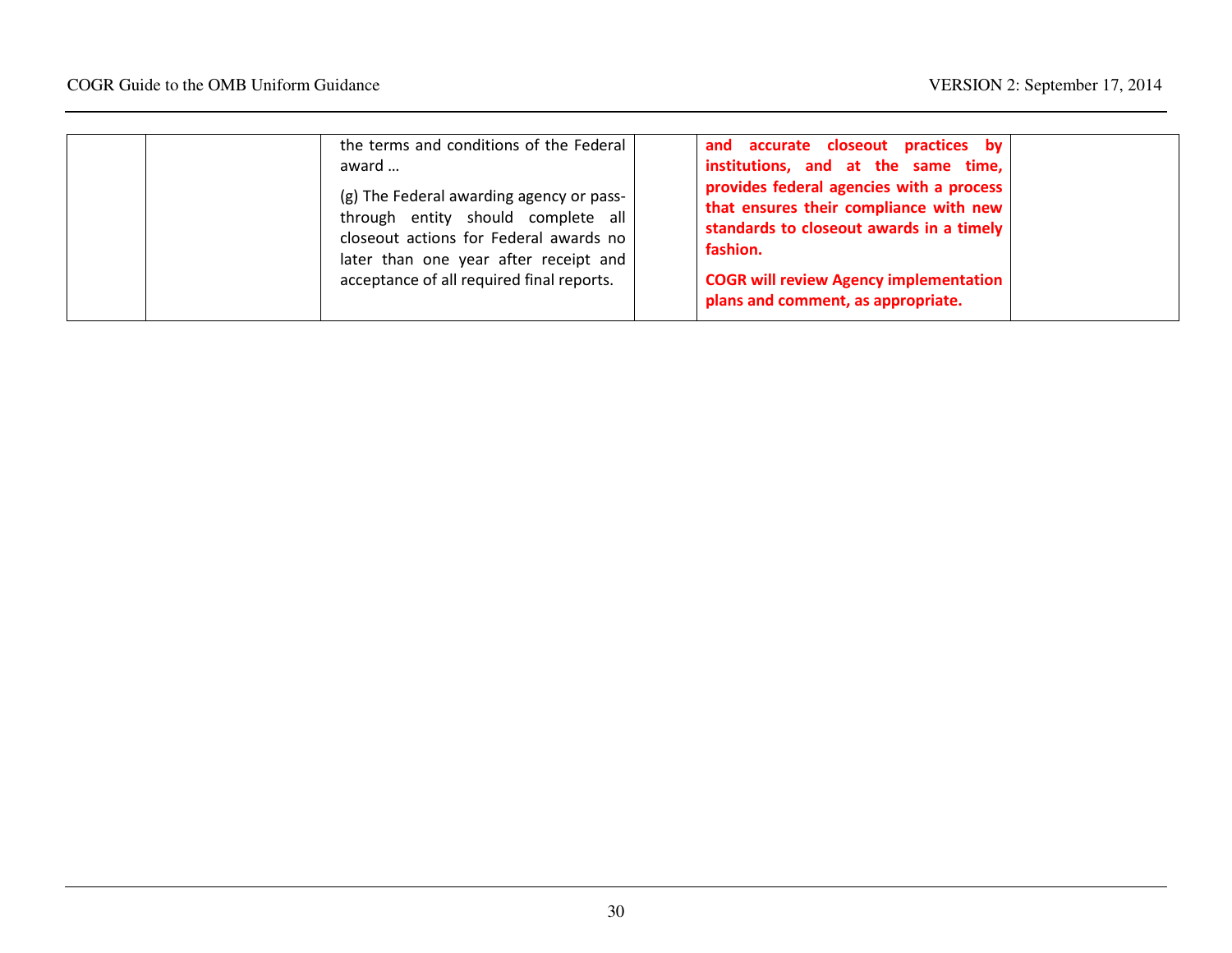| the terms and conditions of the Federal<br>award<br>(g) The Federal awarding agency or pass-<br>through entity should complete all<br>closeout actions for Federal awards no<br>later than one year after receipt and<br>acceptance of all required final reports. | and accurate closeout practices by<br>institutions, and at the same time,<br>provides federal agencies with a process<br>that ensures their compliance with new<br>standards to closeout awards in a timely<br>fashion.<br><b>COGR will review Agency implementation</b><br>plans and comment, as appropriate. |
|--------------------------------------------------------------------------------------------------------------------------------------------------------------------------------------------------------------------------------------------------------------------|----------------------------------------------------------------------------------------------------------------------------------------------------------------------------------------------------------------------------------------------------------------------------------------------------------------|
|--------------------------------------------------------------------------------------------------------------------------------------------------------------------------------------------------------------------------------------------------------------------|----------------------------------------------------------------------------------------------------------------------------------------------------------------------------------------------------------------------------------------------------------------------------------------------------------------|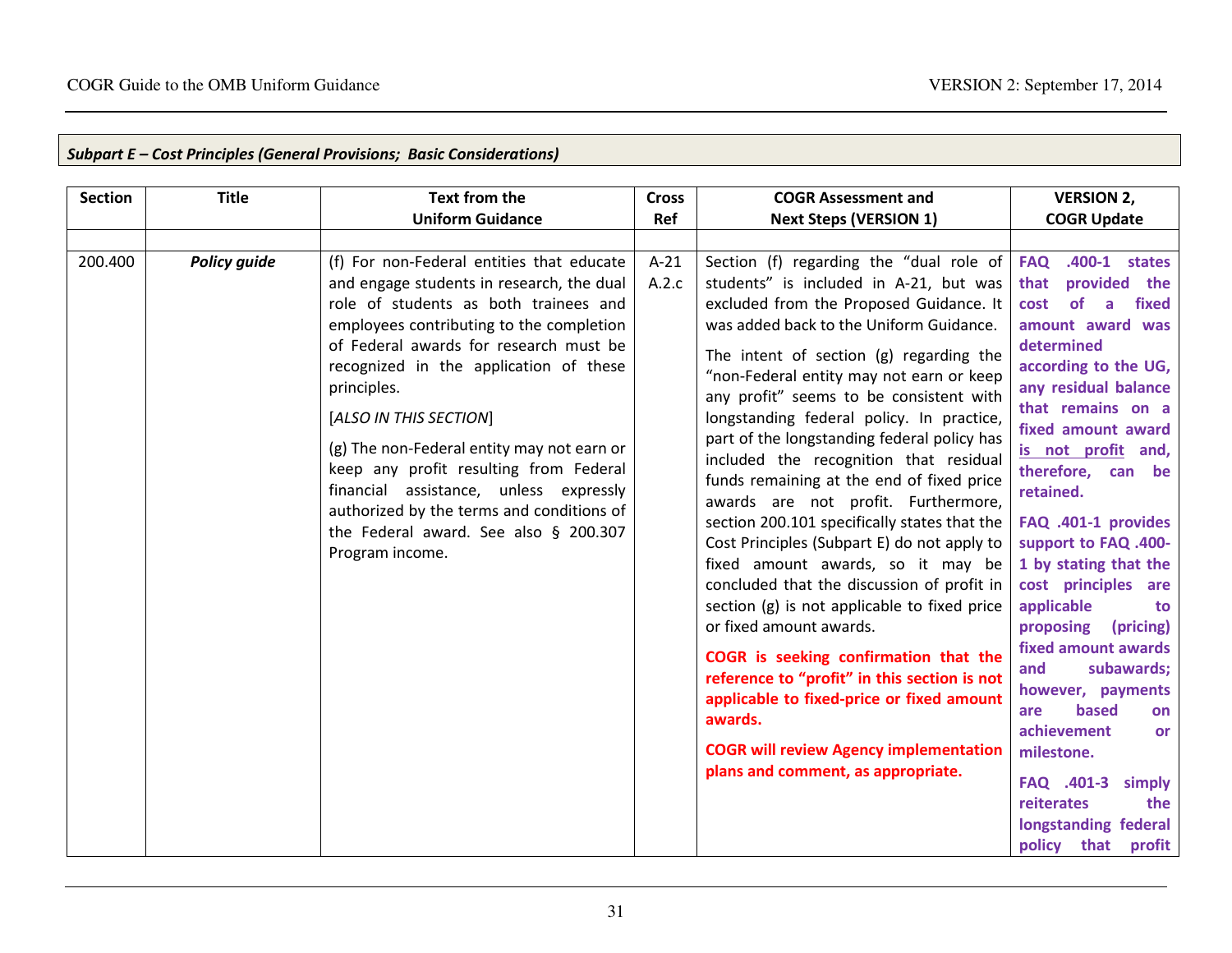п

| Subpart E – Cost Principles (General Provisions; Basic Considerations) |  |  |
|------------------------------------------------------------------------|--|--|
|                                                                        |  |  |

| <b>Section</b> | <b>Title</b>        | <b>Text from the</b><br><b>Uniform Guidance</b>                                                                                                                                                                                                                                                                                                                                                                                                                                                                                                     | <b>Cross</b><br>Ref | <b>COGR Assessment and</b><br><b>Next Steps (VERSION 1)</b>                                                                                                                                                                                                                                                                                                                                                                                                                                                                                                                                                                                                                                                                                                                                                                                                                                                                                                                                                                              | <b>VERSION 2,</b><br><b>COGR Update</b>                                                                                                                                                                                                                                                                                                                                                                                                                                                                                                                                                                                                   |
|----------------|---------------------|-----------------------------------------------------------------------------------------------------------------------------------------------------------------------------------------------------------------------------------------------------------------------------------------------------------------------------------------------------------------------------------------------------------------------------------------------------------------------------------------------------------------------------------------------------|---------------------|------------------------------------------------------------------------------------------------------------------------------------------------------------------------------------------------------------------------------------------------------------------------------------------------------------------------------------------------------------------------------------------------------------------------------------------------------------------------------------------------------------------------------------------------------------------------------------------------------------------------------------------------------------------------------------------------------------------------------------------------------------------------------------------------------------------------------------------------------------------------------------------------------------------------------------------------------------------------------------------------------------------------------------------|-------------------------------------------------------------------------------------------------------------------------------------------------------------------------------------------------------------------------------------------------------------------------------------------------------------------------------------------------------------------------------------------------------------------------------------------------------------------------------------------------------------------------------------------------------------------------------------------------------------------------------------------|
| 200.400        | <b>Policy guide</b> | (f) For non-Federal entities that educate<br>and engage students in research, the dual<br>role of students as both trainees and<br>employees contributing to the completion<br>of Federal awards for research must be<br>recognized in the application of these<br>principles.<br>[ALSO IN THIS SECTION]<br>(g) The non-Federal entity may not earn or<br>keep any profit resulting from Federal<br>financial assistance, unless expressly<br>authorized by the terms and conditions of<br>the Federal award. See also § 200.307<br>Program income. | $A-21$<br>A.2.c     | Section (f) regarding the "dual role of<br>students" is included in A-21, but was<br>excluded from the Proposed Guidance. It<br>was added back to the Uniform Guidance.<br>The intent of section (g) regarding the<br>"non-Federal entity may not earn or keep<br>any profit" seems to be consistent with<br>longstanding federal policy. In practice,<br>part of the longstanding federal policy has<br>included the recognition that residual<br>funds remaining at the end of fixed price<br>awards are not profit. Furthermore,<br>section 200.101 specifically states that the<br>Cost Principles (Subpart E) do not apply to<br>fixed amount awards, so it may be<br>concluded that the discussion of profit in<br>section (g) is not applicable to fixed price<br>or fixed amount awards.<br>COGR is seeking confirmation that the<br>reference to "profit" in this section is not<br>applicable to fixed-price or fixed amount<br>awards.<br><b>COGR will review Agency implementation</b><br>plans and comment, as appropriate. | .400-1 states<br><b>FAQ</b><br>provided the<br>that<br>cost<br>of<br>fixed<br>a<br>amount award was<br>determined<br>according to the UG,<br>any residual balance<br>that remains on a<br>fixed amount award<br>is not profit and,<br>therefore, can be<br>retained.<br>FAQ .401-1 provides<br>support to FAQ .400-<br>1 by stating that the<br>cost principles are<br>applicable<br>to<br>proposing<br>(pricing)<br>fixed amount awards<br>subawards;<br>and<br>however, payments<br>based<br>are<br>on<br>achievement<br>or<br>milestone.<br>FAQ .401-3<br>simply<br>reiterates<br>the<br>longstanding federal<br>policy<br>that profit |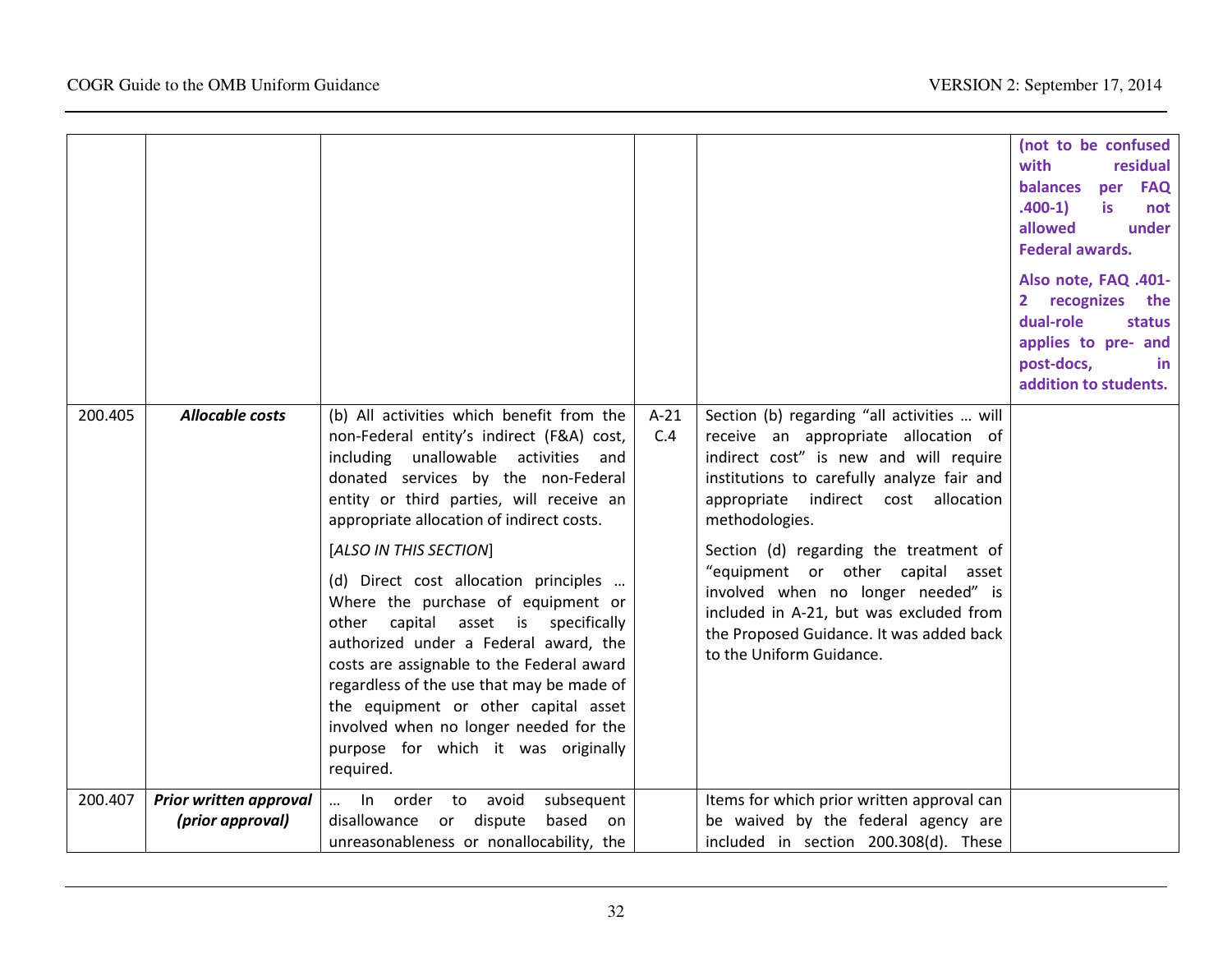|         |                                            |                                                                                                                                                                                                                                                                                                                                                                                                                                                                                                                                                                                                                                                                                         |               |                                                                                                                                                                                                                                                                                                                                                                                                                                                                               | (not to be confused<br>with<br>residual<br>balances<br>per FAQ<br>$.400-1)$<br><b>is</b><br>not<br>allowed<br>under<br><b>Federal awards.</b><br>Also note, FAQ .401-<br>recognizes<br>$\mathbf{2}$<br>the<br>dual-role<br>status<br>applies to pre- and<br>post-docs,<br>in.<br>addition to students. |
|---------|--------------------------------------------|-----------------------------------------------------------------------------------------------------------------------------------------------------------------------------------------------------------------------------------------------------------------------------------------------------------------------------------------------------------------------------------------------------------------------------------------------------------------------------------------------------------------------------------------------------------------------------------------------------------------------------------------------------------------------------------------|---------------|-------------------------------------------------------------------------------------------------------------------------------------------------------------------------------------------------------------------------------------------------------------------------------------------------------------------------------------------------------------------------------------------------------------------------------------------------------------------------------|--------------------------------------------------------------------------------------------------------------------------------------------------------------------------------------------------------------------------------------------------------------------------------------------------------|
| 200.405 | <b>Allocable costs</b>                     | (b) All activities which benefit from the<br>non-Federal entity's indirect (F&A) cost,<br>including unallowable activities and<br>donated services by the non-Federal<br>entity or third parties, will receive an<br>appropriate allocation of indirect costs.<br>[ALSO IN THIS SECTION]<br>(d) Direct cost allocation principles<br>Where the purchase of equipment or<br>other capital asset is specifically<br>authorized under a Federal award, the<br>costs are assignable to the Federal award<br>regardless of the use that may be made of<br>the equipment or other capital asset<br>involved when no longer needed for the<br>purpose for which it was originally<br>required. | $A-21$<br>C.4 | Section (b) regarding "all activities  will<br>receive an appropriate allocation of<br>indirect cost" is new and will require<br>institutions to carefully analyze fair and<br>appropriate indirect cost allocation<br>methodologies.<br>Section (d) regarding the treatment of<br>"equipment or other capital asset<br>involved when no longer needed" is<br>included in A-21, but was excluded from<br>the Proposed Guidance. It was added back<br>to the Uniform Guidance. |                                                                                                                                                                                                                                                                                                        |
| 200.407 | Prior written approval<br>(prior approval) | In order to<br>avoid<br>subsequent<br>$\cdots$<br>disallowance or dispute<br>based<br>on<br>unreasonableness or nonallocability, the                                                                                                                                                                                                                                                                                                                                                                                                                                                                                                                                                    |               | Items for which prior written approval can<br>be waived by the federal agency are<br>included in section 200.308(d). These                                                                                                                                                                                                                                                                                                                                                    |                                                                                                                                                                                                                                                                                                        |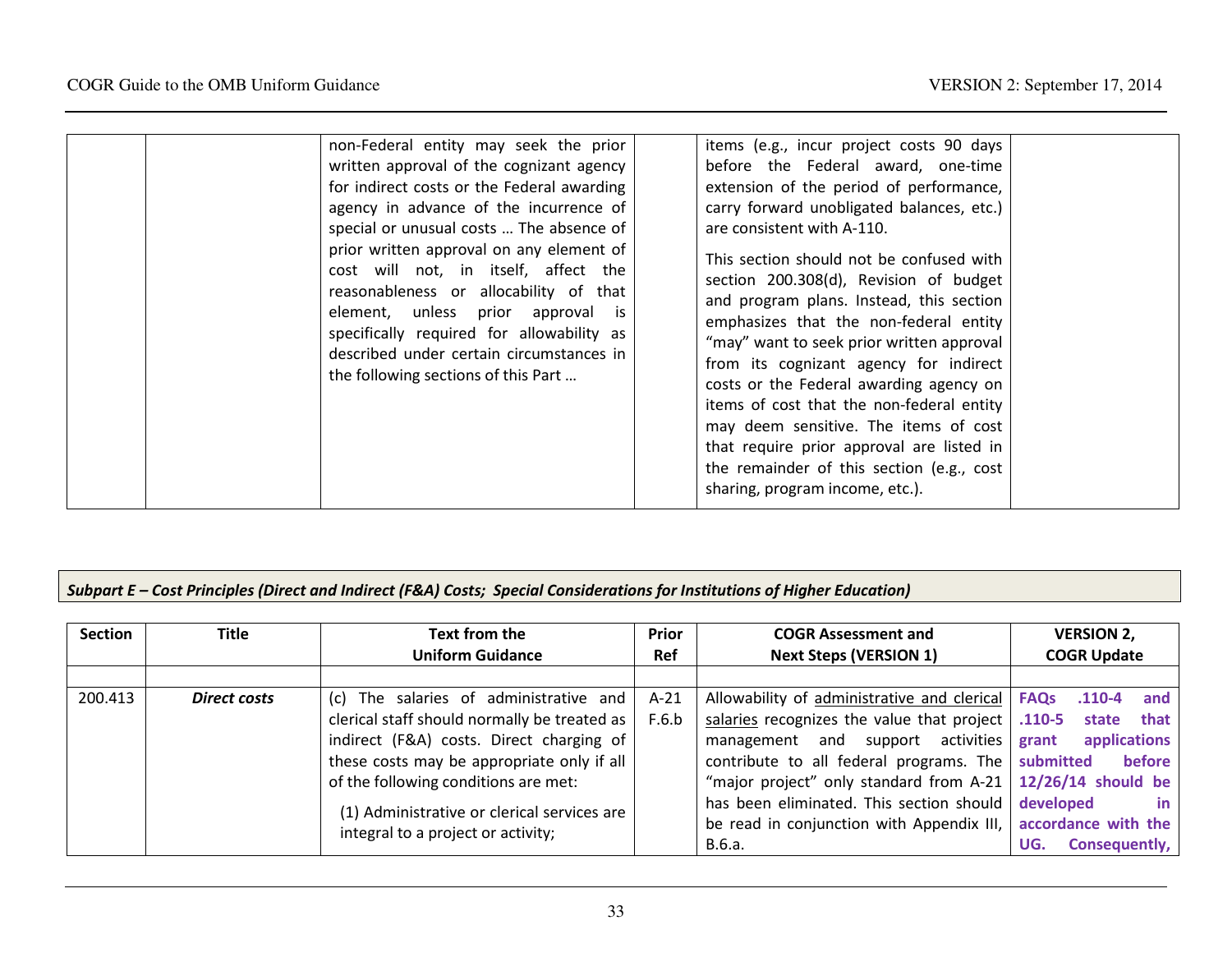# Subpart E – Cost Principles (Direct and Indirect (F&A) Costs; Special Considerations for Institutions of Higher Education)

| <b>Section</b> | Title               | Text from the<br><b>Uniform Guidance</b>     | <b>Prior</b><br><b>Ref</b> | <b>COGR Assessment and</b><br><b>Next Steps (VERSION 1)</b>   | <b>VERSION 2,</b><br><b>COGR Update</b> |
|----------------|---------------------|----------------------------------------------|----------------------------|---------------------------------------------------------------|-----------------------------------------|
|                |                     |                                              |                            |                                                               |                                         |
| 200.413        | <b>Direct costs</b> | (c) The salaries of administrative and       | $A-21$                     | Allowability of administrative and clerical   <b>FAQs</b>     | $.110 - 4$<br>and                       |
|                |                     | clerical staff should normally be treated as | F.6.b                      | salaries recognizes the value that project $\vert$ .110-5     | that<br>state                           |
|                |                     | indirect (F&A) costs. Direct charging of     |                            | management and support activities grant                       | applications                            |
|                |                     | these costs may be appropriate only if all   |                            | contribute to all federal programs. The submitted             | before                                  |
|                |                     | of the following conditions are met:         |                            | "major project" only standard from A-21   12/26/14 should be  |                                         |
|                |                     | (1) Administrative or clerical services are  |                            | has been eliminated. This section should developed            | in.                                     |
|                |                     | integral to a project or activity;           |                            | be read in conjunction with Appendix III, accordance with the |                                         |
|                |                     |                                              |                            | B.6.a.                                                        | Consequently,<br>UG.                    |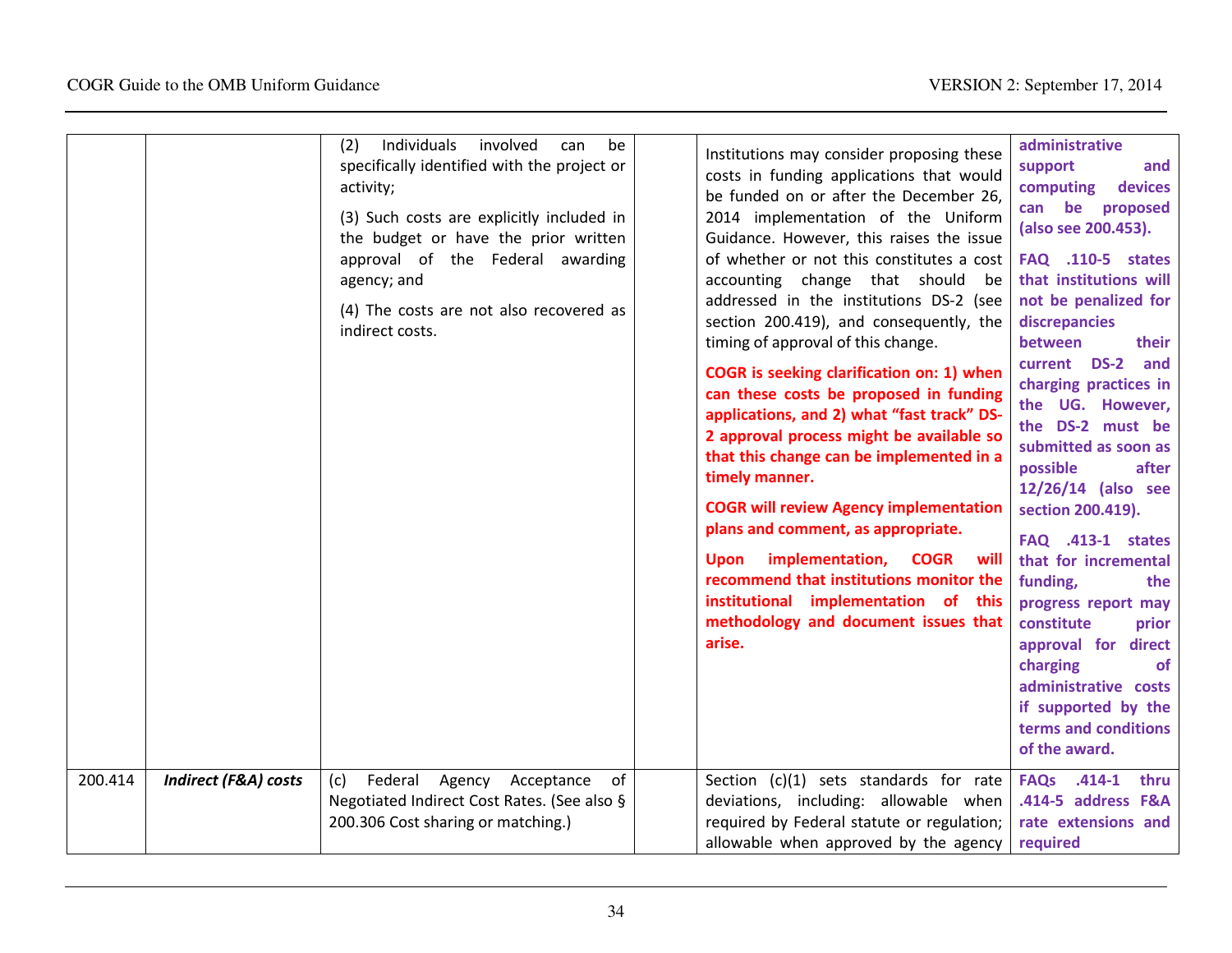|         |                                 | Individuals<br>(2)<br>involved<br>be<br>can<br>specifically identified with the project or<br>activity;<br>(3) Such costs are explicitly included in<br>the budget or have the prior written<br>approval of the Federal awarding<br>agency; and<br>(4) The costs are not also recovered as<br>indirect costs. | Institutions may consider proposing these<br>costs in funding applications that would<br>be funded on or after the December 26,<br>2014 implementation of the Uniform<br>Guidance. However, this raises the issue<br>of whether or not this constitutes a cost<br>accounting change that should<br>be<br>addressed in the institutions DS-2 (see<br>section 200.419), and consequently, the<br>timing of approval of this change.<br><b>COGR</b> is seeking clarification on: 1) when<br>can these costs be proposed in funding<br>applications, and 2) what "fast track" DS-<br>2 approval process might be available so<br>that this change can be implemented in a<br>timely manner.<br><b>COGR will review Agency implementation</b><br>plans and comment, as appropriate.<br>implementation,<br><b>COGR</b><br>will<br>Upon<br>recommend that institutions monitor the<br>institutional implementation of this<br>methodology and document issues that<br>arise. | administrative<br>support<br>and<br>devices<br>computing<br>can be<br>proposed<br>(also see 200.453).<br><b>FAQ</b> .110-5 states<br>that institutions will<br>not be penalized for<br>discrepancies<br>between<br>their<br>current DS-2<br>and<br>charging practices in<br>the UG. However,<br>the DS-2 must be<br>submitted as soon as<br>after<br>possible<br>12/26/14 (also see<br>section 200.419).<br><b>FAQ</b> .413-1 states<br>that for incremental<br>funding,<br>the<br>progress report may<br>constitute<br>prior<br>approval for direct<br>charging<br><b>of</b><br>administrative costs<br>if supported by the<br>terms and conditions<br>of the award. |
|---------|---------------------------------|---------------------------------------------------------------------------------------------------------------------------------------------------------------------------------------------------------------------------------------------------------------------------------------------------------------|-----------------------------------------------------------------------------------------------------------------------------------------------------------------------------------------------------------------------------------------------------------------------------------------------------------------------------------------------------------------------------------------------------------------------------------------------------------------------------------------------------------------------------------------------------------------------------------------------------------------------------------------------------------------------------------------------------------------------------------------------------------------------------------------------------------------------------------------------------------------------------------------------------------------------------------------------------------------------|-----------------------------------------------------------------------------------------------------------------------------------------------------------------------------------------------------------------------------------------------------------------------------------------------------------------------------------------------------------------------------------------------------------------------------------------------------------------------------------------------------------------------------------------------------------------------------------------------------------------------------------------------------------------------|
| 200.414 | <b>Indirect (F&amp;A) costs</b> | Federal Agency<br>Acceptance<br>of<br>(c)<br>Negotiated Indirect Cost Rates. (See also §<br>200.306 Cost sharing or matching.)                                                                                                                                                                                | Section (c)(1) sets standards for rate<br>deviations, including: allowable when<br>required by Federal statute or regulation;<br>allowable when approved by the agency                                                                                                                                                                                                                                                                                                                                                                                                                                                                                                                                                                                                                                                                                                                                                                                                | <b>FAQs</b><br>$.414 - 1$<br>thru<br>.414-5 address F&A<br>rate extensions and<br>required                                                                                                                                                                                                                                                                                                                                                                                                                                                                                                                                                                            |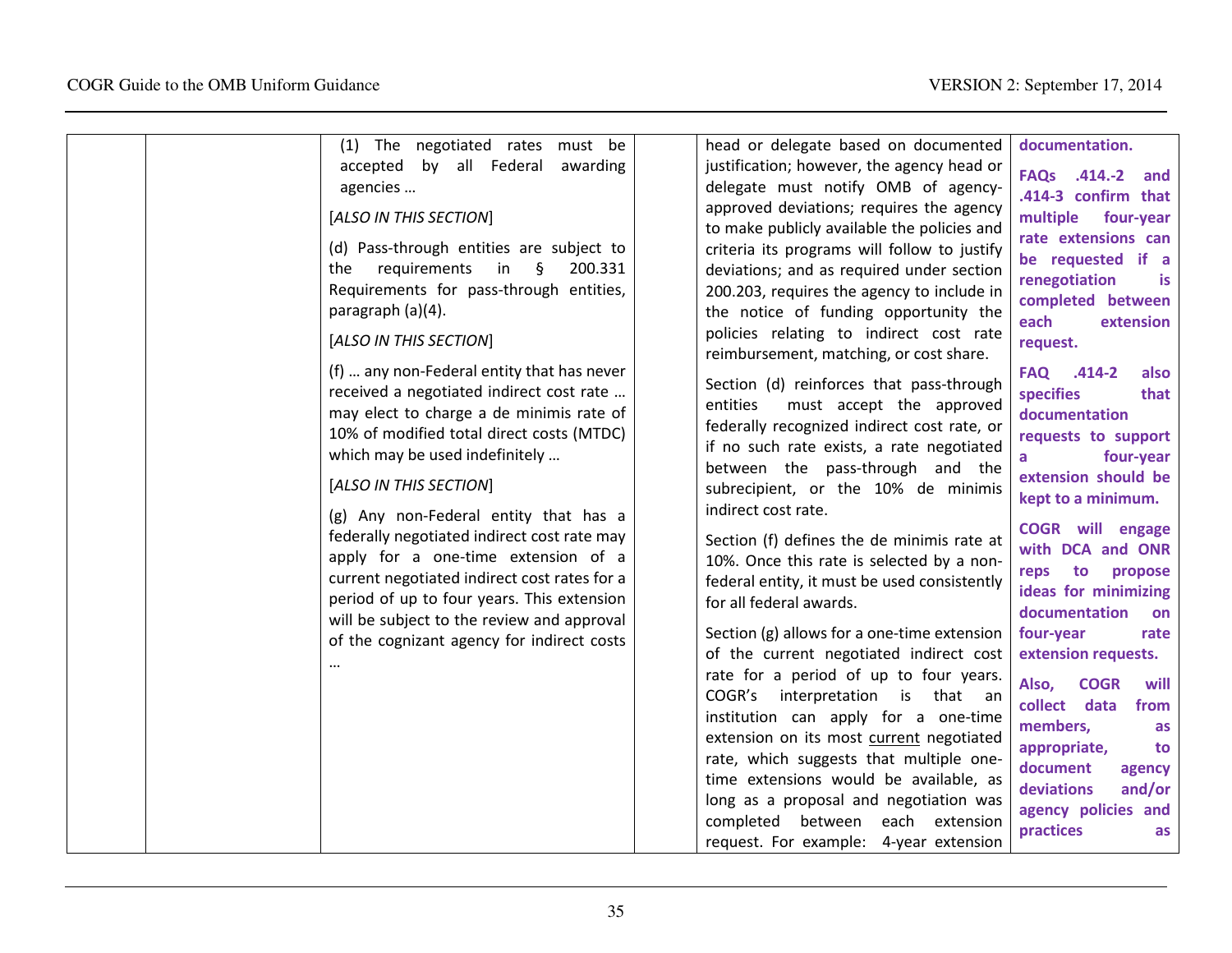| (1) The negotiated rates must be                                                                                                                                                                                                                                                                                                                                                                                                                                                                                                                                                               | head or delegate based on documented                                                                                                                                                                                                                                                                                                                                                                                                                                                                                                                                                                                                                                                                                                                                                                                                                                                                                                                                        | documentation.                                                                                                                                                                                                                                                                                                                                                                                                                                                                                                     |
|------------------------------------------------------------------------------------------------------------------------------------------------------------------------------------------------------------------------------------------------------------------------------------------------------------------------------------------------------------------------------------------------------------------------------------------------------------------------------------------------------------------------------------------------------------------------------------------------|-----------------------------------------------------------------------------------------------------------------------------------------------------------------------------------------------------------------------------------------------------------------------------------------------------------------------------------------------------------------------------------------------------------------------------------------------------------------------------------------------------------------------------------------------------------------------------------------------------------------------------------------------------------------------------------------------------------------------------------------------------------------------------------------------------------------------------------------------------------------------------------------------------------------------------------------------------------------------------|--------------------------------------------------------------------------------------------------------------------------------------------------------------------------------------------------------------------------------------------------------------------------------------------------------------------------------------------------------------------------------------------------------------------------------------------------------------------------------------------------------------------|
| accepted by all Federal<br>awarding<br>agencies<br>[ALSO IN THIS SECTION]<br>(d) Pass-through entities are subject to<br>requirements<br>in<br>ş<br>200.331<br>the<br>Requirements for pass-through entities,<br>paragraph (a)(4).                                                                                                                                                                                                                                                                                                                                                             | justification; however, the agency head or<br>delegate must notify OMB of agency-<br>approved deviations; requires the agency<br>to make publicly available the policies and<br>criteria its programs will follow to justify<br>deviations; and as required under section<br>200.203, requires the agency to include in<br>the notice of funding opportunity the<br>policies relating to indirect cost rate                                                                                                                                                                                                                                                                                                                                                                                                                                                                                                                                                                 | FAQs .414.-2 and<br>.414-3 confirm that<br>multiple<br>four-year<br>rate extensions can<br>be requested if a<br>renegotiation<br><b>is</b><br>completed between<br>each<br>extension                                                                                                                                                                                                                                                                                                                               |
| [ALSO IN THIS SECTION]<br>(f)  any non-Federal entity that has never<br>received a negotiated indirect cost rate<br>may elect to charge a de minimis rate of<br>10% of modified total direct costs (MTDC)<br>which may be used indefinitely<br>[ALSO IN THIS SECTION]<br>(g) Any non-Federal entity that has a<br>federally negotiated indirect cost rate may<br>apply for a one-time extension of a<br>current negotiated indirect cost rates for a<br>period of up to four years. This extension<br>will be subject to the review and approval<br>of the cognizant agency for indirect costs | reimbursement, matching, or cost share.<br>Section (d) reinforces that pass-through<br>must accept the approved<br>entities<br>federally recognized indirect cost rate, or<br>if no such rate exists, a rate negotiated<br>between the pass-through and the<br>subrecipient, or the 10% de minimis<br>indirect cost rate.<br>Section (f) defines the de minimis rate at<br>10%. Once this rate is selected by a non-<br>federal entity, it must be used consistently<br>for all federal awards.<br>Section (g) allows for a one-time extension<br>of the current negotiated indirect cost<br>rate for a period of up to four years.<br>COGR's<br>interpretation is that an<br>institution can apply for a one-time<br>extension on its most current negotiated<br>rate, which suggests that multiple one-<br>time extensions would be available, as<br>long as a proposal and negotiation was<br>completed between each extension<br>request. For example: 4-year extension | request.<br>FAQ .414-2<br>also<br>specifies<br>that<br>documentation<br>requests to support<br>four-year<br>a<br>extension should be<br>kept to a minimum.<br><b>COGR</b> will engage<br>with DCA and ONR<br>reps to<br>propose<br>ideas for minimizing<br>documentation<br>on<br>four-year<br>rate<br>extension requests.<br>Also,<br><b>COGR</b><br>will<br>collect data<br>from<br>members,<br>as<br>appropriate,<br>to<br>document<br>agency<br>deviations<br>and/or<br>agency policies and<br>practices<br>as |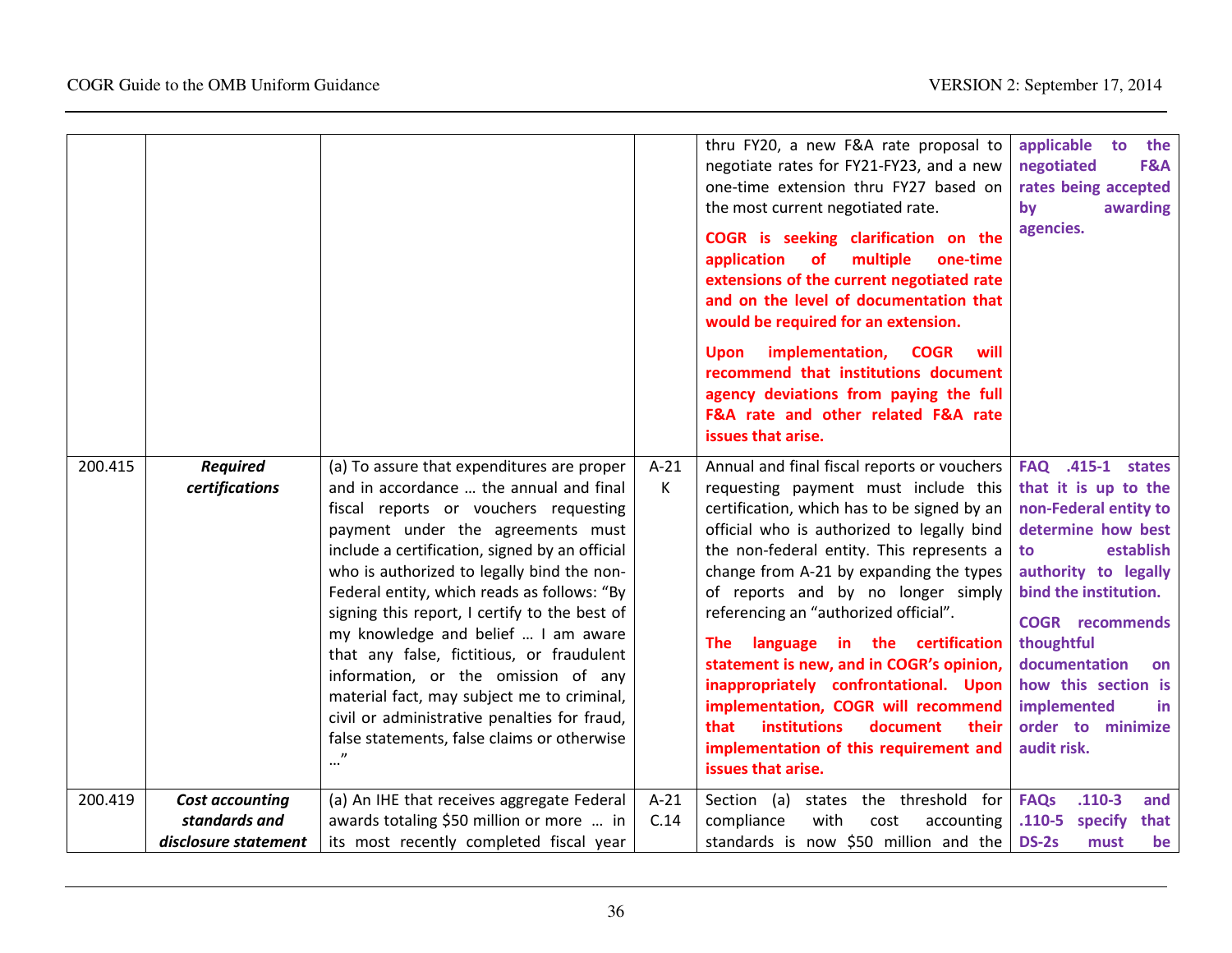|         |                                                                 |                                                                                                                                                                                                                                                                                                                                                                                                                                                                                                                                                                                                                                                        |                | thru FY20, a new F&A rate proposal to<br>negotiate rates for FY21-FY23, and a new<br>one-time extension thru FY27 based on<br>the most current negotiated rate.<br>COGR is seeking clarification on the<br>application<br>multiple<br><b>of</b><br>one-time<br>extensions of the current negotiated rate<br>and on the level of documentation that<br>would be required for an extension.<br>implementation,<br><b>COGR</b><br>will<br><b>Upon</b><br>recommend that institutions document<br>agency deviations from paying the full<br>F&A rate and other related F&A rate<br>issues that arise.                                                 | applicable<br>the<br>to<br>negotiated<br>F&A<br>rates being accepted<br>by<br>awarding<br>agencies.                                                                                                                                                                                                                 |
|---------|-----------------------------------------------------------------|--------------------------------------------------------------------------------------------------------------------------------------------------------------------------------------------------------------------------------------------------------------------------------------------------------------------------------------------------------------------------------------------------------------------------------------------------------------------------------------------------------------------------------------------------------------------------------------------------------------------------------------------------------|----------------|---------------------------------------------------------------------------------------------------------------------------------------------------------------------------------------------------------------------------------------------------------------------------------------------------------------------------------------------------------------------------------------------------------------------------------------------------------------------------------------------------------------------------------------------------------------------------------------------------------------------------------------------------|---------------------------------------------------------------------------------------------------------------------------------------------------------------------------------------------------------------------------------------------------------------------------------------------------------------------|
| 200.415 | <b>Required</b><br>certifications                               | (a) To assure that expenditures are proper<br>and in accordance  the annual and final<br>fiscal reports or vouchers requesting<br>payment under the agreements must<br>include a certification, signed by an official<br>who is authorized to legally bind the non-<br>Federal entity, which reads as follows: "By<br>signing this report, I certify to the best of<br>my knowledge and belief  I am aware<br>that any false, fictitious, or fraudulent<br>information, or the omission of any<br>material fact, may subject me to criminal,<br>civil or administrative penalties for fraud,<br>false statements, false claims or otherwise<br>$\cdot$ | $A-21$<br>К    | Annual and final fiscal reports or vouchers<br>requesting payment must include this<br>certification, which has to be signed by an<br>official who is authorized to legally bind<br>the non-federal entity. This represents a<br>change from A-21 by expanding the types<br>of reports and by no longer simply<br>referencing an "authorized official".<br>language in the certification<br>The l<br>statement is new, and in COGR's opinion,<br>inappropriately confrontational. Upon<br>implementation, COGR will recommend<br><b>institutions</b><br>document<br>that<br>their<br>implementation of this requirement and<br>issues that arise. | <b>FAQ</b> .415-1 states<br>that it is up to the<br>non-Federal entity to<br>determine how best<br>establish<br>to<br>authority to legally<br>bind the institution.<br><b>COGR</b> recommends<br>thoughtful<br>documentation<br>on<br>how this section is<br>implemented<br>in.<br>order to minimize<br>audit risk. |
| 200.419 | <b>Cost accounting</b><br>standards and<br>disclosure statement | (a) An IHE that receives aggregate Federal<br>awards totaling \$50 million or more  in<br>its most recently completed fiscal year                                                                                                                                                                                                                                                                                                                                                                                                                                                                                                                      | $A-21$<br>C.14 | Section (a)<br>states the threshold for<br>compliance<br>with<br>cost<br>accounting<br>standards is now \$50 million and the                                                                                                                                                                                                                                                                                                                                                                                                                                                                                                                      | <b>FAQs</b><br>$.110-3$<br>and<br>$.110 - 5$<br>specify<br>that<br><b>DS-2s</b><br>must<br>be                                                                                                                                                                                                                       |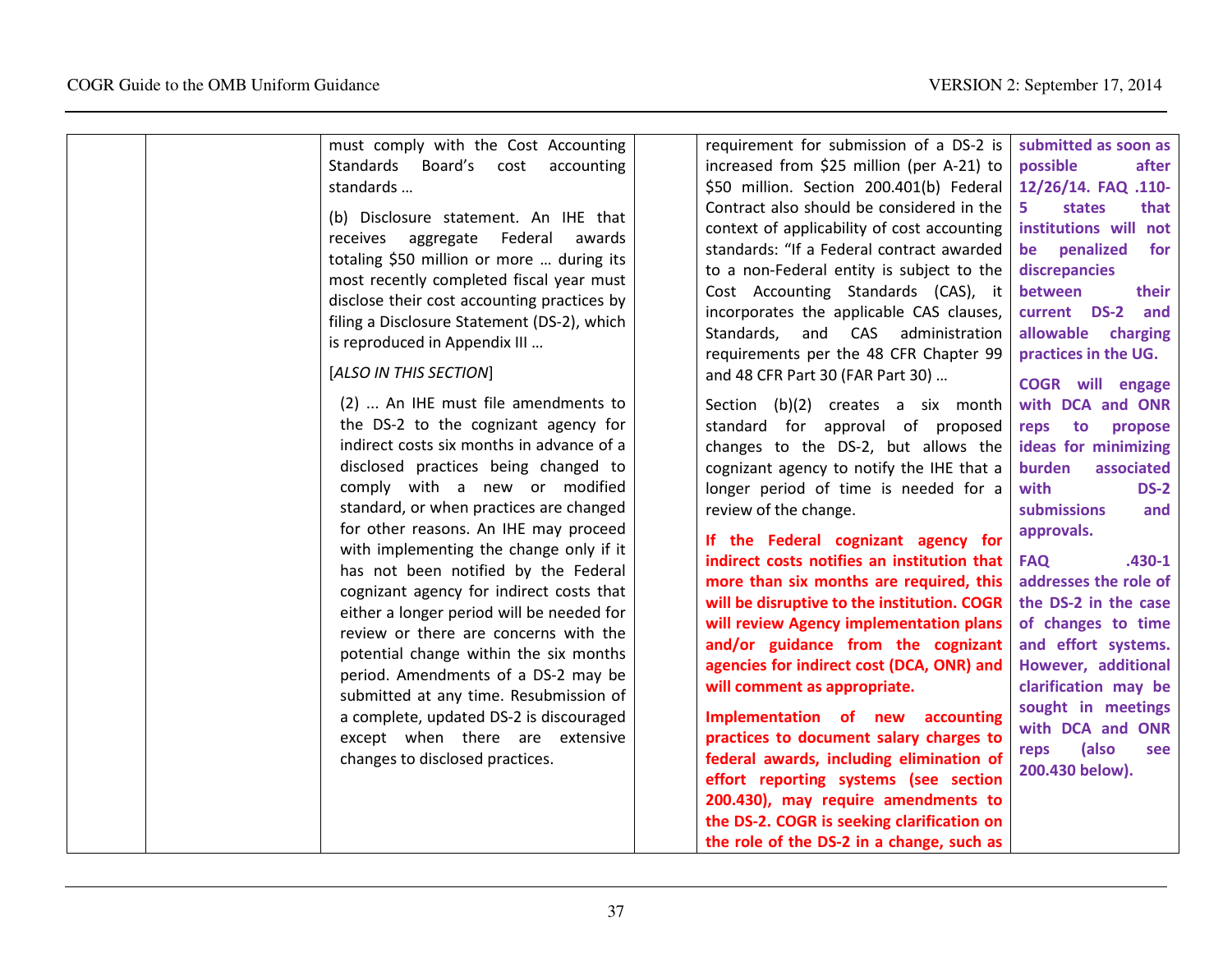| must comply with the Cost Accounting<br>Standards Board's cost<br>accounting<br>standards<br>(b) Disclosure statement. An IHE that<br>receives aggregate Federal<br>awards<br>totaling \$50 million or more  during its<br>most recently completed fiscal year must<br>disclose their cost accounting practices by<br>filing a Disclosure Statement (DS-2), which<br>is reproduced in Appendix III<br>[ALSO IN THIS SECTION]<br>(2)  An IHE must file amendments to<br>the DS-2 to the cognizant agency for<br>indirect costs six months in advance of a                                                                   | requirement for submission of a DS-2 is<br>increased from \$25 million (per A-21) to<br>\$50 million. Section 200.401(b) Federal<br>Contract also should be considered in the<br>context of applicability of cost accounting<br>standards: "If a Federal contract awarded<br>to a non-Federal entity is subject to the<br>Cost Accounting Standards (CAS), it<br>incorporates the applicable CAS clauses,<br>Standards, and CAS administration<br>requirements per the 48 CFR Chapter 99<br>and 48 CFR Part 30 (FAR Part 30)<br>Section (b)(2) creates a six month<br>standard for approval of proposed<br>changes to the DS-2, but allows the                                                                                                                  | submitted as soon as<br>possible<br>after<br>12/26/14. FAQ .110-<br>5.<br>states<br>that<br>institutions will not<br>penalized<br>for<br>be<br>discrepancies<br>between<br>their<br>current DS-2<br>and<br>allowable charging<br>practices in the UG.<br><b>COGR</b> will engage<br>with DCA and ONR<br>reps to<br>propose<br>ideas for minimizing |
|----------------------------------------------------------------------------------------------------------------------------------------------------------------------------------------------------------------------------------------------------------------------------------------------------------------------------------------------------------------------------------------------------------------------------------------------------------------------------------------------------------------------------------------------------------------------------------------------------------------------------|-----------------------------------------------------------------------------------------------------------------------------------------------------------------------------------------------------------------------------------------------------------------------------------------------------------------------------------------------------------------------------------------------------------------------------------------------------------------------------------------------------------------------------------------------------------------------------------------------------------------------------------------------------------------------------------------------------------------------------------------------------------------|----------------------------------------------------------------------------------------------------------------------------------------------------------------------------------------------------------------------------------------------------------------------------------------------------------------------------------------------------|
| disclosed practices being changed to<br>comply with a new or modified<br>standard, or when practices are changed<br>for other reasons. An IHE may proceed<br>with implementing the change only if it<br>has not been notified by the Federal<br>cognizant agency for indirect costs that<br>either a longer period will be needed for<br>review or there are concerns with the<br>potential change within the six months<br>period. Amendments of a DS-2 may be<br>submitted at any time. Resubmission of<br>a complete, updated DS-2 is discouraged<br>except when there are extensive<br>changes to disclosed practices. | cognizant agency to notify the IHE that a<br>longer period of time is needed for a<br>review of the change.<br>If the Federal cognizant agency for<br>indirect costs notifies an institution that<br>more than six months are required, this<br>will be disruptive to the institution. COGR<br>will review Agency implementation plans<br>and/or guidance from the cognizant<br>agencies for indirect cost (DCA, ONR) and<br>will comment as appropriate.<br>Implementation of new accounting<br>practices to document salary charges to<br>federal awards, including elimination of<br>effort reporting systems (see section<br>200.430), may require amendments to<br>the DS-2. COGR is seeking clarification on<br>the role of the DS-2 in a change, such as | burden<br>associated<br>with<br><b>DS-2</b><br>submissions<br>and<br>approvals.<br>$.430 - 1$<br><b>FAQ</b><br>addresses the role of<br>the DS-2 in the case<br>of changes to time<br>and effort systems.<br>However, additional<br>clarification may be<br>sought in meetings<br>with DCA and ONR<br>(also<br>reps<br>see<br>200.430 below).      |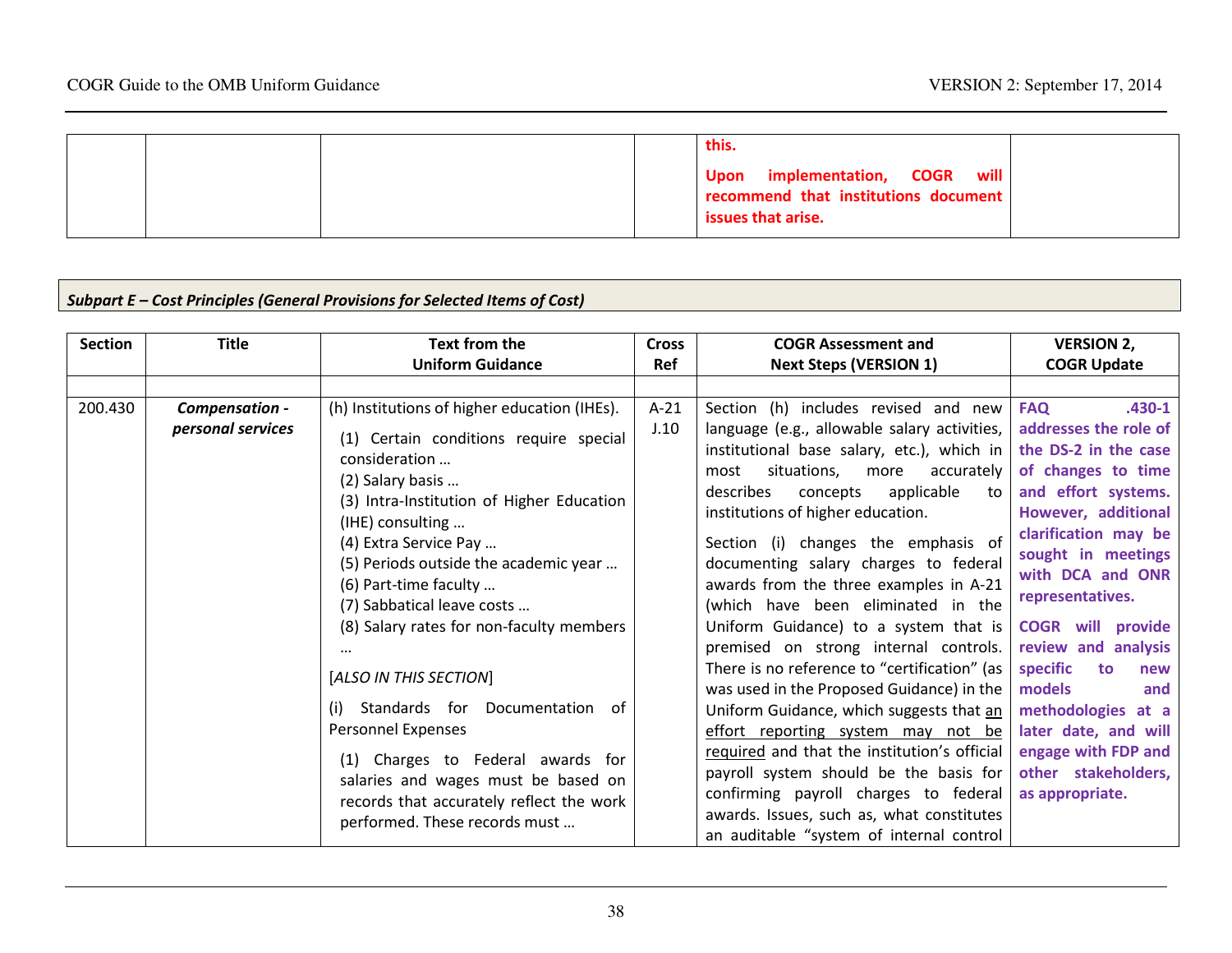|  | this.                                |
|--|--------------------------------------|
|  | will<br>Upon implementation, COGR    |
|  | recommend that institutions document |
|  | <b>issues that arise.</b>            |

# Subpart E – Cost Principles (General Provisions for Selected Items of Cost)

| <b>Section</b> | <b>Title</b>                        | <b>Text from the</b>                                                                                                                                                                                                                                                                                                                                                                                                                                                                                                                                                                                             | <b>Cross</b>   | <b>COGR Assessment and</b>                                                                                                                                                                                                                                                                                                                                                                                                                                                                                                                                                                                                                                                                                                                                                                                                                                                                                                     | <b>VERSION 2,</b>                                                                                                                                                                                                                                                                                                                                                                                                                               |
|----------------|-------------------------------------|------------------------------------------------------------------------------------------------------------------------------------------------------------------------------------------------------------------------------------------------------------------------------------------------------------------------------------------------------------------------------------------------------------------------------------------------------------------------------------------------------------------------------------------------------------------------------------------------------------------|----------------|--------------------------------------------------------------------------------------------------------------------------------------------------------------------------------------------------------------------------------------------------------------------------------------------------------------------------------------------------------------------------------------------------------------------------------------------------------------------------------------------------------------------------------------------------------------------------------------------------------------------------------------------------------------------------------------------------------------------------------------------------------------------------------------------------------------------------------------------------------------------------------------------------------------------------------|-------------------------------------------------------------------------------------------------------------------------------------------------------------------------------------------------------------------------------------------------------------------------------------------------------------------------------------------------------------------------------------------------------------------------------------------------|
|                |                                     | <b>Uniform Guidance</b>                                                                                                                                                                                                                                                                                                                                                                                                                                                                                                                                                                                          | Ref            | <b>Next Steps (VERSION 1)</b>                                                                                                                                                                                                                                                                                                                                                                                                                                                                                                                                                                                                                                                                                                                                                                                                                                                                                                  | <b>COGR Update</b>                                                                                                                                                                                                                                                                                                                                                                                                                              |
|                |                                     |                                                                                                                                                                                                                                                                                                                                                                                                                                                                                                                                                                                                                  |                |                                                                                                                                                                                                                                                                                                                                                                                                                                                                                                                                                                                                                                                                                                                                                                                                                                                                                                                                |                                                                                                                                                                                                                                                                                                                                                                                                                                                 |
| 200.430        | Compensation -<br>personal services | (h) Institutions of higher education (IHEs).<br>(1) Certain conditions require special<br>consideration<br>(2) Salary basis<br>(3) Intra-Institution of Higher Education<br>(IHE) consulting<br>(4) Extra Service Pay<br>(5) Periods outside the academic year<br>(6) Part-time faculty<br>(7) Sabbatical leave costs<br>(8) Salary rates for non-faculty members<br>[ALSO IN THIS SECTION]<br>(i) Standards for Documentation of<br>Personnel Expenses<br>(1) Charges to Federal awards for<br>salaries and wages must be based on<br>records that accurately reflect the work<br>performed. These records must | $A-21$<br>J.10 | Section (h) includes revised and new<br>language (e.g., allowable salary activities,<br>institutional base salary, etc.), which in<br>situations,<br>accurately<br>more<br>most<br>describes<br>applicable<br>concepts<br>to<br>institutions of higher education.<br>Section (i) changes the emphasis of<br>documenting salary charges to federal<br>awards from the three examples in A-21<br>(which have been eliminated in the<br>Uniform Guidance) to a system that is<br>premised on strong internal controls.<br>There is no reference to "certification" (as<br>was used in the Proposed Guidance) in the<br>Uniform Guidance, which suggests that an<br>effort reporting system may not be<br>required and that the institution's official<br>payroll system should be the basis for<br>confirming payroll charges to federal<br>awards. Issues, such as, what constitutes<br>an auditable "system of internal control | <b>FAQ</b><br>$.430 - 1$<br>addresses the role of<br>the DS-2 in the case<br>of changes to time<br>and effort systems.<br>However, additional<br>clarification may be<br>sought in meetings<br>with DCA and ONR<br>representatives.<br><b>COGR</b> will provide<br>review and analysis<br>specific<br>to<br>new<br>models<br>and<br>methodologies at a<br>later date, and will<br>engage with FDP and<br>other stakeholders,<br>as appropriate. |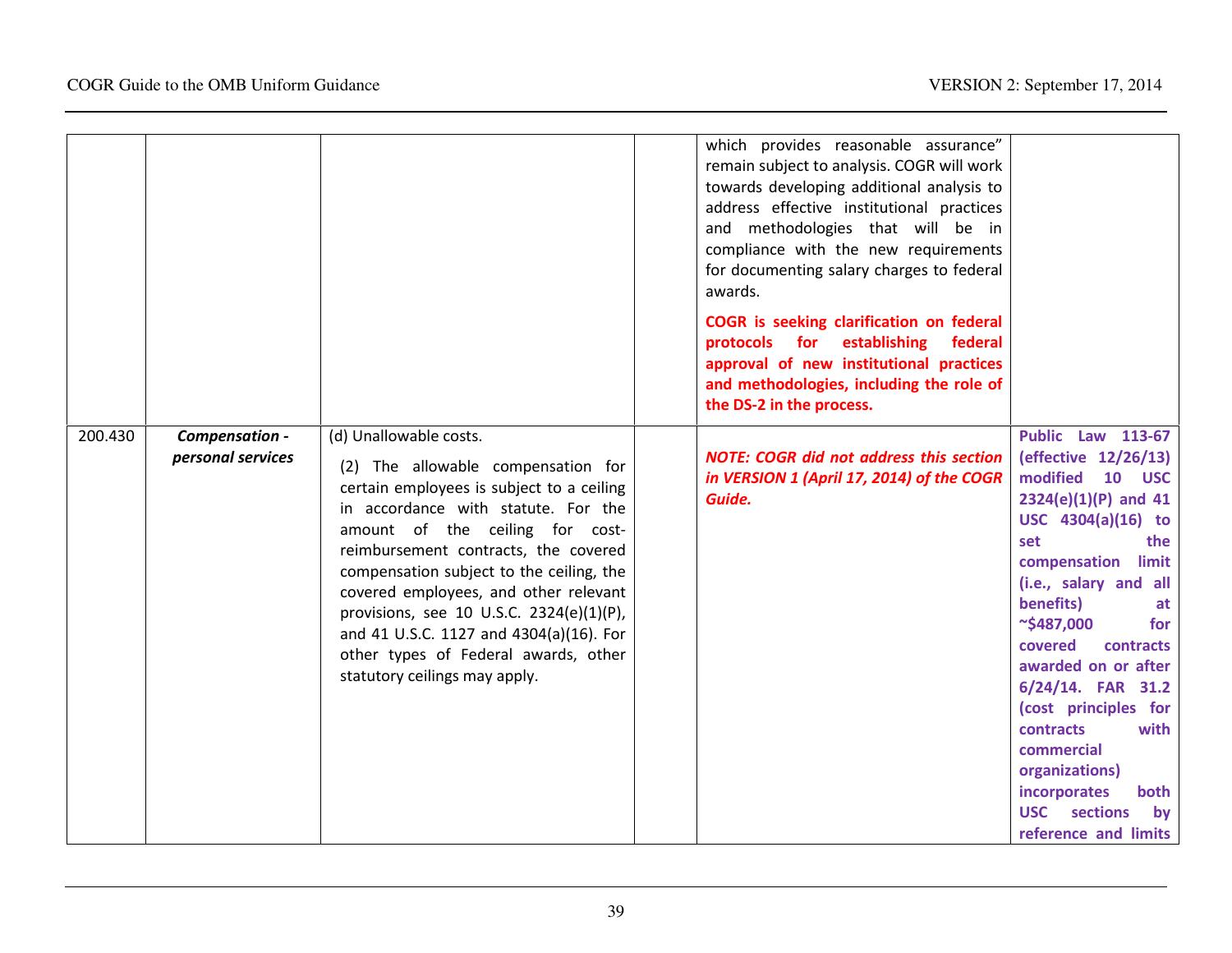|         |                                     |                                                                                                                                                                                                                                                                                                                                                                                                                                                                                  | which provides reasonable assurance"<br>remain subject to analysis. COGR will work<br>towards developing additional analysis to<br>address effective institutional practices                         |                                                                                                                                                                                                                                                                                                                                                                                                                                                                              |
|---------|-------------------------------------|----------------------------------------------------------------------------------------------------------------------------------------------------------------------------------------------------------------------------------------------------------------------------------------------------------------------------------------------------------------------------------------------------------------------------------------------------------------------------------|------------------------------------------------------------------------------------------------------------------------------------------------------------------------------------------------------|------------------------------------------------------------------------------------------------------------------------------------------------------------------------------------------------------------------------------------------------------------------------------------------------------------------------------------------------------------------------------------------------------------------------------------------------------------------------------|
|         |                                     |                                                                                                                                                                                                                                                                                                                                                                                                                                                                                  | and methodologies that will be in<br>compliance with the new requirements<br>for documenting salary charges to federal<br>awards.                                                                    |                                                                                                                                                                                                                                                                                                                                                                                                                                                                              |
|         |                                     |                                                                                                                                                                                                                                                                                                                                                                                                                                                                                  | COGR is seeking clarification on federal<br>protocols for establishing<br>federal<br>approval of new institutional practices<br>and methodologies, including the role of<br>the DS-2 in the process. |                                                                                                                                                                                                                                                                                                                                                                                                                                                                              |
| 200.430 | Compensation -<br>personal services | (d) Unallowable costs.<br>(2) The allowable compensation for<br>certain employees is subject to a ceiling<br>in accordance with statute. For the<br>amount of the ceiling for cost-<br>reimbursement contracts, the covered<br>compensation subject to the ceiling, the<br>covered employees, and other relevant<br>provisions, see 10 U.S.C. 2324(e)(1)(P),<br>and 41 U.S.C. 1127 and 4304(a)(16). For<br>other types of Federal awards, other<br>statutory ceilings may apply. | <b>NOTE: COGR did not address this section</b><br>in VERSION 1 (April 17, 2014) of the COGR<br>Guide.                                                                                                | <b>Public Law 113-67</b><br>(effective 12/26/13)<br>modified<br>10<br><b>USC</b><br>$2324(e)(1)(P)$ and 41<br>USC 4304(a)(16) to<br>set<br>the<br>compensation limit<br>(i.e., salary and all<br>benefits)<br>at<br>$\sim$ \$487,000<br>for<br>covered<br>contracts<br>awarded on or after<br>6/24/14. FAR 31.2<br>(cost principles for<br>contracts<br>with<br>commercial<br>organizations)<br>incorporates<br>both<br><b>USC</b><br>sections<br>by<br>reference and limits |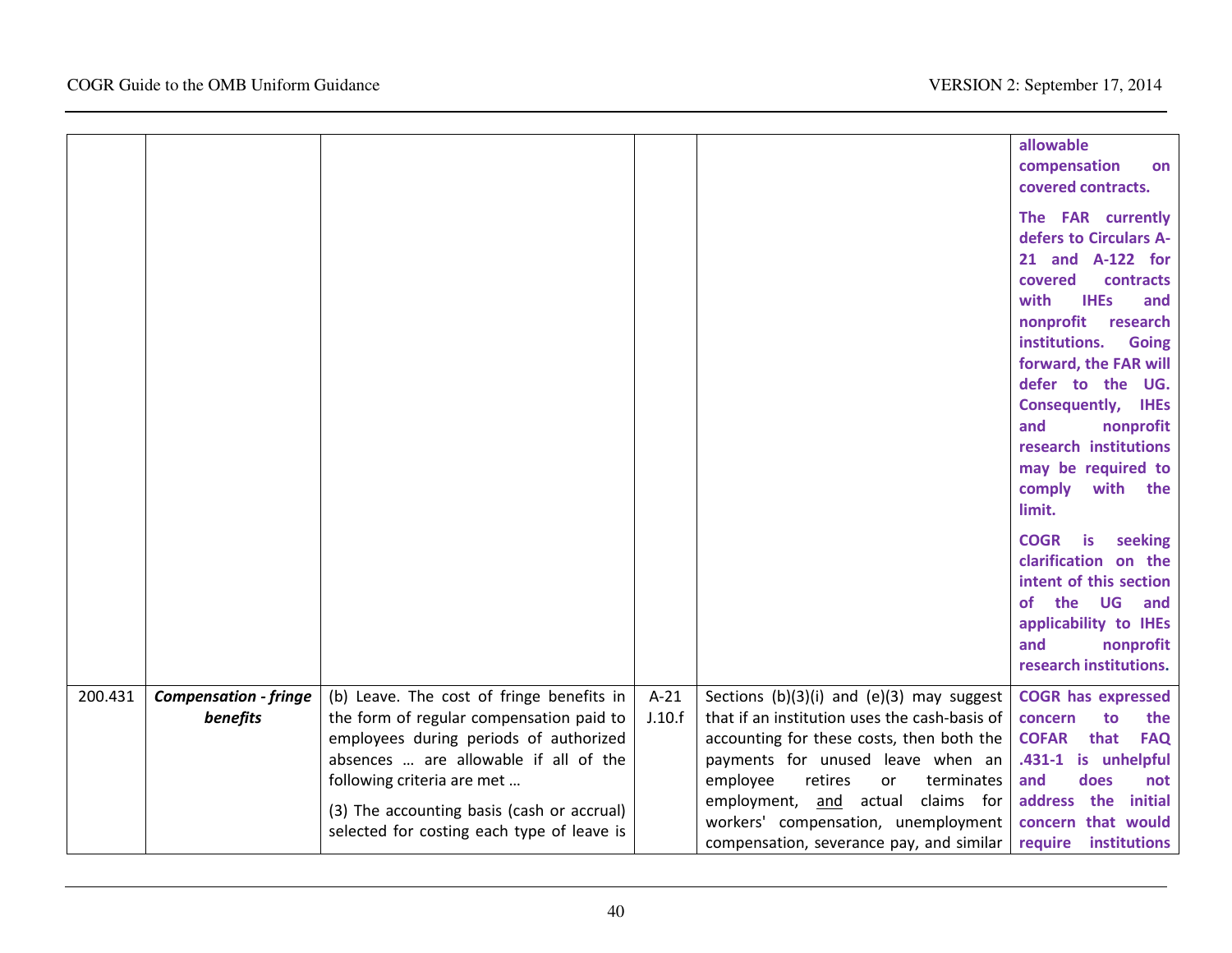|         |                              |                                                                                                                                                             |        |                                                                                                                                                                   | allowable<br>compensation<br>on<br>covered contracts.<br>The FAR currently<br>defers to Circulars A-<br>21 and A-122 for<br>covered<br>contracts<br>with<br><b>IHEs</b><br>and<br>nonprofit research<br>institutions.<br><b>Going</b><br>forward, the FAR will<br>defer to the UG.<br><b>Consequently, IHEs</b><br>and<br>nonprofit<br>research institutions<br>may be required to<br>comply<br>with the<br>limit. |
|---------|------------------------------|-------------------------------------------------------------------------------------------------------------------------------------------------------------|--------|-------------------------------------------------------------------------------------------------------------------------------------------------------------------|--------------------------------------------------------------------------------------------------------------------------------------------------------------------------------------------------------------------------------------------------------------------------------------------------------------------------------------------------------------------------------------------------------------------|
|         |                              |                                                                                                                                                             |        |                                                                                                                                                                   | <b>COGR</b><br>is<br>seeking<br>clarification on the<br>intent of this section<br>of the UG and<br>applicability to IHEs<br>and<br>nonprofit<br>research institutions.                                                                                                                                                                                                                                             |
| 200.431 | <b>Compensation - fringe</b> | (b) Leave. The cost of fringe benefits in                                                                                                                   | $A-21$ | Sections $(b)(3)(i)$ and $(e)(3)$ may suggest                                                                                                                     | <b>COGR has expressed</b>                                                                                                                                                                                                                                                                                                                                                                                          |
|         | benefits                     | the form of regular compensation paid to                                                                                                                    | J.10.f | that if an institution uses the cash-basis of                                                                                                                     | concern<br>to<br>the                                                                                                                                                                                                                                                                                                                                                                                               |
|         |                              | employees during periods of authorized<br>absences  are allowable if all of the<br>following criteria are met<br>(3) The accounting basis (cash or accrual) |        | accounting for these costs, then both the<br>payments for unused leave when an<br>employee<br>retires<br>terminates<br>or<br>employment, and<br>actual claims for | <b>COFAR</b><br>that<br><b>FAQ</b><br>.431-1 is unhelpful<br>and<br>does<br>not<br>address the initial                                                                                                                                                                                                                                                                                                             |
|         |                              | selected for costing each type of leave is                                                                                                                  |        | workers' compensation, unemployment<br>compensation, severance pay, and similar                                                                                   | concern that would<br>require institutions                                                                                                                                                                                                                                                                                                                                                                         |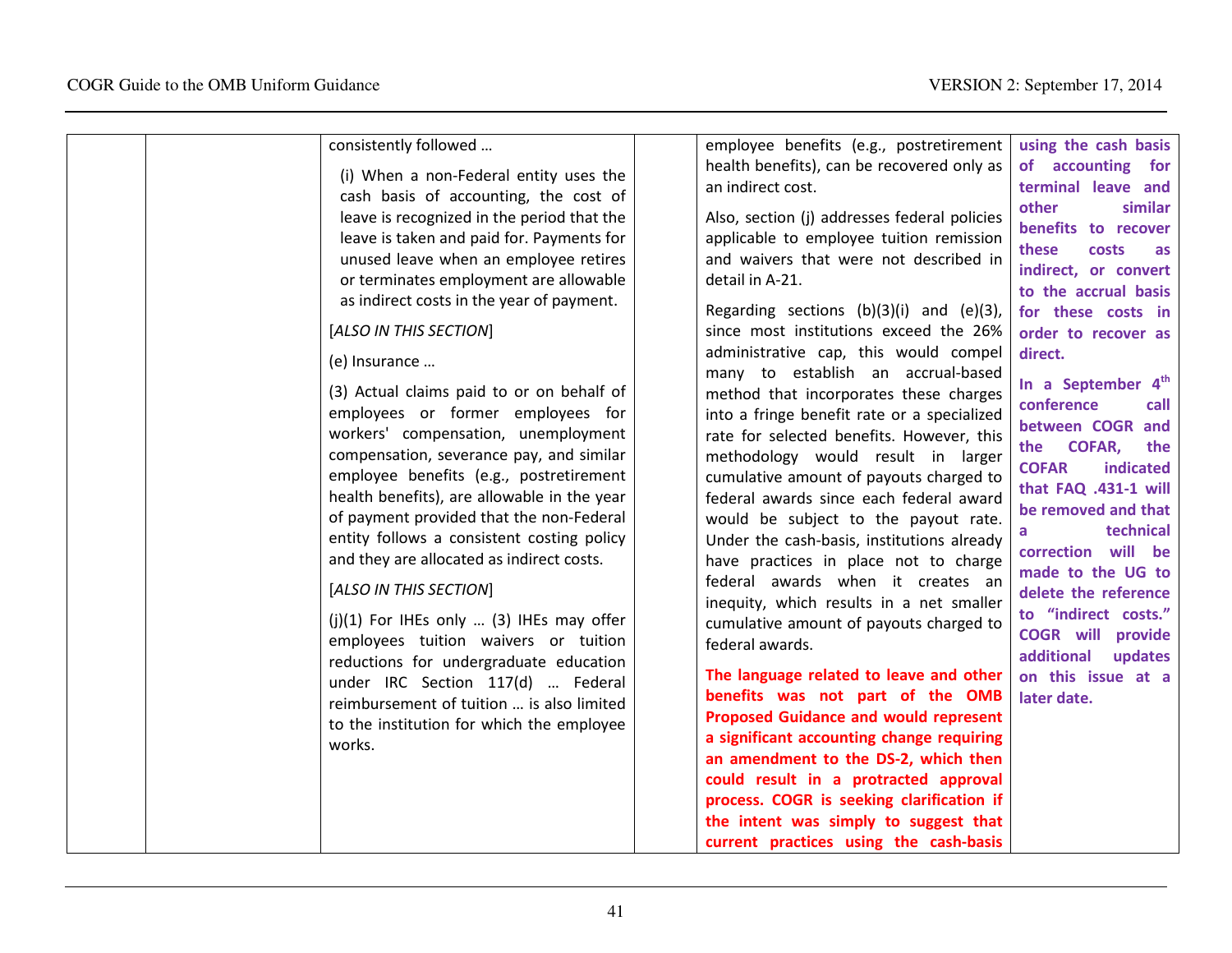| health benefits), can be recovered only as<br>of accounting for<br>(i) When a non-Federal entity uses the<br>terminal leave and<br>an indirect cost.<br>cash basis of accounting, the cost of<br>other<br>leave is recognized in the period that the<br>Also, section (j) addresses federal policies<br>benefits to recover<br>leave is taken and paid for. Payments for<br>applicable to employee tuition remission<br>these<br>costs<br>unused leave when an employee retires<br>and waivers that were not described in<br>indirect, or convert<br>detail in A-21.<br>or terminates employment are allowable<br>to the accrual basis<br>as indirect costs in the year of payment.<br>Regarding sections $(b)(3)(i)$ and $(e)(3)$ ,<br>for these costs in<br>[ALSO IN THIS SECTION]<br>since most institutions exceed the 26%<br>order to recover as<br>administrative cap, this would compel<br>direct.<br>(e) Insurance<br>many to establish an accrual-based<br>In a September 4 <sup>th</sup><br>(3) Actual claims paid to or on behalf of<br>method that incorporates these charges<br>conference<br>employees or former employees for<br>into a fringe benefit rate or a specialized<br>between COGR and<br>workers' compensation, unemployment<br>rate for selected benefits. However, this<br><b>COFAR,</b><br>the<br>compensation, severance pay, and similar<br>methodology would result in larger<br><b>COFAR</b><br>indicated<br>employee benefits (e.g., postretirement<br>cumulative amount of payouts charged to<br>that FAQ .431-1 will<br>health benefits), are allowable in the year<br>federal awards since each federal award<br>be removed and that<br>of payment provided that the non-Federal<br>would be subject to the payout rate.<br>technical<br>entity follows a consistent costing policy<br>Under the cash-basis, institutions already<br>correction will be<br>and they are allocated as indirect costs.<br>have practices in place not to charge<br>made to the UG to<br>federal awards when it creates an<br>[ALSO IN THIS SECTION]<br>delete the reference<br>inequity, which results in a net smaller<br>to "indirect costs."<br>$(j)(1)$ For IHEs only  (3) IHEs may offer<br>cumulative amount of payouts charged to |
|-------------------------------------------------------------------------------------------------------------------------------------------------------------------------------------------------------------------------------------------------------------------------------------------------------------------------------------------------------------------------------------------------------------------------------------------------------------------------------------------------------------------------------------------------------------------------------------------------------------------------------------------------------------------------------------------------------------------------------------------------------------------------------------------------------------------------------------------------------------------------------------------------------------------------------------------------------------------------------------------------------------------------------------------------------------------------------------------------------------------------------------------------------------------------------------------------------------------------------------------------------------------------------------------------------------------------------------------------------------------------------------------------------------------------------------------------------------------------------------------------------------------------------------------------------------------------------------------------------------------------------------------------------------------------------------------------------------------------------------------------------------------------------------------------------------------------------------------------------------------------------------------------------------------------------------------------------------------------------------------------------------------------------------------------------------------------------------------------------------------------------------------------------------------------------------------------------------------------------------------------------------|
|-------------------------------------------------------------------------------------------------------------------------------------------------------------------------------------------------------------------------------------------------------------------------------------------------------------------------------------------------------------------------------------------------------------------------------------------------------------------------------------------------------------------------------------------------------------------------------------------------------------------------------------------------------------------------------------------------------------------------------------------------------------------------------------------------------------------------------------------------------------------------------------------------------------------------------------------------------------------------------------------------------------------------------------------------------------------------------------------------------------------------------------------------------------------------------------------------------------------------------------------------------------------------------------------------------------------------------------------------------------------------------------------------------------------------------------------------------------------------------------------------------------------------------------------------------------------------------------------------------------------------------------------------------------------------------------------------------------------------------------------------------------------------------------------------------------------------------------------------------------------------------------------------------------------------------------------------------------------------------------------------------------------------------------------------------------------------------------------------------------------------------------------------------------------------------------------------------------------------------------------------------------|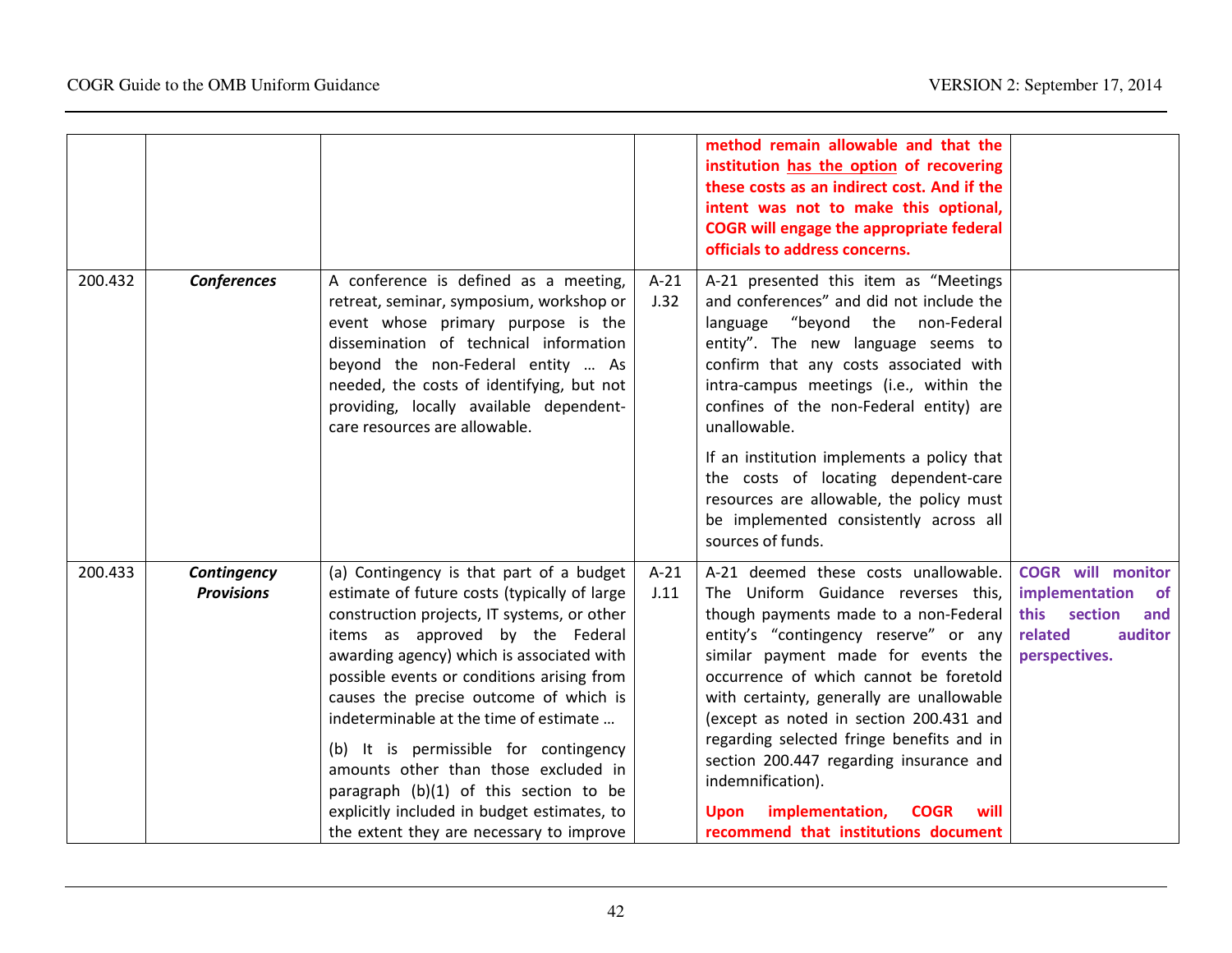|         |                                  |                                                                                                                                                                                                                                                                                                                                                                                                                                                                                                                                                                                  |                | method remain allowable and that the<br>institution has the option of recovering<br>these costs as an indirect cost. And if the<br>intent was not to make this optional,<br><b>COGR</b> will engage the appropriate federal<br>officials to address concerns.                                                                                                                                                                                                                                                                                        |                                                                                                                       |
|---------|----------------------------------|----------------------------------------------------------------------------------------------------------------------------------------------------------------------------------------------------------------------------------------------------------------------------------------------------------------------------------------------------------------------------------------------------------------------------------------------------------------------------------------------------------------------------------------------------------------------------------|----------------|------------------------------------------------------------------------------------------------------------------------------------------------------------------------------------------------------------------------------------------------------------------------------------------------------------------------------------------------------------------------------------------------------------------------------------------------------------------------------------------------------------------------------------------------------|-----------------------------------------------------------------------------------------------------------------------|
| 200.432 | Conferences                      | A conference is defined as a meeting,<br>retreat, seminar, symposium, workshop or<br>event whose primary purpose is the<br>dissemination of technical information<br>beyond the non-Federal entity  As<br>needed, the costs of identifying, but not<br>providing, locally available dependent-<br>care resources are allowable.                                                                                                                                                                                                                                                  | $A-21$<br>J.32 | A-21 presented this item as "Meetings<br>and conferences" and did not include the<br>language "beyond the non-Federal<br>entity". The new language seems to<br>confirm that any costs associated with<br>intra-campus meetings (i.e., within the<br>confines of the non-Federal entity) are<br>unallowable.                                                                                                                                                                                                                                          |                                                                                                                       |
|         |                                  |                                                                                                                                                                                                                                                                                                                                                                                                                                                                                                                                                                                  |                | If an institution implements a policy that<br>the costs of locating dependent-care<br>resources are allowable, the policy must<br>be implemented consistently across all<br>sources of funds.                                                                                                                                                                                                                                                                                                                                                        |                                                                                                                       |
| 200.433 | Contingency<br><b>Provisions</b> | (a) Contingency is that part of a budget<br>estimate of future costs (typically of large<br>construction projects, IT systems, or other<br>items as approved by the Federal<br>awarding agency) which is associated with<br>possible events or conditions arising from<br>causes the precise outcome of which is<br>indeterminable at the time of estimate<br>(b) It is permissible for contingency<br>amounts other than those excluded in<br>paragraph (b)(1) of this section to be<br>explicitly included in budget estimates, to<br>the extent they are necessary to improve | $A-21$<br>J.11 | A-21 deemed these costs unallowable.<br>The Uniform Guidance reverses this,<br>though payments made to a non-Federal<br>entity's "contingency reserve" or any<br>similar payment made for events the<br>occurrence of which cannot be foretold<br>with certainty, generally are unallowable<br>(except as noted in section 200.431 and<br>regarding selected fringe benefits and in<br>section 200.447 regarding insurance and<br>indemnification).<br>implementation,<br><b>COGR</b><br><b>Upon</b><br>will<br>recommend that institutions document | <b>COGR</b> will monitor<br>implementation<br><b>of</b><br>this section<br>and<br>related<br>auditor<br>perspectives. |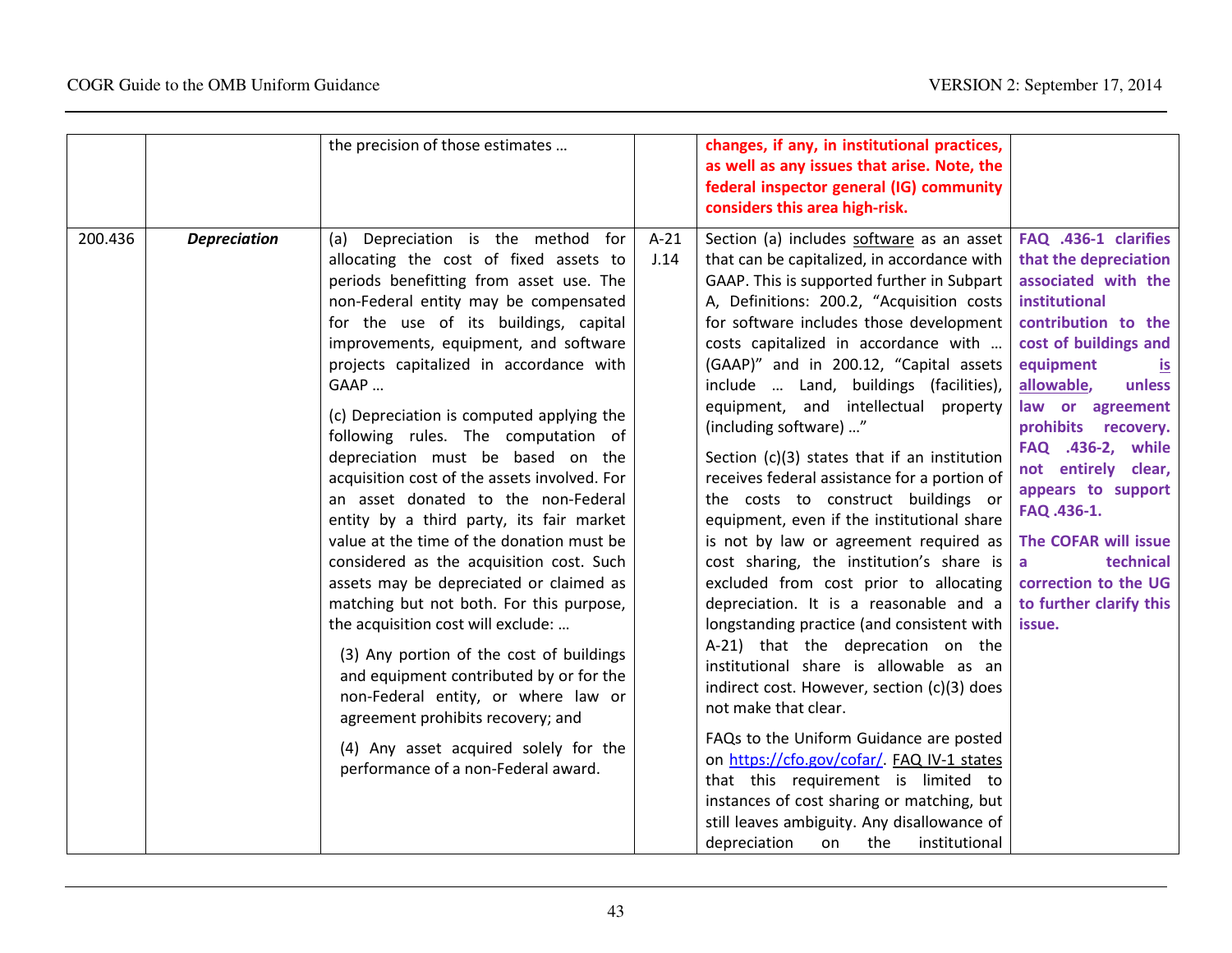|         |                     | the precision of those estimates                                                                                                                                                                                                                                                                                                                                                                                                                                                                                                                                                                                                                                                                                                                                                                                                                                                                                                                                                                                                           |                | changes, if any, in institutional practices,<br>as well as any issues that arise. Note, the<br>federal inspector general (IG) community<br>considers this area high-risk.                                                                                                                                                                                                                                                                                                                                                                                                                                                                                                                                                                                                                                                                                                                                                                                                                                                                                                                                                                                                                                                                                                  |                                                                                                                                                                                                                                                                                                                                                                                                                                       |
|---------|---------------------|--------------------------------------------------------------------------------------------------------------------------------------------------------------------------------------------------------------------------------------------------------------------------------------------------------------------------------------------------------------------------------------------------------------------------------------------------------------------------------------------------------------------------------------------------------------------------------------------------------------------------------------------------------------------------------------------------------------------------------------------------------------------------------------------------------------------------------------------------------------------------------------------------------------------------------------------------------------------------------------------------------------------------------------------|----------------|----------------------------------------------------------------------------------------------------------------------------------------------------------------------------------------------------------------------------------------------------------------------------------------------------------------------------------------------------------------------------------------------------------------------------------------------------------------------------------------------------------------------------------------------------------------------------------------------------------------------------------------------------------------------------------------------------------------------------------------------------------------------------------------------------------------------------------------------------------------------------------------------------------------------------------------------------------------------------------------------------------------------------------------------------------------------------------------------------------------------------------------------------------------------------------------------------------------------------------------------------------------------------|---------------------------------------------------------------------------------------------------------------------------------------------------------------------------------------------------------------------------------------------------------------------------------------------------------------------------------------------------------------------------------------------------------------------------------------|
| 200.436 | <b>Depreciation</b> | (a) Depreciation is the method for<br>allocating the cost of fixed assets to<br>periods benefitting from asset use. The<br>non-Federal entity may be compensated<br>for the use of its buildings, capital<br>improvements, equipment, and software<br>projects capitalized in accordance with<br>GAAP<br>(c) Depreciation is computed applying the<br>following rules. The computation of<br>depreciation must be based on the<br>acquisition cost of the assets involved. For<br>an asset donated to the non-Federal<br>entity by a third party, its fair market<br>value at the time of the donation must be<br>considered as the acquisition cost. Such<br>assets may be depreciated or claimed as<br>matching but not both. For this purpose,<br>the acquisition cost will exclude:<br>(3) Any portion of the cost of buildings<br>and equipment contributed by or for the<br>non-Federal entity, or where law or<br>agreement prohibits recovery; and<br>(4) Any asset acquired solely for the<br>performance of a non-Federal award. | $A-21$<br>J.14 | Section (a) includes software as an asset<br>that can be capitalized, in accordance with<br>GAAP. This is supported further in Subpart<br>A, Definitions: 200.2, "Acquisition costs<br>for software includes those development<br>costs capitalized in accordance with<br>(GAAP)" and in 200.12, "Capital assets<br>include  Land, buildings (facilities),<br>equipment, and intellectual property<br>(including software) "<br>Section (c)(3) states that if an institution<br>receives federal assistance for a portion of<br>the costs to construct buildings or<br>equipment, even if the institutional share<br>is not by law or agreement required as<br>cost sharing, the institution's share is<br>excluded from cost prior to allocating<br>depreciation. It is a reasonable and a<br>longstanding practice (and consistent with<br>A-21) that the deprecation on the<br>institutional share is allowable as an<br>indirect cost. However, section (c)(3) does<br>not make that clear.<br>FAQs to the Uniform Guidance are posted<br>on https://cfo.gov/cofar/. FAQ IV-1 states<br>that this requirement is limited to<br>instances of cost sharing or matching, but<br>still leaves ambiguity. Any disallowance of<br>depreciation<br>the<br>institutional<br>on | FAQ .436-1 clarifies<br>that the depreciation<br>associated with the<br>institutional<br>contribution to the<br>cost of buildings and<br>equipment<br><u>is</u><br>allowable,<br>unless<br>law or agreement<br>prohibits recovery.<br>FAQ .436-2, while<br>not entirely clear,<br>appears to support<br>FAQ .436-1.<br>The COFAR will issue<br>technical<br>$\mathsf{a}$<br>correction to the UG<br>to further clarify this<br>issue. |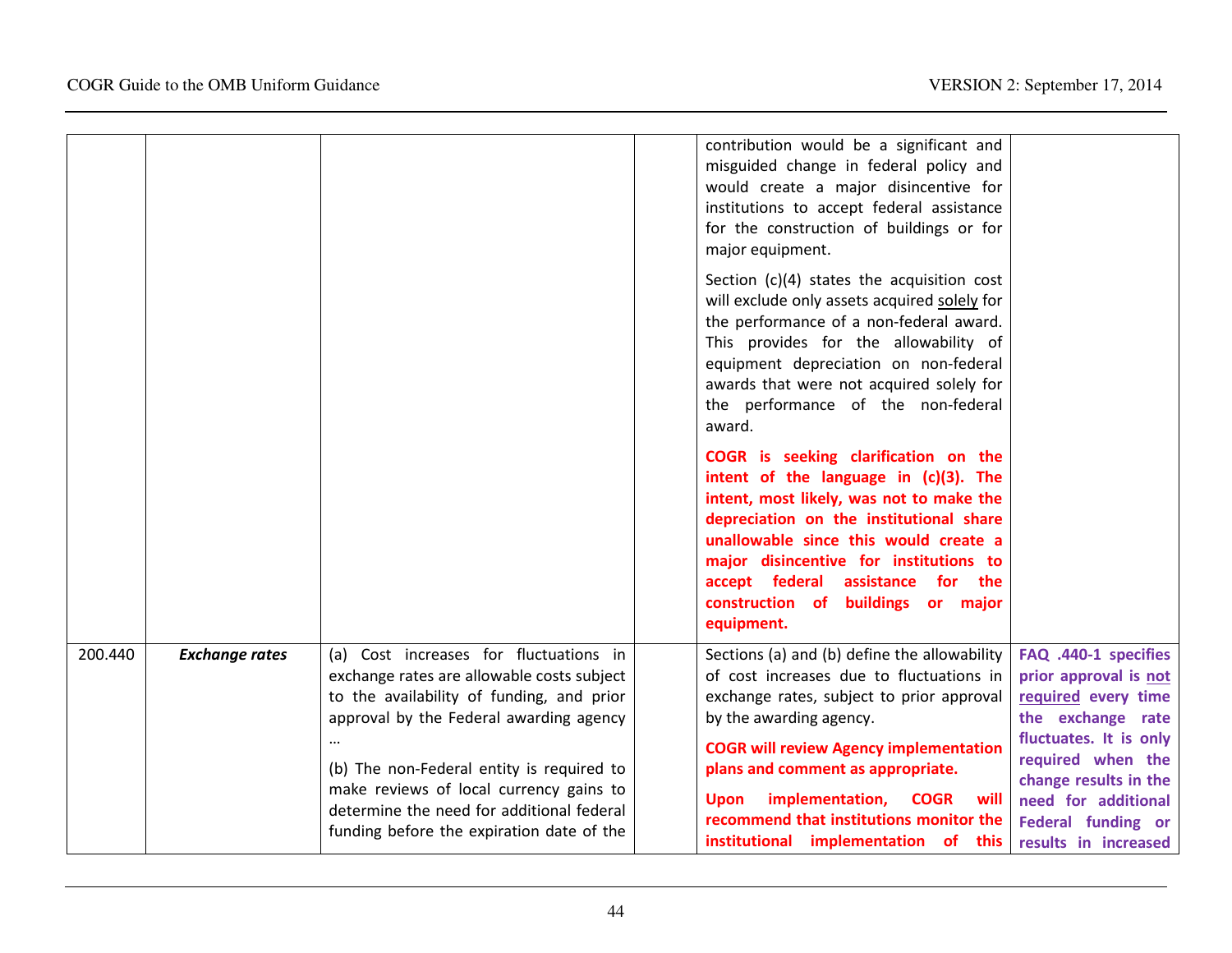|         |                       |                                                                                                                                                                                                                                                                                                                                                                | contribution would be a significant and<br>misguided change in federal policy and<br>would create a major disincentive for<br>institutions to accept federal assistance<br>for the construction of buildings or for<br>major equipment.<br>Section $(c)(4)$ states the acquisition cost<br>will exclude only assets acquired solely for<br>the performance of a non-federal award.<br>This provides for the allowability of<br>equipment depreciation on non-federal<br>awards that were not acquired solely for<br>the performance of the non-federal<br>award.<br>COGR is seeking clarification on the<br>intent of the language in (c)(3). The<br>intent, most likely, was not to make the<br>depreciation on the institutional share<br>unallowable since this would create a<br>major disincentive for institutions to<br>accept federal assistance for the |                                                                                                                                                                                                                                        |
|---------|-----------------------|----------------------------------------------------------------------------------------------------------------------------------------------------------------------------------------------------------------------------------------------------------------------------------------------------------------------------------------------------------------|------------------------------------------------------------------------------------------------------------------------------------------------------------------------------------------------------------------------------------------------------------------------------------------------------------------------------------------------------------------------------------------------------------------------------------------------------------------------------------------------------------------------------------------------------------------------------------------------------------------------------------------------------------------------------------------------------------------------------------------------------------------------------------------------------------------------------------------------------------------|----------------------------------------------------------------------------------------------------------------------------------------------------------------------------------------------------------------------------------------|
|         |                       |                                                                                                                                                                                                                                                                                                                                                                | construction of buildings or major<br>equipment.                                                                                                                                                                                                                                                                                                                                                                                                                                                                                                                                                                                                                                                                                                                                                                                                                 |                                                                                                                                                                                                                                        |
| 200.440 | <b>Exchange rates</b> | (a) Cost increases for fluctuations in<br>exchange rates are allowable costs subject<br>to the availability of funding, and prior<br>approval by the Federal awarding agency<br>(b) The non-Federal entity is required to<br>make reviews of local currency gains to<br>determine the need for additional federal<br>funding before the expiration date of the | Sections (a) and (b) define the allowability<br>of cost increases due to fluctuations in<br>exchange rates, subject to prior approval<br>by the awarding agency.<br><b>COGR will review Agency implementation</b><br>plans and comment as appropriate.<br>implementation,<br><b>COGR</b><br><b>Upon</b><br>will<br>recommend that institutions monitor the<br>institutional implementation of this                                                                                                                                                                                                                                                                                                                                                                                                                                                               | FAQ .440-1 specifies<br>prior approval is not<br>required every time<br>the exchange rate<br>fluctuates. It is only<br>required when the<br>change results in the<br>need for additional<br>Federal funding or<br>results in increased |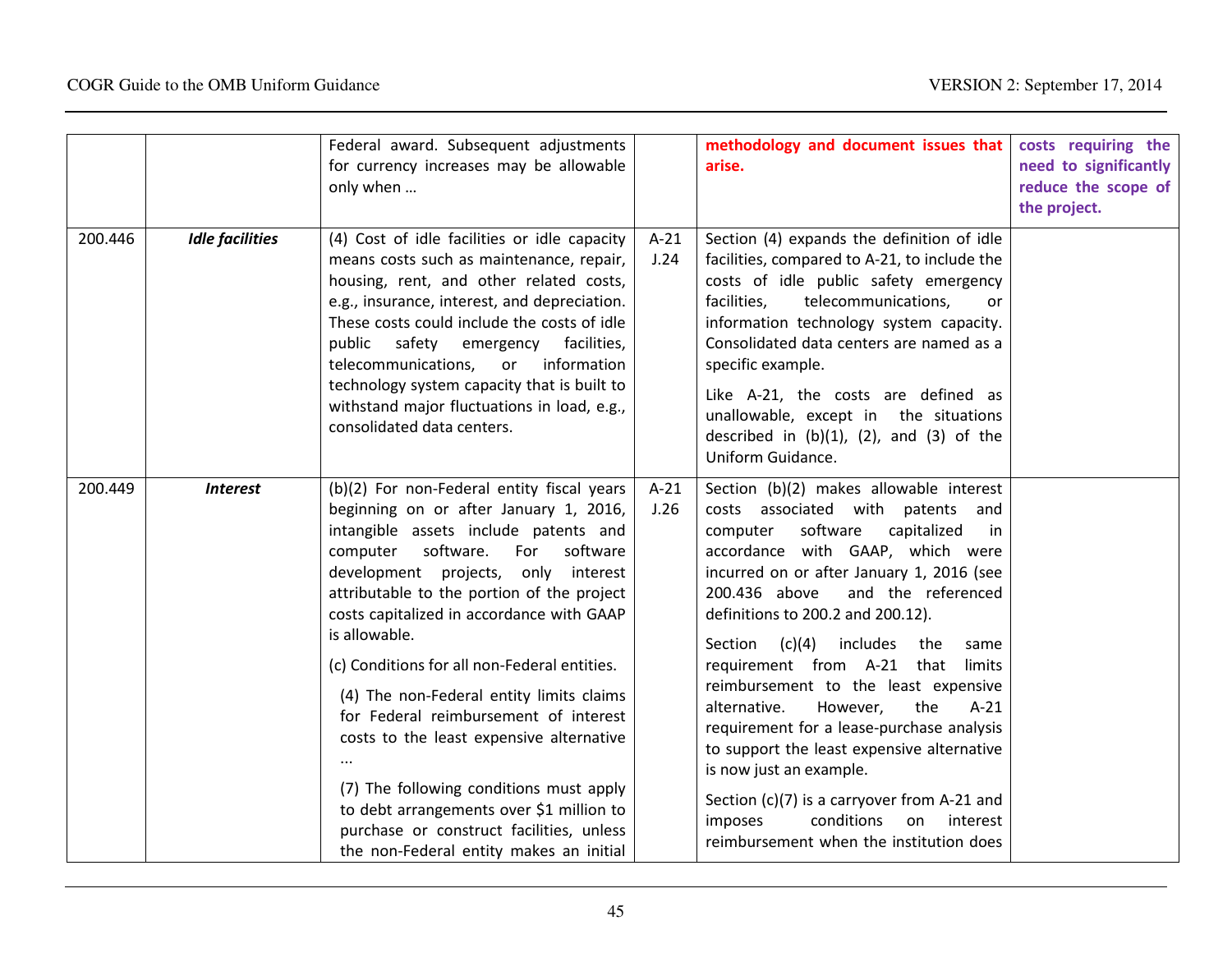|         |                        | Federal award. Subsequent adjustments<br>for currency increases may be allowable<br>only when                                                                                                                                                                                                                                                                                                                                                                                                                                                                                                                                                                                                  |                | methodology and document issues that<br>arise.                                                                                                                                                                                                                                                                                                                                                                                                                                                                                                                                                                                                                                                                                 | costs requiring the<br>need to significantly<br>reduce the scope of<br>the project. |
|---------|------------------------|------------------------------------------------------------------------------------------------------------------------------------------------------------------------------------------------------------------------------------------------------------------------------------------------------------------------------------------------------------------------------------------------------------------------------------------------------------------------------------------------------------------------------------------------------------------------------------------------------------------------------------------------------------------------------------------------|----------------|--------------------------------------------------------------------------------------------------------------------------------------------------------------------------------------------------------------------------------------------------------------------------------------------------------------------------------------------------------------------------------------------------------------------------------------------------------------------------------------------------------------------------------------------------------------------------------------------------------------------------------------------------------------------------------------------------------------------------------|-------------------------------------------------------------------------------------|
| 200.446 | <b>Idle facilities</b> | (4) Cost of idle facilities or idle capacity<br>means costs such as maintenance, repair,<br>housing, rent, and other related costs,<br>e.g., insurance, interest, and depreciation.<br>These costs could include the costs of idle<br>public safety emergency facilities,<br>telecommunications,<br>or<br>information<br>technology system capacity that is built to<br>withstand major fluctuations in load, e.g.,<br>consolidated data centers.                                                                                                                                                                                                                                              | $A-21$<br>J.24 | Section (4) expands the definition of idle<br>facilities, compared to A-21, to include the<br>costs of idle public safety emergency<br>telecommunications,<br>facilities,<br>or<br>information technology system capacity.<br>Consolidated data centers are named as a<br>specific example.<br>Like A-21, the costs are defined as<br>unallowable, except in the situations<br>described in $(b)(1)$ , $(2)$ , and $(3)$ of the<br>Uniform Guidance.                                                                                                                                                                                                                                                                           |                                                                                     |
| 200.449 | <b>Interest</b>        | (b)(2) For non-Federal entity fiscal years<br>beginning on or after January 1, 2016,<br>intangible assets include patents and<br>software.<br>For<br>software<br>computer<br>development projects,<br>only interest<br>attributable to the portion of the project<br>costs capitalized in accordance with GAAP<br>is allowable.<br>(c) Conditions for all non-Federal entities.<br>(4) The non-Federal entity limits claims<br>for Federal reimbursement of interest<br>costs to the least expensive alternative<br>(7) The following conditions must apply<br>to debt arrangements over \$1 million to<br>purchase or construct facilities, unless<br>the non-Federal entity makes an initial | $A-21$<br>J.26 | Section (b)(2) makes allowable interest<br>costs associated with patents and<br>software<br>capitalized<br>computer<br>in<br>accordance with GAAP, which were<br>incurred on or after January 1, 2016 (see<br>200.436 above<br>and the referenced<br>definitions to 200.2 and 200.12).<br>Section<br>(c)(4)<br>includes<br>the<br>same<br>requirement from A-21 that<br>limits<br>reimbursement to the least expensive<br>the<br>$A-21$<br>alternative.<br>However,<br>requirement for a lease-purchase analysis<br>to support the least expensive alternative<br>is now just an example.<br>Section (c)(7) is a carryover from A-21 and<br>conditions<br>interest<br>imposes<br>on<br>reimbursement when the institution does |                                                                                     |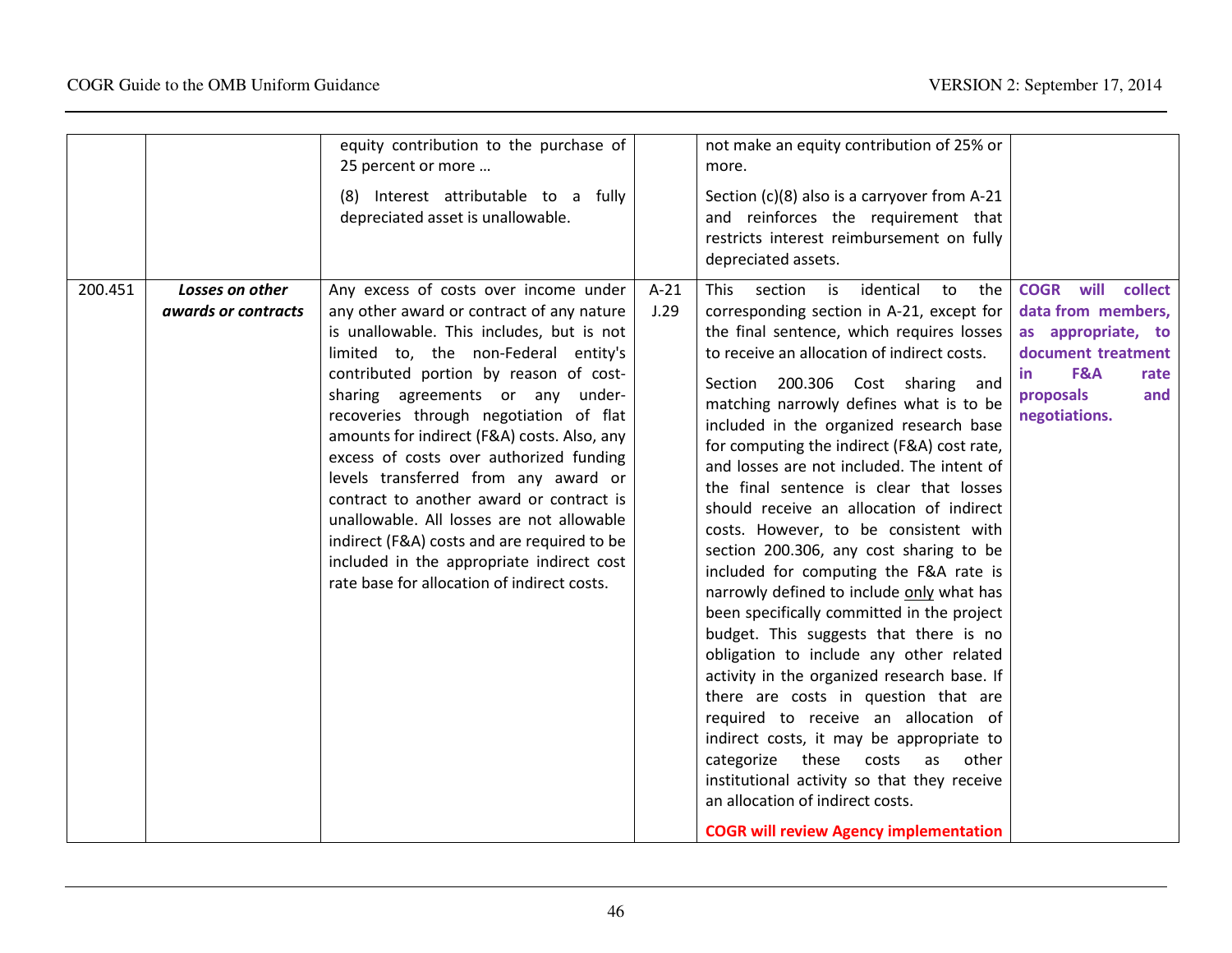| 200.451 | Losses on other<br>awards or contracts | equity contribution to the purchase of<br>25 percent or more<br>(8) Interest attributable to a fully<br>depreciated asset is unallowable.<br>Any excess of costs over income under<br>any other award or contract of any nature                                                                                                                                                                                                                                                                                                                                                 | $A-21$<br>J.29 | not make an equity contribution of 25% or<br>more.<br>Section (c)(8) also is a carryover from A-21<br>and reinforces the requirement that<br>restricts interest reimbursement on fully<br>depreciated assets.<br>section<br>identical<br><b>This</b><br>is<br>to<br>the<br>corresponding section in A-21, except for                                                                                                                                                                                                                                                                                                                                                                                                                                                                                                                                                                                                                                                                                                                                                               | <b>COGR</b> will<br>collect<br>data from members,                                                   |
|---------|----------------------------------------|---------------------------------------------------------------------------------------------------------------------------------------------------------------------------------------------------------------------------------------------------------------------------------------------------------------------------------------------------------------------------------------------------------------------------------------------------------------------------------------------------------------------------------------------------------------------------------|----------------|------------------------------------------------------------------------------------------------------------------------------------------------------------------------------------------------------------------------------------------------------------------------------------------------------------------------------------------------------------------------------------------------------------------------------------------------------------------------------------------------------------------------------------------------------------------------------------------------------------------------------------------------------------------------------------------------------------------------------------------------------------------------------------------------------------------------------------------------------------------------------------------------------------------------------------------------------------------------------------------------------------------------------------------------------------------------------------|-----------------------------------------------------------------------------------------------------|
|         |                                        | is unallowable. This includes, but is not<br>limited to, the non-Federal entity's<br>contributed portion by reason of cost-<br>sharing agreements or any under-<br>recoveries through negotiation of flat<br>amounts for indirect (F&A) costs. Also, any<br>excess of costs over authorized funding<br>levels transferred from any award or<br>contract to another award or contract is<br>unallowable. All losses are not allowable<br>indirect (F&A) costs and are required to be<br>included in the appropriate indirect cost<br>rate base for allocation of indirect costs. |                | the final sentence, which requires losses<br>to receive an allocation of indirect costs.<br>Section 200.306 Cost sharing and<br>matching narrowly defines what is to be<br>included in the organized research base<br>for computing the indirect (F&A) cost rate,<br>and losses are not included. The intent of<br>the final sentence is clear that losses<br>should receive an allocation of indirect<br>costs. However, to be consistent with<br>section 200.306, any cost sharing to be<br>included for computing the F&A rate is<br>narrowly defined to include only what has<br>been specifically committed in the project<br>budget. This suggests that there is no<br>obligation to include any other related<br>activity in the organized research base. If<br>there are costs in question that are<br>required to receive an allocation of<br>indirect costs, it may be appropriate to<br>these<br>categorize<br>costs<br>as<br>other<br>institutional activity so that they receive<br>an allocation of indirect costs.<br><b>COGR will review Agency implementation</b> | as appropriate, to<br>document treatment<br>F&A<br>rate<br>in.<br>proposals<br>and<br>negotiations. |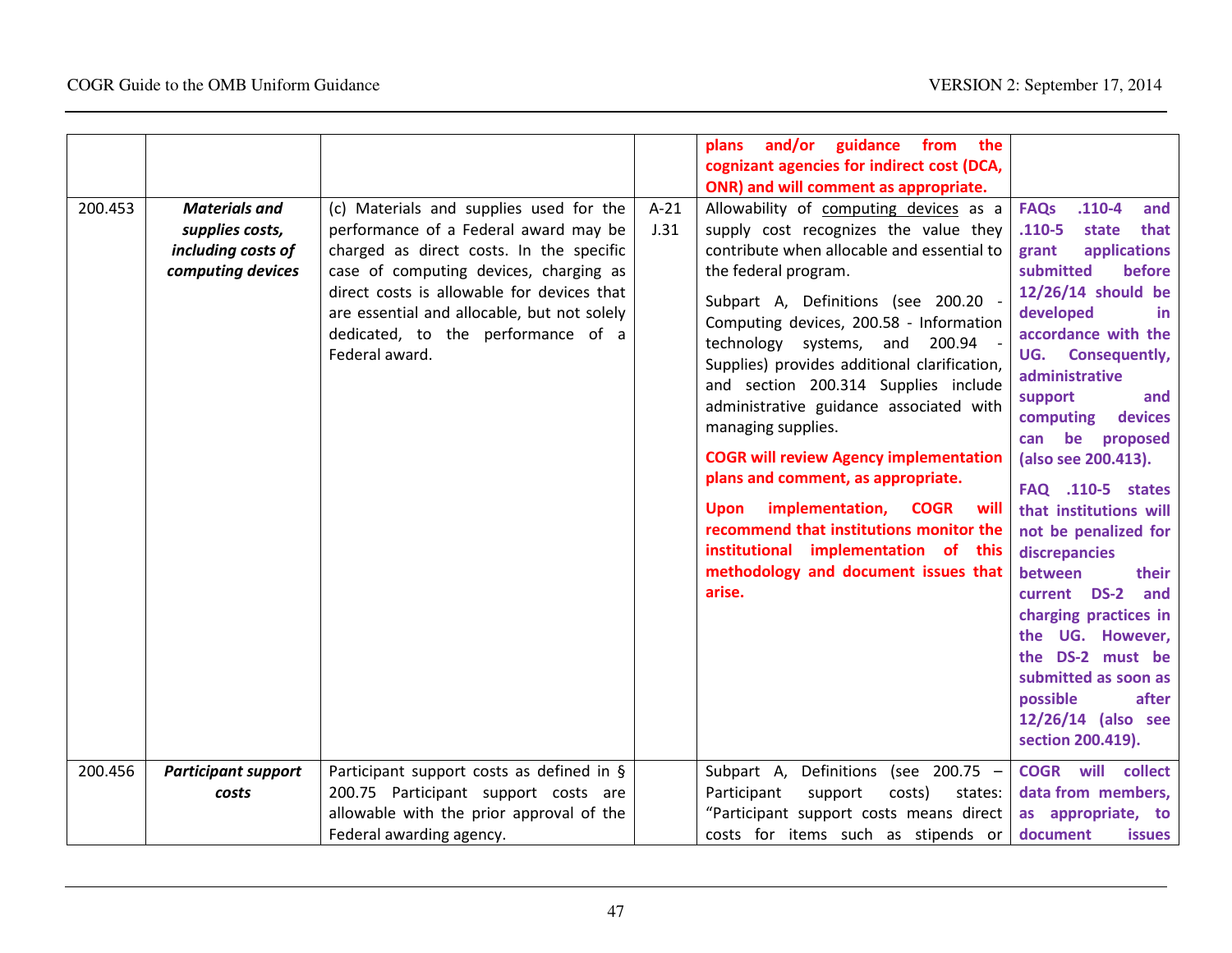| 200.453 | <b>Materials and</b><br>supplies costs,<br>including costs of<br>computing devices | (c) Materials and supplies used for the<br>performance of a Federal award may be<br>charged as direct costs. In the specific<br>case of computing devices, charging as<br>direct costs is allowable for devices that<br>are essential and allocable, but not solely<br>dedicated, to the performance of a<br>Federal award. | $A-21$<br>J.31 | and/or guidance from the<br>plans<br>cognizant agencies for indirect cost (DCA,<br>ONR) and will comment as appropriate.<br>Allowability of computing devices as a<br>supply cost recognizes the value they<br>contribute when allocable and essential to<br>the federal program.<br>Subpart A, Definitions (see 200.20 -<br>Computing devices, 200.58 - Information<br>technology systems, and<br>200.94<br>Supplies) provides additional clarification,<br>and section 200.314 Supplies include<br>administrative guidance associated with<br>managing supplies.<br><b>COGR will review Agency implementation</b><br>plans and comment, as appropriate.<br>Upon implementation, COGR<br>will | $.110 - 4$<br><b>FAQs</b><br>and<br>$.110 - 5$<br>that<br>state<br>grant<br>applications<br>submitted<br>before<br>12/26/14 should be<br>developed<br>in.<br>accordance with the<br>UG. Consequently,<br>administrative<br>support<br>and<br>devices<br>computing<br>be<br>proposed<br>can<br>(also see 200.413).<br><b>FAQ</b> .110-5 states<br>that institutions will |
|---------|------------------------------------------------------------------------------------|-----------------------------------------------------------------------------------------------------------------------------------------------------------------------------------------------------------------------------------------------------------------------------------------------------------------------------|----------------|------------------------------------------------------------------------------------------------------------------------------------------------------------------------------------------------------------------------------------------------------------------------------------------------------------------------------------------------------------------------------------------------------------------------------------------------------------------------------------------------------------------------------------------------------------------------------------------------------------------------------------------------------------------------------------------------|-------------------------------------------------------------------------------------------------------------------------------------------------------------------------------------------------------------------------------------------------------------------------------------------------------------------------------------------------------------------------|
|         |                                                                                    |                                                                                                                                                                                                                                                                                                                             |                | methodology and document issues that<br>arise.                                                                                                                                                                                                                                                                                                                                                                                                                                                                                                                                                                                                                                                 | between<br>their<br>current DS-2<br>and<br>charging practices in<br>the UG. However,<br>the DS-2 must be<br>submitted as soon as                                                                                                                                                                                                                                        |
|         |                                                                                    |                                                                                                                                                                                                                                                                                                                             |                |                                                                                                                                                                                                                                                                                                                                                                                                                                                                                                                                                                                                                                                                                                | possible<br>after<br>12/26/14 (also see<br>section 200.419).                                                                                                                                                                                                                                                                                                            |
| 200.456 | <b>Participant support</b><br>costs                                                | Participant support costs as defined in §<br>200.75 Participant support costs are<br>allowable with the prior approval of the<br>Federal awarding agency.                                                                                                                                                                   |                | Subpart A,<br>Definitions (see 200.75 -<br>Participant<br>support<br>costs)<br>states:<br>"Participant support costs means direct<br>costs for items such as stipends or                                                                                                                                                                                                                                                                                                                                                                                                                                                                                                                       | <b>COGR</b> will collect<br>data from members,<br>as appropriate, to<br>document<br><b>issues</b>                                                                                                                                                                                                                                                                       |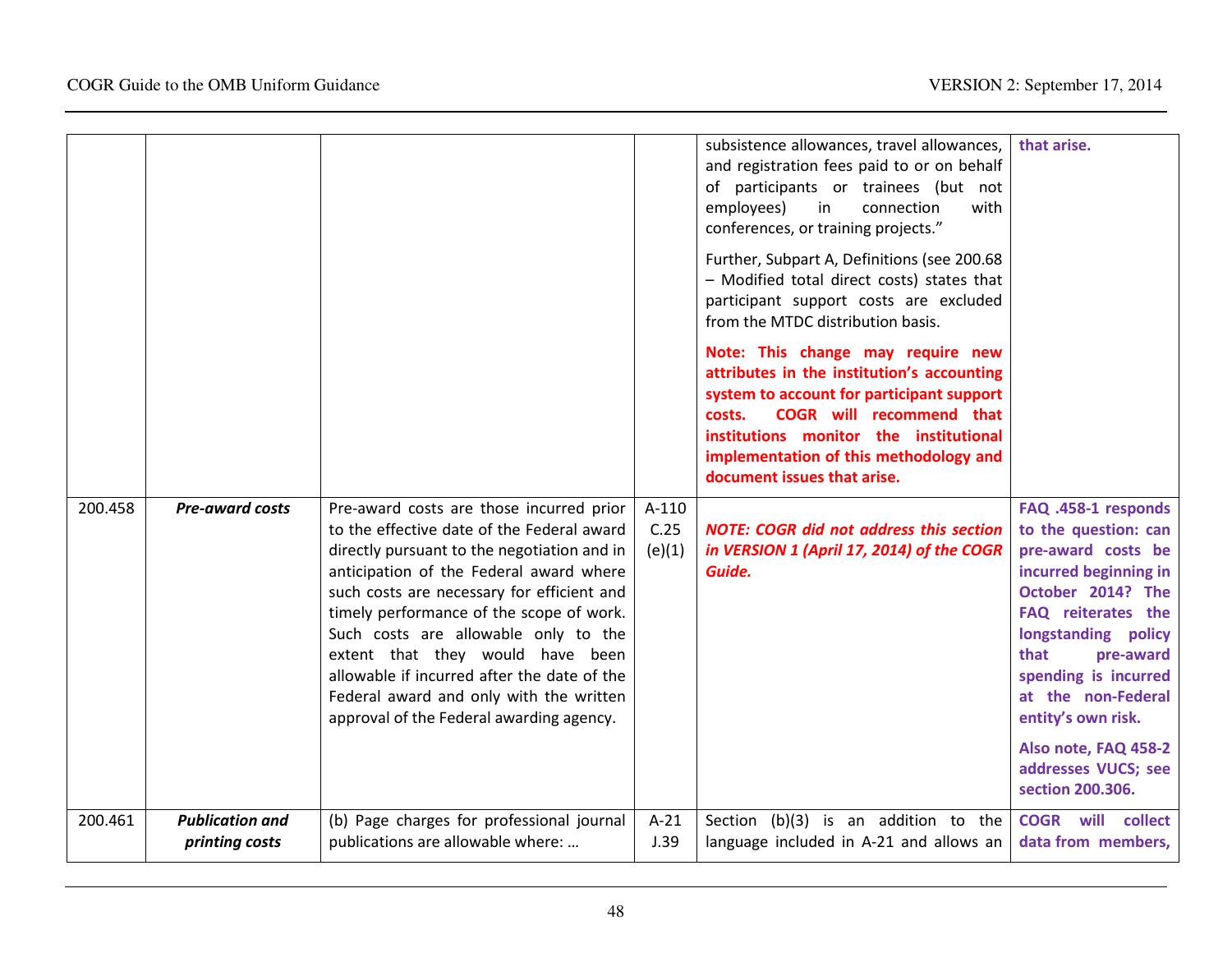|         |                                          |                                                                                                                                                                                                                                                                                                                                                                                                                                                                                              |                         | subsistence allowances, travel allowances,<br>and registration fees paid to or on behalf<br>of participants or trainees (but not<br>employees)<br>in<br>connection<br>with<br>conferences, or training projects."<br>Further, Subpart A, Definitions (see 200.68<br>- Modified total direct costs) states that<br>participant support costs are excluded<br>from the MTDC distribution basis.<br>Note: This change may require new<br>attributes in the institution's accounting<br>system to account for participant support<br><b>COGR</b> will recommend that<br>costs.<br>institutions monitor the institutional<br>implementation of this methodology and<br>document issues that arise. | that arise.                                                                                                                                                                                                                                                                                                              |
|---------|------------------------------------------|----------------------------------------------------------------------------------------------------------------------------------------------------------------------------------------------------------------------------------------------------------------------------------------------------------------------------------------------------------------------------------------------------------------------------------------------------------------------------------------------|-------------------------|-----------------------------------------------------------------------------------------------------------------------------------------------------------------------------------------------------------------------------------------------------------------------------------------------------------------------------------------------------------------------------------------------------------------------------------------------------------------------------------------------------------------------------------------------------------------------------------------------------------------------------------------------------------------------------------------------|--------------------------------------------------------------------------------------------------------------------------------------------------------------------------------------------------------------------------------------------------------------------------------------------------------------------------|
| 200.458 | <b>Pre-award costs</b>                   | Pre-award costs are those incurred prior<br>to the effective date of the Federal award<br>directly pursuant to the negotiation and in<br>anticipation of the Federal award where<br>such costs are necessary for efficient and<br>timely performance of the scope of work.<br>Such costs are allowable only to the<br>extent that they would have been<br>allowable if incurred after the date of the<br>Federal award and only with the written<br>approval of the Federal awarding agency. | A-110<br>C.25<br>(e)(1) | <b>NOTE: COGR did not address this section</b><br>in VERSION 1 (April 17, 2014) of the COGR<br>Guide.                                                                                                                                                                                                                                                                                                                                                                                                                                                                                                                                                                                         | FAQ .458-1 responds<br>to the question: can<br>pre-award costs be<br>incurred beginning in<br>October 2014? The<br>FAQ reiterates the<br>longstanding policy<br>that<br>pre-award<br>spending is incurred<br>at the non-Federal<br>entity's own risk.<br>Also note, FAQ 458-2<br>addresses VUCS; see<br>section 200.306. |
| 200.461 | <b>Publication and</b><br>printing costs | (b) Page charges for professional journal<br>publications are allowable where:                                                                                                                                                                                                                                                                                                                                                                                                               | $A-21$<br>J.39          | Section (b)(3) is an addition to the<br>language included in A-21 and allows an                                                                                                                                                                                                                                                                                                                                                                                                                                                                                                                                                                                                               | <b>COGR</b> will collect<br>data from members,                                                                                                                                                                                                                                                                           |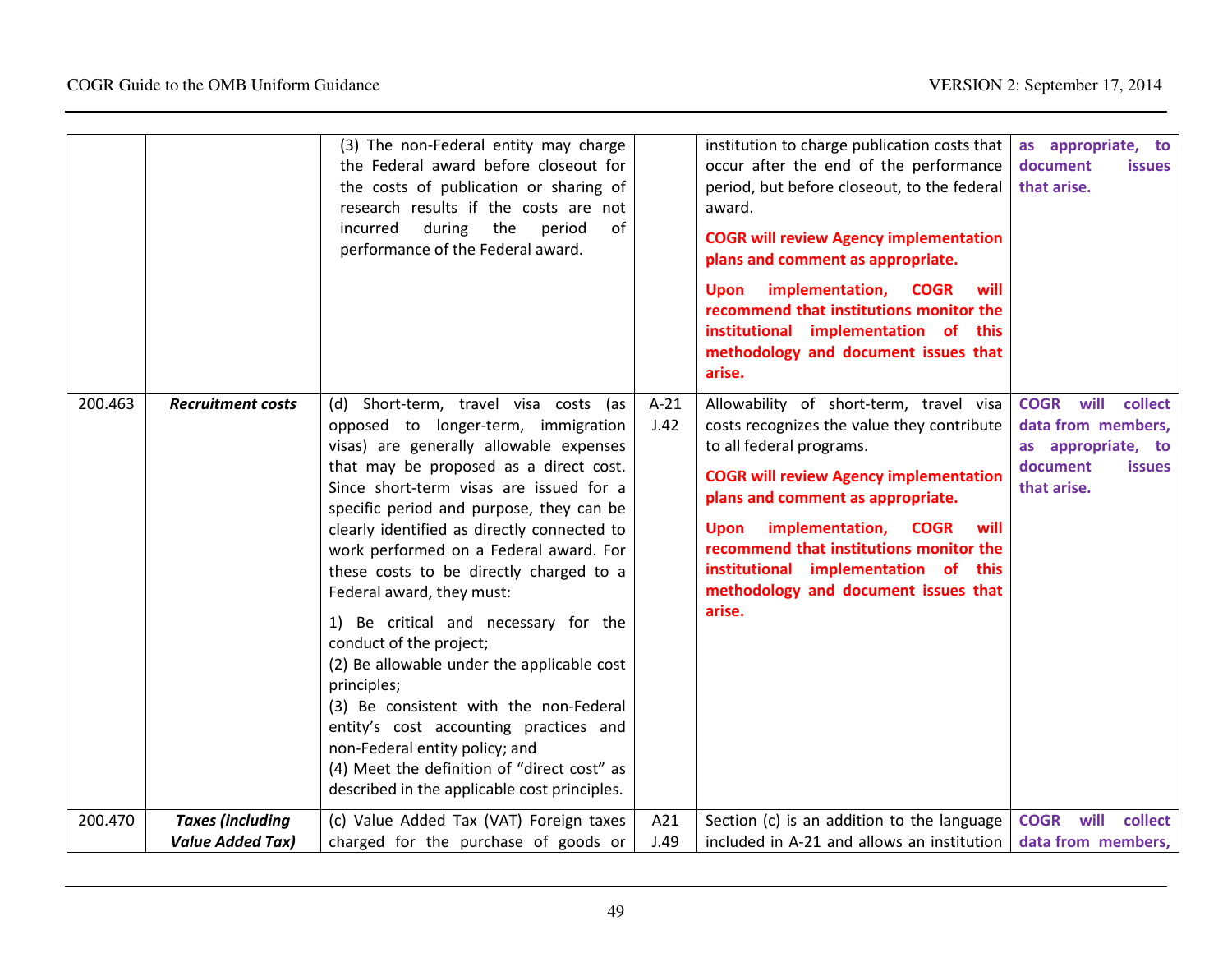|         |                          | (3) The non-Federal entity may charge<br>the Federal award before closeout for<br>the costs of publication or sharing of<br>research results if the costs are not<br>during<br>incurred<br>the<br>period<br>of<br>performance of the Federal award.                                                                                                                                                                                                                                                                                                                                                                                                                                                                                                                            |                | institution to charge publication costs that<br>occur after the end of the performance<br>period, but before closeout, to the federal<br>award.<br><b>COGR will review Agency implementation</b><br>plans and comment as appropriate.<br>implementation,<br><b>COGR</b><br><b>Upon</b><br>will<br>recommend that institutions monitor the<br>institutional implementation of this<br>methodology and document issues that<br>arise. | as appropriate, to<br>document<br><b>issues</b><br>that arise.                                                         |
|---------|--------------------------|--------------------------------------------------------------------------------------------------------------------------------------------------------------------------------------------------------------------------------------------------------------------------------------------------------------------------------------------------------------------------------------------------------------------------------------------------------------------------------------------------------------------------------------------------------------------------------------------------------------------------------------------------------------------------------------------------------------------------------------------------------------------------------|----------------|-------------------------------------------------------------------------------------------------------------------------------------------------------------------------------------------------------------------------------------------------------------------------------------------------------------------------------------------------------------------------------------------------------------------------------------|------------------------------------------------------------------------------------------------------------------------|
| 200.463 | <b>Recruitment costs</b> | (d) Short-term, travel visa costs (as<br>opposed to longer-term, immigration<br>visas) are generally allowable expenses<br>that may be proposed as a direct cost.<br>Since short-term visas are issued for a<br>specific period and purpose, they can be<br>clearly identified as directly connected to<br>work performed on a Federal award. For<br>these costs to be directly charged to a<br>Federal award, they must:<br>1) Be critical and necessary for the<br>conduct of the project;<br>(2) Be allowable under the applicable cost<br>principles;<br>(3) Be consistent with the non-Federal<br>entity's cost accounting practices and<br>non-Federal entity policy; and<br>(4) Meet the definition of "direct cost" as<br>described in the applicable cost principles. | $A-21$<br>J.42 | Allowability of short-term, travel visa<br>costs recognizes the value they contribute<br>to all federal programs.<br><b>COGR will review Agency implementation</b><br>plans and comment as appropriate.<br>implementation,<br><b>COGR</b><br>will<br>Upon<br>recommend that institutions monitor the<br>institutional implementation of this<br>methodology and document issues that<br>arise.                                      | will<br><b>COGR</b><br>collect<br>data from members,<br>as appropriate, to<br>document<br><b>issues</b><br>that arise. |
| 200.470 | <b>Taxes (including</b>  | (c) Value Added Tax (VAT) Foreign taxes                                                                                                                                                                                                                                                                                                                                                                                                                                                                                                                                                                                                                                                                                                                                        | A21            | Section (c) is an addition to the language                                                                                                                                                                                                                                                                                                                                                                                          | <b>COGR</b> will<br>collect                                                                                            |
|         | <b>Value Added Tax)</b>  | charged for the purchase of goods or                                                                                                                                                                                                                                                                                                                                                                                                                                                                                                                                                                                                                                                                                                                                           | J.49           | included in A-21 and allows an institution                                                                                                                                                                                                                                                                                                                                                                                          | data from members,                                                                                                     |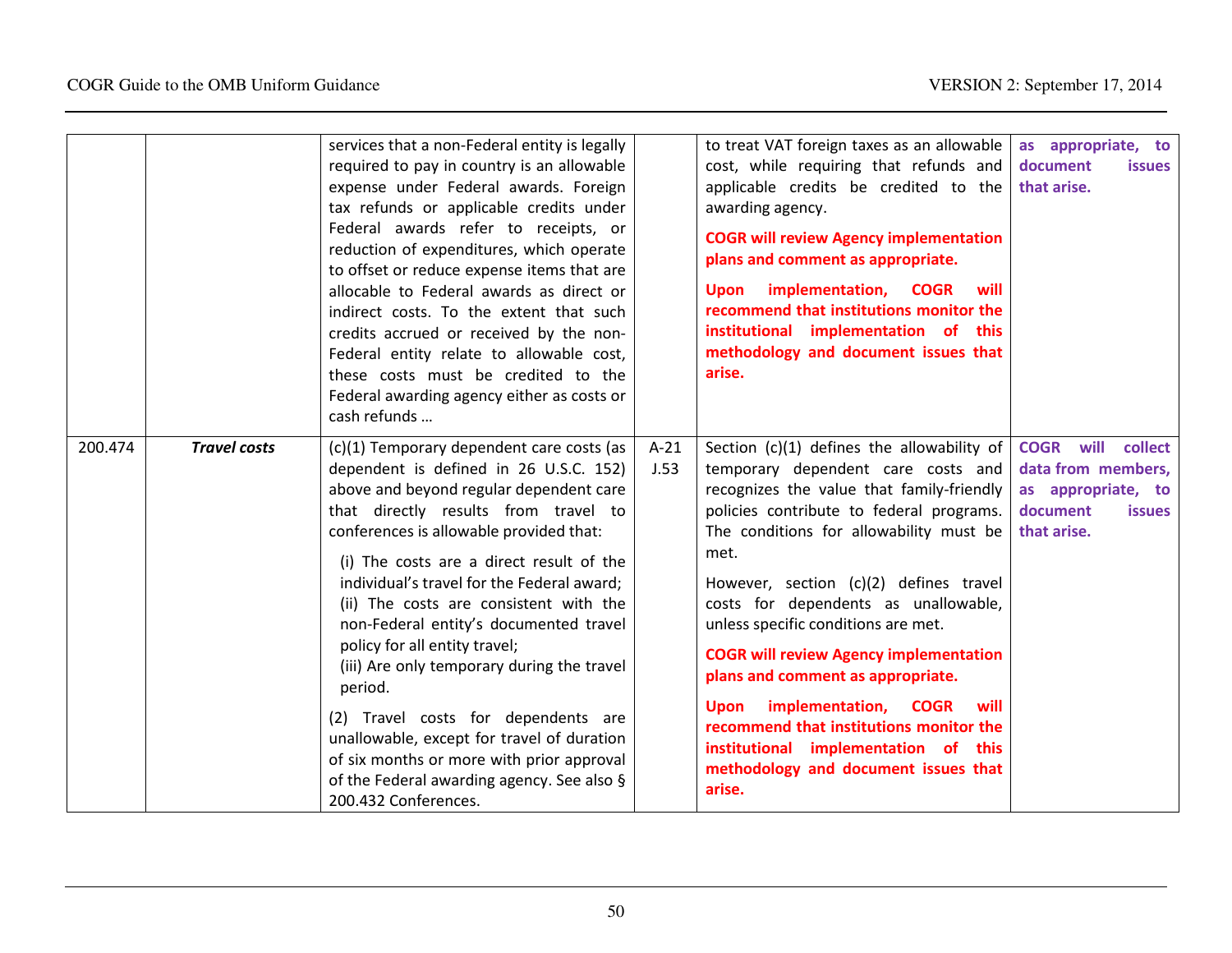|         |                     | services that a non-Federal entity is legally                                                                                                                                                                                                                                                                                                                                                                                                                                                                                                                                                                                                                                                     |                | to treat VAT foreign taxes as an allowable                                                                                                                                                                                                                                                                                                                                                                                                                                                                                                                                                                                      | as appropriate, to                                                                                                  |
|---------|---------------------|---------------------------------------------------------------------------------------------------------------------------------------------------------------------------------------------------------------------------------------------------------------------------------------------------------------------------------------------------------------------------------------------------------------------------------------------------------------------------------------------------------------------------------------------------------------------------------------------------------------------------------------------------------------------------------------------------|----------------|---------------------------------------------------------------------------------------------------------------------------------------------------------------------------------------------------------------------------------------------------------------------------------------------------------------------------------------------------------------------------------------------------------------------------------------------------------------------------------------------------------------------------------------------------------------------------------------------------------------------------------|---------------------------------------------------------------------------------------------------------------------|
|         |                     | required to pay in country is an allowable<br>expense under Federal awards. Foreign<br>tax refunds or applicable credits under<br>Federal awards refer to receipts, or<br>reduction of expenditures, which operate<br>to offset or reduce expense items that are<br>allocable to Federal awards as direct or<br>indirect costs. To the extent that such<br>credits accrued or received by the non-<br>Federal entity relate to allowable cost,<br>these costs must be credited to the<br>Federal awarding agency either as costs or<br>cash refunds                                                                                                                                               |                | cost, while requiring that refunds and<br>applicable credits be credited to the<br>awarding agency.<br><b>COGR will review Agency implementation</b><br>plans and comment as appropriate.<br>Upon implementation, COGR<br>will<br>recommend that institutions monitor the<br>institutional implementation of this<br>methodology and document issues that<br>arise.                                                                                                                                                                                                                                                             | document<br><b>issues</b><br>that arise.                                                                            |
| 200.474 | <b>Travel costs</b> | (c)(1) Temporary dependent care costs (as<br>dependent is defined in 26 U.S.C. 152)<br>above and beyond regular dependent care<br>that directly results from travel to<br>conferences is allowable provided that:<br>(i) The costs are a direct result of the<br>individual's travel for the Federal award;<br>(ii) The costs are consistent with the<br>non-Federal entity's documented travel<br>policy for all entity travel;<br>(iii) Are only temporary during the travel<br>period.<br>(2) Travel costs for dependents are<br>unallowable, except for travel of duration<br>of six months or more with prior approval<br>of the Federal awarding agency. See also §<br>200.432 Conferences. | $A-21$<br>J.53 | Section (c)(1) defines the allowability of<br>temporary dependent care costs and<br>recognizes the value that family-friendly<br>policies contribute to federal programs.<br>The conditions for allowability must be<br>met.<br>However, section (c)(2) defines travel<br>costs for dependents as unallowable,<br>unless specific conditions are met.<br><b>COGR will review Agency implementation</b><br>plans and comment as appropriate.<br>implementation, COGR<br><b>Upon</b><br>will<br>recommend that institutions monitor the<br>institutional implementation of this<br>methodology and document issues that<br>arise. | <b>COGR will</b><br>collect<br>data from members,<br>as appropriate, to<br>document<br><b>issues</b><br>that arise. |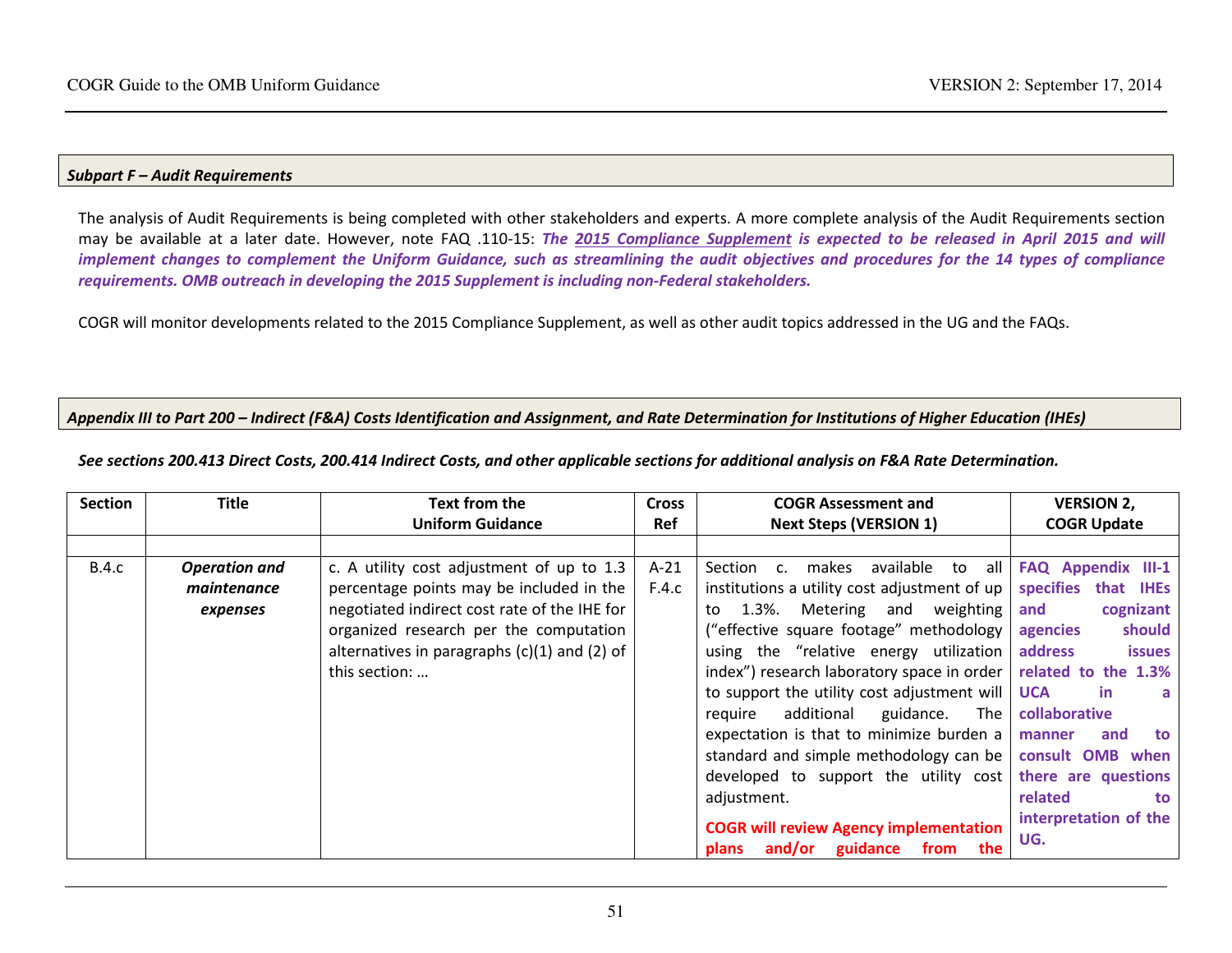#### Subpart F – Audit Requirements

The analysis of Audit Requirements is being completed with other stakeholders and experts. A more complete analysis of the Audit Requirements section may be available at a later date. However, note FAQ .110-15: The 2015 Compliance Supplement is expected to be released in April 2015 and will implement changes to complement the Uniform Guidance, such as streamlining the audit objectives and procedures for the 14 types of compliance requirements. OMB outreach in developing the 2015 Supplement is including non-Federal stakeholders.

COGR will monitor developments related to the 2015 Compliance Supplement, as well as other audit topics addressed in the UG and the FAQs.

#### Appendix III to Part 200 – Indirect (F&A) Costs Identification and Assignment, and Rate Determination for Institutions of Higher Education (IHEs)

| <b>Section</b> | <b>Title</b>         | Text from the                                | <b>Cross</b> | <b>COGR Assessment and</b>                                             | <b>VERSION 2,</b>        |
|----------------|----------------------|----------------------------------------------|--------------|------------------------------------------------------------------------|--------------------------|
|                |                      | <b>Uniform Guidance</b>                      | <b>Ref</b>   | <b>Next Steps (VERSION 1)</b>                                          | <b>COGR Update</b>       |
|                |                      |                                              |              |                                                                        |                          |
| <b>B.4.c</b>   | <b>Operation and</b> | c. A utility cost adjustment of up to 1.3    | $A-21$       | available<br>makes<br>Section c.<br>to                                 | all   FAQ Appendix III-1 |
|                | maintenance          | percentage points may be included in the     | F.4.c        | institutions a utility cost adjustment of up $ $                       | specifies that IHEs      |
|                | expenses             | negotiated indirect cost rate of the IHE for |              | Metering and weighting<br>1.3%.<br>to                                  | cognizant<br>and         |
|                |                      | organized research per the computation       |              | ("effective square footage" methodology                                | should<br>agencies       |
|                |                      | alternatives in paragraphs (c)(1) and (2) of |              | using the "relative energy utilization                                 | address<br><b>issues</b> |
|                |                      | this section:                                |              | index") research laboratory space in order $\vert$ related to the 1.3% |                          |
|                |                      |                                              |              | to support the utility cost adjustment will                            | <b>UCA</b><br>-in        |
|                |                      |                                              |              | additional<br>guidance.<br>The<br>reguire                              | collaborative            |
|                |                      |                                              |              | expectation is that to minimize burden a                               | and<br>manner<br>to      |
|                |                      |                                              |              | standard and simple methodology can be   consult OMB when              |                          |
|                |                      |                                              |              | developed to support the utility cost there are questions              |                          |
|                |                      |                                              |              | adjustment.                                                            | related<br>to.           |
|                |                      |                                              |              | <b>COGR will review Agency implementation</b>                          | interpretation of the    |
|                |                      |                                              |              | and/or<br>guidance<br>the<br>plans<br>from                             | UG.                      |

See sections 200.413 Direct Costs, 200.414 Indirect Costs, and other applicable sections for additional analysis on F&A Rate Determination.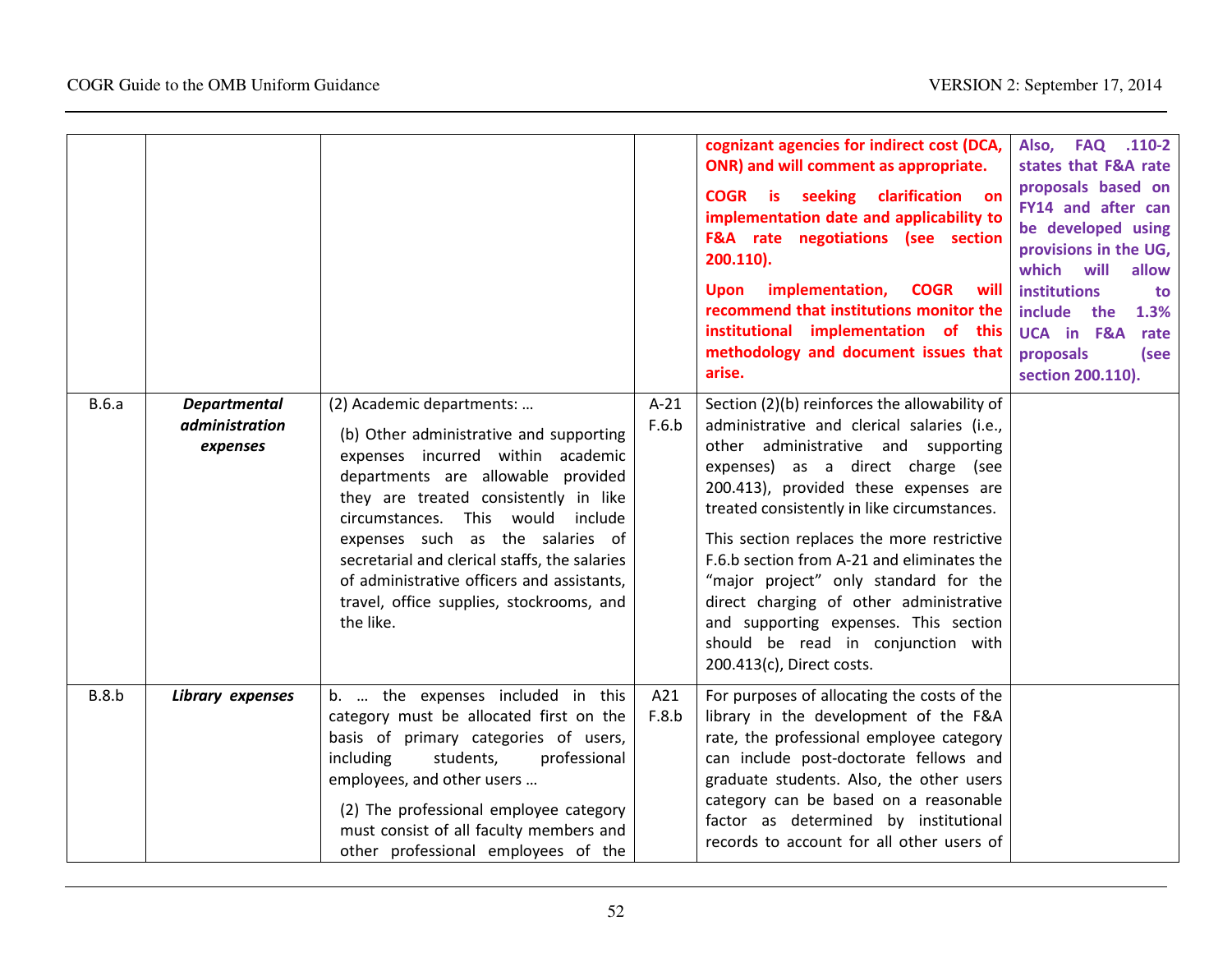|       |                                                   |                                                                                                                                                                                                                                                                                                                                                                                                                              |                 | cognizant agencies for indirect cost (DCA,<br>ONR) and will comment as appropriate.<br>COGR is seeking clarification on<br>implementation date and applicability to<br>F&A rate negotiations (see section<br>200.110).<br>implementation,<br><b>COGR</b> will<br><b>Upon</b><br>recommend that institutions monitor the<br>institutional implementation of this<br>methodology and document issues that<br>arise.                                                                                                                                            | Also, FAQ .110-2<br>states that F&A rate<br>proposals based on<br>FY14 and after can<br>be developed using<br>provisions in the UG,<br>which<br>will<br>allow<br><b>institutions</b><br>to<br>include the<br>1.3%<br>UCA in F&A rate<br>proposals<br>(see<br>section 200.110). |
|-------|---------------------------------------------------|------------------------------------------------------------------------------------------------------------------------------------------------------------------------------------------------------------------------------------------------------------------------------------------------------------------------------------------------------------------------------------------------------------------------------|-----------------|--------------------------------------------------------------------------------------------------------------------------------------------------------------------------------------------------------------------------------------------------------------------------------------------------------------------------------------------------------------------------------------------------------------------------------------------------------------------------------------------------------------------------------------------------------------|--------------------------------------------------------------------------------------------------------------------------------------------------------------------------------------------------------------------------------------------------------------------------------|
| B.6.a | <b>Departmental</b><br>administration<br>expenses | (2) Academic departments:<br>(b) Other administrative and supporting<br>expenses incurred within academic<br>departments are allowable provided<br>they are treated consistently in like<br>circumstances. This would<br>include<br>expenses such as the salaries of<br>secretarial and clerical staffs, the salaries<br>of administrative officers and assistants,<br>travel, office supplies, stockrooms, and<br>the like. | $A-21$<br>F.6.b | Section (2)(b) reinforces the allowability of<br>administrative and clerical salaries (i.e.,<br>other administrative and supporting<br>expenses) as a direct charge (see<br>200.413), provided these expenses are<br>treated consistently in like circumstances.<br>This section replaces the more restrictive<br>F.6.b section from A-21 and eliminates the<br>"major project" only standard for the<br>direct charging of other administrative<br>and supporting expenses. This section<br>should be read in conjunction with<br>200.413(c), Direct costs. |                                                                                                                                                                                                                                                                                |
| B.8.b | Library expenses                                  | b.  the expenses included in this<br>category must be allocated first on the<br>basis of primary categories of users,<br>including<br>students,<br>professional<br>employees, and other users<br>(2) The professional employee category<br>must consist of all faculty members and<br>other professional employees of the                                                                                                    | A21<br>F.8.b    | For purposes of allocating the costs of the<br>library in the development of the F&A<br>rate, the professional employee category<br>can include post-doctorate fellows and<br>graduate students. Also, the other users<br>category can be based on a reasonable<br>factor as determined by institutional<br>records to account for all other users of                                                                                                                                                                                                        |                                                                                                                                                                                                                                                                                |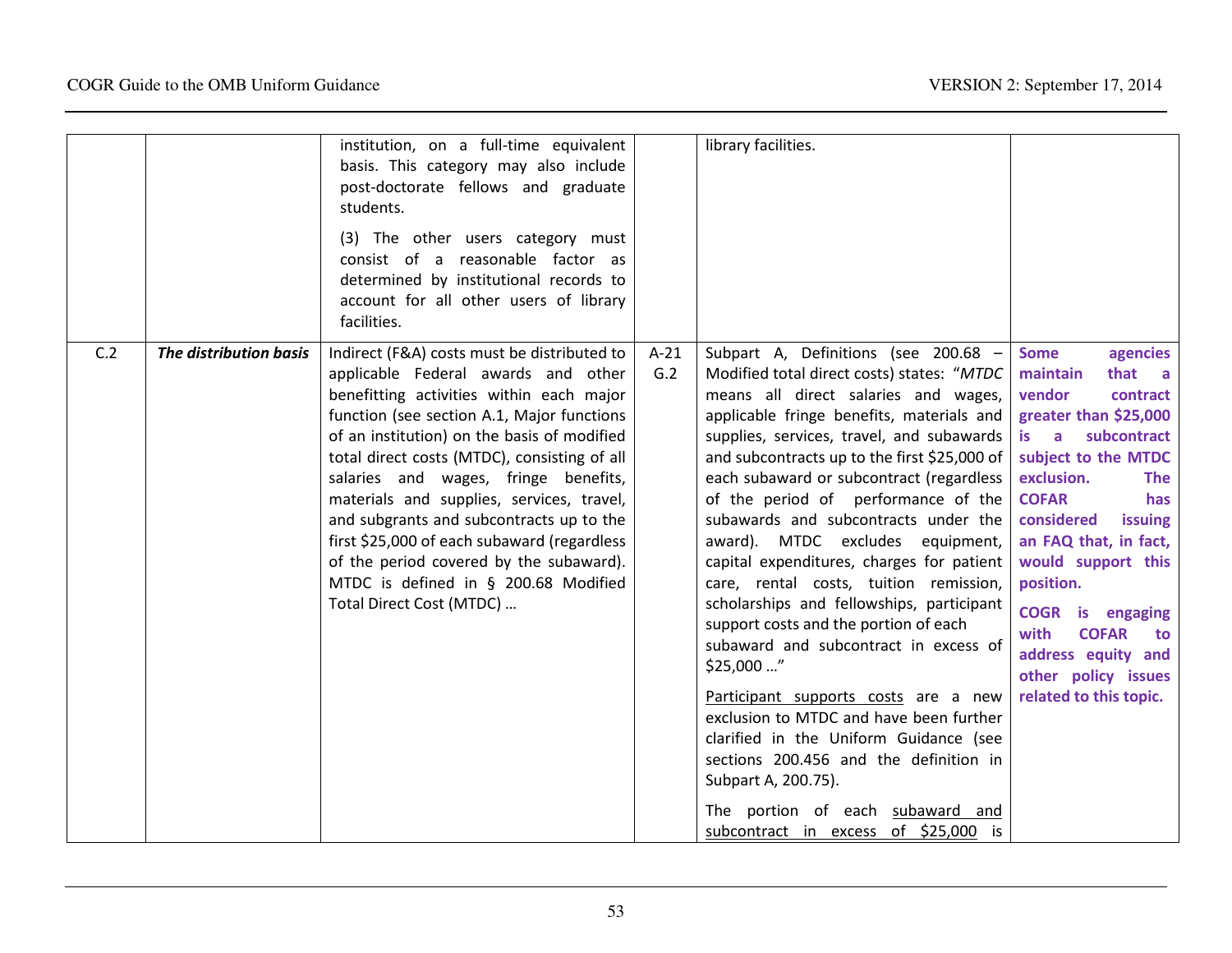|     |                        | institution, on a full-time equivalent<br>basis. This category may also include<br>post-doctorate fellows and graduate<br>students.<br>(3) The other users category must<br>consist of a reasonable factor as<br>determined by institutional records to<br>account for all other users of library<br>facilities.                                                                                                                                                                                                                                                           |               | library facilities.                                                                                                                                                                                                                                                                                                                                                                                                                                                                                                                                                                                                                                                                                                                                                                                                                                                                                                                               |                                                                                                                                                                                                                                                                                                                                                                                                                    |
|-----|------------------------|----------------------------------------------------------------------------------------------------------------------------------------------------------------------------------------------------------------------------------------------------------------------------------------------------------------------------------------------------------------------------------------------------------------------------------------------------------------------------------------------------------------------------------------------------------------------------|---------------|---------------------------------------------------------------------------------------------------------------------------------------------------------------------------------------------------------------------------------------------------------------------------------------------------------------------------------------------------------------------------------------------------------------------------------------------------------------------------------------------------------------------------------------------------------------------------------------------------------------------------------------------------------------------------------------------------------------------------------------------------------------------------------------------------------------------------------------------------------------------------------------------------------------------------------------------------|--------------------------------------------------------------------------------------------------------------------------------------------------------------------------------------------------------------------------------------------------------------------------------------------------------------------------------------------------------------------------------------------------------------------|
| C.2 | The distribution basis | Indirect (F&A) costs must be distributed to<br>applicable Federal awards and other<br>benefitting activities within each major<br>function (see section A.1, Major functions<br>of an institution) on the basis of modified<br>total direct costs (MTDC), consisting of all<br>salaries and wages, fringe benefits,<br>materials and supplies, services, travel,<br>and subgrants and subcontracts up to the<br>first \$25,000 of each subaward (regardless<br>of the period covered by the subaward).<br>MTDC is defined in § 200.68 Modified<br>Total Direct Cost (MTDC) | $A-21$<br>G.2 | Subpart A, Definitions (see 200.68 -<br>Modified total direct costs) states: "MTDC<br>means all direct salaries and wages,<br>applicable fringe benefits, materials and<br>supplies, services, travel, and subawards<br>and subcontracts up to the first \$25,000 of<br>each subaward or subcontract (regardless<br>of the period of performance of the<br>subawards and subcontracts under the<br>award). MTDC excludes equipment,<br>capital expenditures, charges for patient<br>care, rental costs, tuition remission,<br>scholarships and fellowships, participant<br>support costs and the portion of each<br>subaward and subcontract in excess of<br>\$25,000 "<br>Participant supports costs are a new<br>exclusion to MTDC and have been further<br>clarified in the Uniform Guidance (see<br>sections 200.456 and the definition in<br>Subpart A, 200.75).<br>The portion of each subaward and<br>subcontract in excess of \$25,000 is | <b>Some</b><br>agencies<br>that a<br>maintain<br>vendor<br>contract<br>greater than \$25,000<br>subcontract<br>is a<br>subject to the MTDC<br>exclusion.<br><b>The</b><br><b>COFAR</b><br>has<br>considered<br>issuing<br>an FAQ that, in fact,<br>would support this<br>position.<br><b>COGR</b> is engaging<br>with<br><b>COFAR</b><br>to<br>address equity and<br>other policy issues<br>related to this topic. |